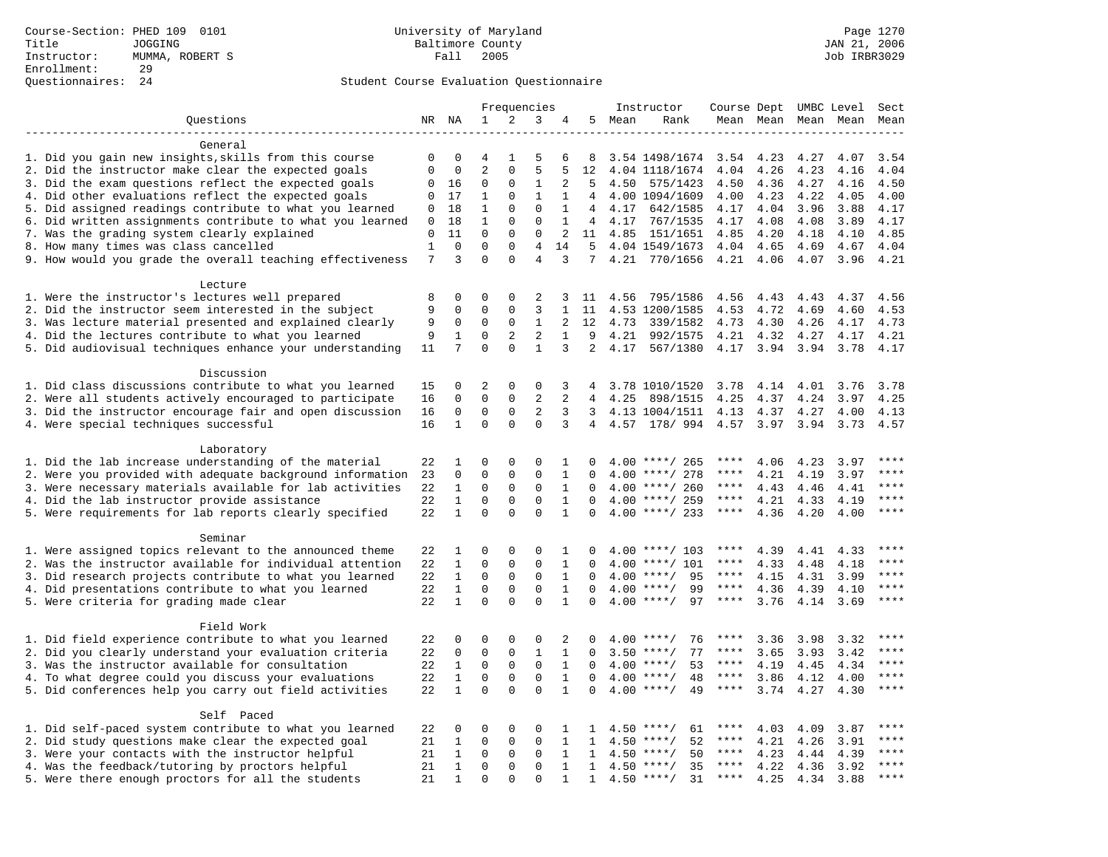| NR NA<br>1<br>2<br>3<br>5<br>Ouestions<br>4<br>Mean<br>Rank<br>Mean Mean<br>Mean Mean<br>Mean<br>General<br>1. Did you gain new insights, skills from this course<br>$\mathbf 0$<br>5<br>3.54 1498/1674 3.54<br>4.23<br>4.27<br>4.07<br>3.54<br>0<br>4<br>1<br>6<br>8<br>$\overline{2}$<br>5<br>2. Did the instructor make clear the expected goals<br>$\mathbf 0$<br>$\mathbf 0$<br>$\mathbf{0}$<br>5<br>12<br>4.04 1118/1674<br>4.04<br>4.26<br>4.23<br>4.04<br>4.16<br>3. Did the exam questions reflect the expected goals<br>2<br>4.50<br>0<br>16<br>0<br>0<br>1<br>5<br>4.50<br>575/1423<br>4.50<br>4.36<br>4.27<br>4.16<br>4. Did other evaluations reflect the expected goals<br>$\Omega$<br>$\overline{4}$<br>4.00 1094/1609<br>4.00<br>4.23<br>4.00<br>17<br>1<br>1<br>1<br>4.22<br>4.05<br>0<br>5. Did assigned readings contribute to what you learned<br>$\Omega$<br>18<br>$\mathbf{1}$<br>$\Omega$<br>$\mathbf{1}$<br>$\overline{4}$<br>4.17<br>642/1585<br>4.17<br>4.04<br>3.96<br>3.88<br>4.17<br>0<br>6. Did written assignments contribute to what you learned<br>18<br>$\mathbf{1}$<br>$\mathbf{0}$<br>$\mathbf{0}$<br>$\mathbf{1}$<br>4, 4.17<br>767/1535<br>4.08<br>4.08<br>3.89<br>4.17<br>0<br>4.17<br>7. Was the grading system clearly explained<br>$\mathbf 0$<br>$\mathbf 0$<br>$\mathbf{0}$<br>11<br>$\mathbf{0}$<br>4.85<br>151/1651<br>4.20<br>4.10<br>4.85<br>2<br>11<br>4.85<br>4.18<br>8. How many times was class cancelled<br>$\mathbf 0$<br>1<br>$\Omega$<br>$\Omega$<br>4<br>14<br>5<br>4.04 1549/1673<br>4.04<br>4.65<br>4.69<br>4.67<br>4.04<br>7<br>$\Omega$<br>3<br>$\Omega$<br>$\overline{4}$<br>3<br>7 4.21 770/1656<br>9. How would you grade the overall teaching effectiveness<br>4.21<br>4.06<br>4.07<br>3.96<br>4.21<br>Lecture<br>1. Were the instructor's lectures well prepared<br>8<br>$\mathbf 0$<br>795/1586<br>0<br>0<br>2<br>3<br>4.56<br>4.56<br>4.43<br>4.43<br>4.37<br>4.56<br>-11<br>2. Did the instructor seem interested in the subject<br>9<br>$\mathbf 0$<br>0<br>$\mathbf 0$<br>3<br>4.53 1200/1585<br>4.53<br>4.72<br>4.69<br>4.53<br>1<br>11<br>4.60<br>3. Was lecture material presented and explained clearly<br>$\mathbf{1}$<br>9<br>0<br>0<br>$\mathbf 0$<br>2<br>12<br>4.73<br>339/1582<br>4.73<br>4.30<br>4.26<br>4.17<br>4.73<br>2<br>4. Did the lectures contribute to what you learned<br>9<br>$\mathbf 0$<br>2<br>9<br>4.21<br>1<br>$\mathbf{1}$<br>992/1575<br>4.21<br>4.32<br>4.27<br>4.17<br>4.21<br>5. Did audiovisual techniques enhance your understanding<br>7<br>$\Omega$<br>$\Omega$<br>$\mathbf{1}$<br>3<br>$\overline{2}$<br>4.17<br>567/1380<br>4.17<br>3.94<br>3.94<br>3.78<br>4.17<br>11<br>Discussion<br>1. Did class discussions contribute to what you learned<br>2<br>3.78 1010/1520<br>3.78<br>4.01<br>3.78<br>15<br>0<br>0<br>0<br>3<br>4.14<br>3.76<br>2. Were all students actively encouraged to participate<br>$\Omega$<br>$\Omega$<br>$\Omega$<br>2<br>2<br>4.25<br>4.37<br>4.24<br>16<br>4<br>898/1515<br>4.25<br>3.97<br>4.25<br>$\overline{a}$<br>3. Did the instructor encourage fair and open discussion<br>$\mathbf 0$<br>0<br>$\mathsf 0$<br>3<br>16<br>3<br>4.13 1004/1511<br>4.13<br>4.37<br>4.27<br>4.00<br>4.13<br>$\Omega$<br>4. Were special techniques successful<br>16<br>$\mathbf{1}$<br>$\mathbf 0$<br>$\Omega$<br>3<br>4 4.57 178/994<br>4.57 3.97<br>3.94<br>3.73<br>4.57<br>Laboratory<br>1. Did the lab increase understanding of the material<br>$\Omega$<br>$\Omega$<br>$\Omega$<br>4.06<br>****<br>22<br>1<br>1<br>$\Omega$<br>$4.00$ ****/ 265<br>****<br>4.23<br>3.97<br>2. Were you provided with adequate background information<br>$\mathbf 0$<br>0<br>$\Omega$<br>23<br>$\Omega$<br>1<br>$\Omega$<br>4.00<br>****/ 278<br>4.21<br>4.19<br>3.97<br>$\mathbf 0$<br>$***$<br>3. Were necessary materials available for lab activities<br>22<br>$\mathbf{1}$<br>$\mathbf 0$<br>$\mathbf 0$<br>$\mathbf{1}$<br>$4.00$ ****/ 260<br>$***$ * * *<br>$\mathbf 0$<br>4.43<br>4.46<br>4.41<br>4. Did the lab instructor provide assistance<br>$\mathbf{1}$<br>$\Omega$<br>$\Omega$<br>$4.00$ ****/ 259<br>$***$ * * *<br>$***$ * * *<br>22<br>$\Omega$<br>$\mathbf{1}$<br>$\Omega$<br>4.21<br>4.33<br>4.19<br>$\mathbf{1}$<br>$\Omega$<br>$\Omega$<br>$\Omega$<br>$\mathbf{1}$<br>$***$ * * *<br>$***$<br>5. Were requirements for lab reports clearly specified<br>22<br>$\Omega$<br>$4.00$ ****/ 233<br>4.36<br>4.20<br>4.00<br>Seminar<br>1. Were assigned topics relevant to the announced theme<br>22<br>1<br>0<br>$\mathbf 0$<br>0<br>$4.00$ ****/ 103<br>4.39<br>4.41<br>4.33<br>****<br>1<br>n<br>$\mathbf 0$<br>$\mathbf 0$<br>$\mathbf 0$<br>2. Was the instructor available for individual attention<br>22<br>1<br>$\mathbf{1}$<br>$4.00$ ****/ 101<br>4.33<br>4.48<br>****<br>$\Omega$<br>****<br>4.18<br>3. Did research projects contribute to what you learned<br>$\mathbf{1}$<br>$\mathbf 0$<br>$\mathbf{0}$<br>$\mathbf 0$<br>****<br>22<br>$\mathbf{1}$<br>$\Omega$<br>$4.00$ ****/<br>95<br>****<br>4.15<br>4.31<br>3.99<br>$***$<br>4. Did presentations contribute to what you learned<br>22<br>$\mathbf{1}$<br>$\mathbf 0$<br>$\mathbf 0$<br>$\mathbf 0$<br>$\mathbf{1}$<br>$4.00$ ****/<br>99<br>$***$ * * *<br>$\Omega$<br>4.36<br>4.39<br>4.10<br>$\mathbf{1}$<br>5. Were criteria for grading made clear<br>22<br>$\Omega$<br>$\Omega$<br>$\Omega$<br>$\mathbf{1}$<br>$4.00$ ****/<br>97<br>****<br>3.76<br>3.69<br>****<br>$\Omega$<br>4.14<br>Field Work<br>1. Did field experience contribute to what you learned<br>22<br>$\mathbf 0$<br>0<br>$\mathbf 0$<br>****<br>0<br>2<br>$4.00$ ****/<br>76<br>3.36<br>3.98<br>3.32<br>0<br>****<br>2. Did you clearly understand your evaluation criteria<br>$\mathbf 0$<br>$\mathbf 0$<br>$\Omega$<br>****<br>22<br>1<br>$\mathbf{1}$<br>$\Omega$<br>$3.50$ ****/<br>77<br>****<br>3.65<br>3.93<br>3.42<br>3. Was the instructor available for consultation<br>$\Omega$<br>22<br>$\mathbf{1}$<br>0<br>$\mathsf 0$<br>$\mathbf{1}$<br>$4.00$ ****/<br>53<br>4.34<br>****<br>$\Omega$<br>****<br>4.19<br>4.45<br>$\mathbf{1}$<br>$\mathbf 0$<br>$\mathbf 0$<br>$***$ * * *<br>4. To what degree could you discuss your evaluations<br>22<br>$\mathsf 0$<br>$\mathbf{1}$<br>4.00<br>$***/$<br>48<br>$***$ * *<br>3.86<br>4.00<br>$\mathbf 0$<br>4.12<br>5. Did conferences help you carry out field activities<br>22<br>$\mathbf{1}$<br>$\mathbf 0$<br>$\Omega$<br>$\mathbf 0$<br>49<br>$***$<br>$\mathbf{1}$<br>$4.00$ ****/<br>****<br>3.74<br>4.27<br>4.30<br>0<br>Self Paced<br>1. Did self-paced system contribute to what you learned<br>****<br>22<br>0<br>$\Omega$<br>$\Omega$<br>$***$ /<br>61<br>4.03<br>4.09<br>0<br>1<br>$\mathbf{1}$<br>4.50<br>****<br>3.87<br>2. Did study questions make clear the expected goal<br>$\mathbf 0$<br>$\mathbf 0$<br>****<br>21<br>$\mathbf{1}$<br>$\mathbf 0$<br>$\mathbf{1}$<br>$4.50$ ****/<br>52<br>$***$ * * *<br>4.21<br>1<br>4.26<br>3.91<br>3. Were your contacts with the instructor helpful<br>$***$<br>21<br>1<br>0<br>$\mathbf 0$<br>0<br>$\mathbf{1}$<br>$***/$<br>50<br>****<br>4.23<br>4.39<br>$\mathbf{1}$<br>4.50<br>4.44<br>4. Was the feedback/tutoring by proctors helpful<br>21<br>$\mathbf{1}$<br>$\mathbf 0$<br>$\mathbf 0$<br>$\mathbf 0$<br>$\mathbf{1}$<br>35<br>4.22<br>****<br>$\mathbf{1}$<br>$4.50$ ****/<br>****<br>4.36<br>3.92<br>5. Were there enough proctors for all the students<br>$\mathbf 0$<br>$\Omega$<br>$4.50$ ****/<br>31<br>$***$ * *<br>$***$<br>21<br>1<br>$\Omega$<br>4.25<br>4.34<br>3.88<br>1<br>1 |  |  |  | Frequencies |  | Instructor | Course Dept UMBC Level |  | Sect |
|-------------------------------------------------------------------------------------------------------------------------------------------------------------------------------------------------------------------------------------------------------------------------------------------------------------------------------------------------------------------------------------------------------------------------------------------------------------------------------------------------------------------------------------------------------------------------------------------------------------------------------------------------------------------------------------------------------------------------------------------------------------------------------------------------------------------------------------------------------------------------------------------------------------------------------------------------------------------------------------------------------------------------------------------------------------------------------------------------------------------------------------------------------------------------------------------------------------------------------------------------------------------------------------------------------------------------------------------------------------------------------------------------------------------------------------------------------------------------------------------------------------------------------------------------------------------------------------------------------------------------------------------------------------------------------------------------------------------------------------------------------------------------------------------------------------------------------------------------------------------------------------------------------------------------------------------------------------------------------------------------------------------------------------------------------------------------------------------------------------------------------------------------------------------------------------------------------------------------------------------------------------------------------------------------------------------------------------------------------------------------------------------------------------------------------------------------------------------------------------------------------------------------------------------------------------------------------------------------------------------------------------------------------------------------------------------------------------------------------------------------------------------------------------------------------------------------------------------------------------------------------------------------------------------------------------------------------------------------------------------------------------------------------------------------------------------------------------------------------------------------------------------------------------------------------------------------------------------------------------------------------------------------------------------------------------------------------------------------------------------------------------------------------------------------------------------------------------------------------------------------------------------------------------------------------------------------------------------------------------------------------------------------------------------------------------------------------------------------------------------------------------------------------------------------------------------------------------------------------------------------------------------------------------------------------------------------------------------------------------------------------------------------------------------------------------------------------------------------------------------------------------------------------------------------------------------------------------------------------------------------------------------------------------------------------------------------------------------------------------------------------------------------------------------------------------------------------------------------------------------------------------------------------------------------------------------------------------------------------------------------------------------------------------------------------------------------------------------------------------------------------------------------------------------------------------------------------------------------------------------------------------------------------------------------------------------------------------------------------------------------------------------------------------------------------------------------------------------------------------------------------------------------------------------------------------------------------------------------------------------------------------------------------------------------------------------------------------------------------------------------------------------------------------------------------------------------------------------------------------------------------------------------------------------------------------------------------------------------------------------------------------------------------------------------------------------------------------------------------------------------------------------------------------------------------------------------------------------------------------------------------------------------------------------------------------------------------------------------------------------------------------------------------------------------------------------------------------------------------------------------------------------------------------------------------------------------------------------------------------------------------------------------------------------------------------------------------------------------------------------------------------------------------------------------------------------------------------------------------------------------------------------------------------------------------------------------------------------------------------------------------------------------------------------------------------------------------------------------------------------------------------------------------------------------------------------------------------------------------------------------------------------------------------------------------------------------------------------------------------------------------------------------------------------------------------------------------------------------------------------------------------------------------------------------------------------------------------------------------------------------------------------------------------------------------------------------------------------------------------------------------------------------------------------------------------------------------------------------------------------------------------------------------------------------------------------------------------------------|--|--|--|-------------|--|------------|------------------------|--|------|
|                                                                                                                                                                                                                                                                                                                                                                                                                                                                                                                                                                                                                                                                                                                                                                                                                                                                                                                                                                                                                                                                                                                                                                                                                                                                                                                                                                                                                                                                                                                                                                                                                                                                                                                                                                                                                                                                                                                                                                                                                                                                                                                                                                                                                                                                                                                                                                                                                                                                                                                                                                                                                                                                                                                                                                                                                                                                                                                                                                                                                                                                                                                                                                                                                                                                                                                                                                                                                                                                                                                                                                                                                                                                                                                                                                                                                                                                                                                                                                                                                                                                                                                                                                                                                                                                                                                                                                                                                                                                                                                                                                                                                                                                                                                                                                                                                                                                                                                                                                                                                                                                                                                                                                                                                                                                                                                                                                                                                                                                                                                                                                                                                                                                                                                                                                                                                                                                                                                                                                                                                                                                                                                                                                                                                                                                                                                                                                                                                                                                                                                                                                                                                                                                                                                                                                                                                                                                                                                                                                                                                                                                                                                                                                                                                                                                                                                                                                                                                                                                                                                                                                                                 |  |  |  |             |  |            |                        |  |      |
|                                                                                                                                                                                                                                                                                                                                                                                                                                                                                                                                                                                                                                                                                                                                                                                                                                                                                                                                                                                                                                                                                                                                                                                                                                                                                                                                                                                                                                                                                                                                                                                                                                                                                                                                                                                                                                                                                                                                                                                                                                                                                                                                                                                                                                                                                                                                                                                                                                                                                                                                                                                                                                                                                                                                                                                                                                                                                                                                                                                                                                                                                                                                                                                                                                                                                                                                                                                                                                                                                                                                                                                                                                                                                                                                                                                                                                                                                                                                                                                                                                                                                                                                                                                                                                                                                                                                                                                                                                                                                                                                                                                                                                                                                                                                                                                                                                                                                                                                                                                                                                                                                                                                                                                                                                                                                                                                                                                                                                                                                                                                                                                                                                                                                                                                                                                                                                                                                                                                                                                                                                                                                                                                                                                                                                                                                                                                                                                                                                                                                                                                                                                                                                                                                                                                                                                                                                                                                                                                                                                                                                                                                                                                                                                                                                                                                                                                                                                                                                                                                                                                                                                                 |  |  |  |             |  |            |                        |  |      |
|                                                                                                                                                                                                                                                                                                                                                                                                                                                                                                                                                                                                                                                                                                                                                                                                                                                                                                                                                                                                                                                                                                                                                                                                                                                                                                                                                                                                                                                                                                                                                                                                                                                                                                                                                                                                                                                                                                                                                                                                                                                                                                                                                                                                                                                                                                                                                                                                                                                                                                                                                                                                                                                                                                                                                                                                                                                                                                                                                                                                                                                                                                                                                                                                                                                                                                                                                                                                                                                                                                                                                                                                                                                                                                                                                                                                                                                                                                                                                                                                                                                                                                                                                                                                                                                                                                                                                                                                                                                                                                                                                                                                                                                                                                                                                                                                                                                                                                                                                                                                                                                                                                                                                                                                                                                                                                                                                                                                                                                                                                                                                                                                                                                                                                                                                                                                                                                                                                                                                                                                                                                                                                                                                                                                                                                                                                                                                                                                                                                                                                                                                                                                                                                                                                                                                                                                                                                                                                                                                                                                                                                                                                                                                                                                                                                                                                                                                                                                                                                                                                                                                                                                 |  |  |  |             |  |            |                        |  |      |
|                                                                                                                                                                                                                                                                                                                                                                                                                                                                                                                                                                                                                                                                                                                                                                                                                                                                                                                                                                                                                                                                                                                                                                                                                                                                                                                                                                                                                                                                                                                                                                                                                                                                                                                                                                                                                                                                                                                                                                                                                                                                                                                                                                                                                                                                                                                                                                                                                                                                                                                                                                                                                                                                                                                                                                                                                                                                                                                                                                                                                                                                                                                                                                                                                                                                                                                                                                                                                                                                                                                                                                                                                                                                                                                                                                                                                                                                                                                                                                                                                                                                                                                                                                                                                                                                                                                                                                                                                                                                                                                                                                                                                                                                                                                                                                                                                                                                                                                                                                                                                                                                                                                                                                                                                                                                                                                                                                                                                                                                                                                                                                                                                                                                                                                                                                                                                                                                                                                                                                                                                                                                                                                                                                                                                                                                                                                                                                                                                                                                                                                                                                                                                                                                                                                                                                                                                                                                                                                                                                                                                                                                                                                                                                                                                                                                                                                                                                                                                                                                                                                                                                                                 |  |  |  |             |  |            |                        |  |      |
|                                                                                                                                                                                                                                                                                                                                                                                                                                                                                                                                                                                                                                                                                                                                                                                                                                                                                                                                                                                                                                                                                                                                                                                                                                                                                                                                                                                                                                                                                                                                                                                                                                                                                                                                                                                                                                                                                                                                                                                                                                                                                                                                                                                                                                                                                                                                                                                                                                                                                                                                                                                                                                                                                                                                                                                                                                                                                                                                                                                                                                                                                                                                                                                                                                                                                                                                                                                                                                                                                                                                                                                                                                                                                                                                                                                                                                                                                                                                                                                                                                                                                                                                                                                                                                                                                                                                                                                                                                                                                                                                                                                                                                                                                                                                                                                                                                                                                                                                                                                                                                                                                                                                                                                                                                                                                                                                                                                                                                                                                                                                                                                                                                                                                                                                                                                                                                                                                                                                                                                                                                                                                                                                                                                                                                                                                                                                                                                                                                                                                                                                                                                                                                                                                                                                                                                                                                                                                                                                                                                                                                                                                                                                                                                                                                                                                                                                                                                                                                                                                                                                                                                                 |  |  |  |             |  |            |                        |  |      |
|                                                                                                                                                                                                                                                                                                                                                                                                                                                                                                                                                                                                                                                                                                                                                                                                                                                                                                                                                                                                                                                                                                                                                                                                                                                                                                                                                                                                                                                                                                                                                                                                                                                                                                                                                                                                                                                                                                                                                                                                                                                                                                                                                                                                                                                                                                                                                                                                                                                                                                                                                                                                                                                                                                                                                                                                                                                                                                                                                                                                                                                                                                                                                                                                                                                                                                                                                                                                                                                                                                                                                                                                                                                                                                                                                                                                                                                                                                                                                                                                                                                                                                                                                                                                                                                                                                                                                                                                                                                                                                                                                                                                                                                                                                                                                                                                                                                                                                                                                                                                                                                                                                                                                                                                                                                                                                                                                                                                                                                                                                                                                                                                                                                                                                                                                                                                                                                                                                                                                                                                                                                                                                                                                                                                                                                                                                                                                                                                                                                                                                                                                                                                                                                                                                                                                                                                                                                                                                                                                                                                                                                                                                                                                                                                                                                                                                                                                                                                                                                                                                                                                                                                 |  |  |  |             |  |            |                        |  |      |
|                                                                                                                                                                                                                                                                                                                                                                                                                                                                                                                                                                                                                                                                                                                                                                                                                                                                                                                                                                                                                                                                                                                                                                                                                                                                                                                                                                                                                                                                                                                                                                                                                                                                                                                                                                                                                                                                                                                                                                                                                                                                                                                                                                                                                                                                                                                                                                                                                                                                                                                                                                                                                                                                                                                                                                                                                                                                                                                                                                                                                                                                                                                                                                                                                                                                                                                                                                                                                                                                                                                                                                                                                                                                                                                                                                                                                                                                                                                                                                                                                                                                                                                                                                                                                                                                                                                                                                                                                                                                                                                                                                                                                                                                                                                                                                                                                                                                                                                                                                                                                                                                                                                                                                                                                                                                                                                                                                                                                                                                                                                                                                                                                                                                                                                                                                                                                                                                                                                                                                                                                                                                                                                                                                                                                                                                                                                                                                                                                                                                                                                                                                                                                                                                                                                                                                                                                                                                                                                                                                                                                                                                                                                                                                                                                                                                                                                                                                                                                                                                                                                                                                                                 |  |  |  |             |  |            |                        |  |      |
|                                                                                                                                                                                                                                                                                                                                                                                                                                                                                                                                                                                                                                                                                                                                                                                                                                                                                                                                                                                                                                                                                                                                                                                                                                                                                                                                                                                                                                                                                                                                                                                                                                                                                                                                                                                                                                                                                                                                                                                                                                                                                                                                                                                                                                                                                                                                                                                                                                                                                                                                                                                                                                                                                                                                                                                                                                                                                                                                                                                                                                                                                                                                                                                                                                                                                                                                                                                                                                                                                                                                                                                                                                                                                                                                                                                                                                                                                                                                                                                                                                                                                                                                                                                                                                                                                                                                                                                                                                                                                                                                                                                                                                                                                                                                                                                                                                                                                                                                                                                                                                                                                                                                                                                                                                                                                                                                                                                                                                                                                                                                                                                                                                                                                                                                                                                                                                                                                                                                                                                                                                                                                                                                                                                                                                                                                                                                                                                                                                                                                                                                                                                                                                                                                                                                                                                                                                                                                                                                                                                                                                                                                                                                                                                                                                                                                                                                                                                                                                                                                                                                                                                                 |  |  |  |             |  |            |                        |  |      |
|                                                                                                                                                                                                                                                                                                                                                                                                                                                                                                                                                                                                                                                                                                                                                                                                                                                                                                                                                                                                                                                                                                                                                                                                                                                                                                                                                                                                                                                                                                                                                                                                                                                                                                                                                                                                                                                                                                                                                                                                                                                                                                                                                                                                                                                                                                                                                                                                                                                                                                                                                                                                                                                                                                                                                                                                                                                                                                                                                                                                                                                                                                                                                                                                                                                                                                                                                                                                                                                                                                                                                                                                                                                                                                                                                                                                                                                                                                                                                                                                                                                                                                                                                                                                                                                                                                                                                                                                                                                                                                                                                                                                                                                                                                                                                                                                                                                                                                                                                                                                                                                                                                                                                                                                                                                                                                                                                                                                                                                                                                                                                                                                                                                                                                                                                                                                                                                                                                                                                                                                                                                                                                                                                                                                                                                                                                                                                                                                                                                                                                                                                                                                                                                                                                                                                                                                                                                                                                                                                                                                                                                                                                                                                                                                                                                                                                                                                                                                                                                                                                                                                                                                 |  |  |  |             |  |            |                        |  |      |
|                                                                                                                                                                                                                                                                                                                                                                                                                                                                                                                                                                                                                                                                                                                                                                                                                                                                                                                                                                                                                                                                                                                                                                                                                                                                                                                                                                                                                                                                                                                                                                                                                                                                                                                                                                                                                                                                                                                                                                                                                                                                                                                                                                                                                                                                                                                                                                                                                                                                                                                                                                                                                                                                                                                                                                                                                                                                                                                                                                                                                                                                                                                                                                                                                                                                                                                                                                                                                                                                                                                                                                                                                                                                                                                                                                                                                                                                                                                                                                                                                                                                                                                                                                                                                                                                                                                                                                                                                                                                                                                                                                                                                                                                                                                                                                                                                                                                                                                                                                                                                                                                                                                                                                                                                                                                                                                                                                                                                                                                                                                                                                                                                                                                                                                                                                                                                                                                                                                                                                                                                                                                                                                                                                                                                                                                                                                                                                                                                                                                                                                                                                                                                                                                                                                                                                                                                                                                                                                                                                                                                                                                                                                                                                                                                                                                                                                                                                                                                                                                                                                                                                                                 |  |  |  |             |  |            |                        |  |      |
|                                                                                                                                                                                                                                                                                                                                                                                                                                                                                                                                                                                                                                                                                                                                                                                                                                                                                                                                                                                                                                                                                                                                                                                                                                                                                                                                                                                                                                                                                                                                                                                                                                                                                                                                                                                                                                                                                                                                                                                                                                                                                                                                                                                                                                                                                                                                                                                                                                                                                                                                                                                                                                                                                                                                                                                                                                                                                                                                                                                                                                                                                                                                                                                                                                                                                                                                                                                                                                                                                                                                                                                                                                                                                                                                                                                                                                                                                                                                                                                                                                                                                                                                                                                                                                                                                                                                                                                                                                                                                                                                                                                                                                                                                                                                                                                                                                                                                                                                                                                                                                                                                                                                                                                                                                                                                                                                                                                                                                                                                                                                                                                                                                                                                                                                                                                                                                                                                                                                                                                                                                                                                                                                                                                                                                                                                                                                                                                                                                                                                                                                                                                                                                                                                                                                                                                                                                                                                                                                                                                                                                                                                                                                                                                                                                                                                                                                                                                                                                                                                                                                                                                                 |  |  |  |             |  |            |                        |  |      |
|                                                                                                                                                                                                                                                                                                                                                                                                                                                                                                                                                                                                                                                                                                                                                                                                                                                                                                                                                                                                                                                                                                                                                                                                                                                                                                                                                                                                                                                                                                                                                                                                                                                                                                                                                                                                                                                                                                                                                                                                                                                                                                                                                                                                                                                                                                                                                                                                                                                                                                                                                                                                                                                                                                                                                                                                                                                                                                                                                                                                                                                                                                                                                                                                                                                                                                                                                                                                                                                                                                                                                                                                                                                                                                                                                                                                                                                                                                                                                                                                                                                                                                                                                                                                                                                                                                                                                                                                                                                                                                                                                                                                                                                                                                                                                                                                                                                                                                                                                                                                                                                                                                                                                                                                                                                                                                                                                                                                                                                                                                                                                                                                                                                                                                                                                                                                                                                                                                                                                                                                                                                                                                                                                                                                                                                                                                                                                                                                                                                                                                                                                                                                                                                                                                                                                                                                                                                                                                                                                                                                                                                                                                                                                                                                                                                                                                                                                                                                                                                                                                                                                                                                 |  |  |  |             |  |            |                        |  |      |
|                                                                                                                                                                                                                                                                                                                                                                                                                                                                                                                                                                                                                                                                                                                                                                                                                                                                                                                                                                                                                                                                                                                                                                                                                                                                                                                                                                                                                                                                                                                                                                                                                                                                                                                                                                                                                                                                                                                                                                                                                                                                                                                                                                                                                                                                                                                                                                                                                                                                                                                                                                                                                                                                                                                                                                                                                                                                                                                                                                                                                                                                                                                                                                                                                                                                                                                                                                                                                                                                                                                                                                                                                                                                                                                                                                                                                                                                                                                                                                                                                                                                                                                                                                                                                                                                                                                                                                                                                                                                                                                                                                                                                                                                                                                                                                                                                                                                                                                                                                                                                                                                                                                                                                                                                                                                                                                                                                                                                                                                                                                                                                                                                                                                                                                                                                                                                                                                                                                                                                                                                                                                                                                                                                                                                                                                                                                                                                                                                                                                                                                                                                                                                                                                                                                                                                                                                                                                                                                                                                                                                                                                                                                                                                                                                                                                                                                                                                                                                                                                                                                                                                                                 |  |  |  |             |  |            |                        |  |      |
|                                                                                                                                                                                                                                                                                                                                                                                                                                                                                                                                                                                                                                                                                                                                                                                                                                                                                                                                                                                                                                                                                                                                                                                                                                                                                                                                                                                                                                                                                                                                                                                                                                                                                                                                                                                                                                                                                                                                                                                                                                                                                                                                                                                                                                                                                                                                                                                                                                                                                                                                                                                                                                                                                                                                                                                                                                                                                                                                                                                                                                                                                                                                                                                                                                                                                                                                                                                                                                                                                                                                                                                                                                                                                                                                                                                                                                                                                                                                                                                                                                                                                                                                                                                                                                                                                                                                                                                                                                                                                                                                                                                                                                                                                                                                                                                                                                                                                                                                                                                                                                                                                                                                                                                                                                                                                                                                                                                                                                                                                                                                                                                                                                                                                                                                                                                                                                                                                                                                                                                                                                                                                                                                                                                                                                                                                                                                                                                                                                                                                                                                                                                                                                                                                                                                                                                                                                                                                                                                                                                                                                                                                                                                                                                                                                                                                                                                                                                                                                                                                                                                                                                                 |  |  |  |             |  |            |                        |  |      |
|                                                                                                                                                                                                                                                                                                                                                                                                                                                                                                                                                                                                                                                                                                                                                                                                                                                                                                                                                                                                                                                                                                                                                                                                                                                                                                                                                                                                                                                                                                                                                                                                                                                                                                                                                                                                                                                                                                                                                                                                                                                                                                                                                                                                                                                                                                                                                                                                                                                                                                                                                                                                                                                                                                                                                                                                                                                                                                                                                                                                                                                                                                                                                                                                                                                                                                                                                                                                                                                                                                                                                                                                                                                                                                                                                                                                                                                                                                                                                                                                                                                                                                                                                                                                                                                                                                                                                                                                                                                                                                                                                                                                                                                                                                                                                                                                                                                                                                                                                                                                                                                                                                                                                                                                                                                                                                                                                                                                                                                                                                                                                                                                                                                                                                                                                                                                                                                                                                                                                                                                                                                                                                                                                                                                                                                                                                                                                                                                                                                                                                                                                                                                                                                                                                                                                                                                                                                                                                                                                                                                                                                                                                                                                                                                                                                                                                                                                                                                                                                                                                                                                                                                 |  |  |  |             |  |            |                        |  |      |
|                                                                                                                                                                                                                                                                                                                                                                                                                                                                                                                                                                                                                                                                                                                                                                                                                                                                                                                                                                                                                                                                                                                                                                                                                                                                                                                                                                                                                                                                                                                                                                                                                                                                                                                                                                                                                                                                                                                                                                                                                                                                                                                                                                                                                                                                                                                                                                                                                                                                                                                                                                                                                                                                                                                                                                                                                                                                                                                                                                                                                                                                                                                                                                                                                                                                                                                                                                                                                                                                                                                                                                                                                                                                                                                                                                                                                                                                                                                                                                                                                                                                                                                                                                                                                                                                                                                                                                                                                                                                                                                                                                                                                                                                                                                                                                                                                                                                                                                                                                                                                                                                                                                                                                                                                                                                                                                                                                                                                                                                                                                                                                                                                                                                                                                                                                                                                                                                                                                                                                                                                                                                                                                                                                                                                                                                                                                                                                                                                                                                                                                                                                                                                                                                                                                                                                                                                                                                                                                                                                                                                                                                                                                                                                                                                                                                                                                                                                                                                                                                                                                                                                                                 |  |  |  |             |  |            |                        |  |      |
|                                                                                                                                                                                                                                                                                                                                                                                                                                                                                                                                                                                                                                                                                                                                                                                                                                                                                                                                                                                                                                                                                                                                                                                                                                                                                                                                                                                                                                                                                                                                                                                                                                                                                                                                                                                                                                                                                                                                                                                                                                                                                                                                                                                                                                                                                                                                                                                                                                                                                                                                                                                                                                                                                                                                                                                                                                                                                                                                                                                                                                                                                                                                                                                                                                                                                                                                                                                                                                                                                                                                                                                                                                                                                                                                                                                                                                                                                                                                                                                                                                                                                                                                                                                                                                                                                                                                                                                                                                                                                                                                                                                                                                                                                                                                                                                                                                                                                                                                                                                                                                                                                                                                                                                                                                                                                                                                                                                                                                                                                                                                                                                                                                                                                                                                                                                                                                                                                                                                                                                                                                                                                                                                                                                                                                                                                                                                                                                                                                                                                                                                                                                                                                                                                                                                                                                                                                                                                                                                                                                                                                                                                                                                                                                                                                                                                                                                                                                                                                                                                                                                                                                                 |  |  |  |             |  |            |                        |  |      |
|                                                                                                                                                                                                                                                                                                                                                                                                                                                                                                                                                                                                                                                                                                                                                                                                                                                                                                                                                                                                                                                                                                                                                                                                                                                                                                                                                                                                                                                                                                                                                                                                                                                                                                                                                                                                                                                                                                                                                                                                                                                                                                                                                                                                                                                                                                                                                                                                                                                                                                                                                                                                                                                                                                                                                                                                                                                                                                                                                                                                                                                                                                                                                                                                                                                                                                                                                                                                                                                                                                                                                                                                                                                                                                                                                                                                                                                                                                                                                                                                                                                                                                                                                                                                                                                                                                                                                                                                                                                                                                                                                                                                                                                                                                                                                                                                                                                                                                                                                                                                                                                                                                                                                                                                                                                                                                                                                                                                                                                                                                                                                                                                                                                                                                                                                                                                                                                                                                                                                                                                                                                                                                                                                                                                                                                                                                                                                                                                                                                                                                                                                                                                                                                                                                                                                                                                                                                                                                                                                                                                                                                                                                                                                                                                                                                                                                                                                                                                                                                                                                                                                                                                 |  |  |  |             |  |            |                        |  |      |
|                                                                                                                                                                                                                                                                                                                                                                                                                                                                                                                                                                                                                                                                                                                                                                                                                                                                                                                                                                                                                                                                                                                                                                                                                                                                                                                                                                                                                                                                                                                                                                                                                                                                                                                                                                                                                                                                                                                                                                                                                                                                                                                                                                                                                                                                                                                                                                                                                                                                                                                                                                                                                                                                                                                                                                                                                                                                                                                                                                                                                                                                                                                                                                                                                                                                                                                                                                                                                                                                                                                                                                                                                                                                                                                                                                                                                                                                                                                                                                                                                                                                                                                                                                                                                                                                                                                                                                                                                                                                                                                                                                                                                                                                                                                                                                                                                                                                                                                                                                                                                                                                                                                                                                                                                                                                                                                                                                                                                                                                                                                                                                                                                                                                                                                                                                                                                                                                                                                                                                                                                                                                                                                                                                                                                                                                                                                                                                                                                                                                                                                                                                                                                                                                                                                                                                                                                                                                                                                                                                                                                                                                                                                                                                                                                                                                                                                                                                                                                                                                                                                                                                                                 |  |  |  |             |  |            |                        |  |      |
|                                                                                                                                                                                                                                                                                                                                                                                                                                                                                                                                                                                                                                                                                                                                                                                                                                                                                                                                                                                                                                                                                                                                                                                                                                                                                                                                                                                                                                                                                                                                                                                                                                                                                                                                                                                                                                                                                                                                                                                                                                                                                                                                                                                                                                                                                                                                                                                                                                                                                                                                                                                                                                                                                                                                                                                                                                                                                                                                                                                                                                                                                                                                                                                                                                                                                                                                                                                                                                                                                                                                                                                                                                                                                                                                                                                                                                                                                                                                                                                                                                                                                                                                                                                                                                                                                                                                                                                                                                                                                                                                                                                                                                                                                                                                                                                                                                                                                                                                                                                                                                                                                                                                                                                                                                                                                                                                                                                                                                                                                                                                                                                                                                                                                                                                                                                                                                                                                                                                                                                                                                                                                                                                                                                                                                                                                                                                                                                                                                                                                                                                                                                                                                                                                                                                                                                                                                                                                                                                                                                                                                                                                                                                                                                                                                                                                                                                                                                                                                                                                                                                                                                                 |  |  |  |             |  |            |                        |  |      |
|                                                                                                                                                                                                                                                                                                                                                                                                                                                                                                                                                                                                                                                                                                                                                                                                                                                                                                                                                                                                                                                                                                                                                                                                                                                                                                                                                                                                                                                                                                                                                                                                                                                                                                                                                                                                                                                                                                                                                                                                                                                                                                                                                                                                                                                                                                                                                                                                                                                                                                                                                                                                                                                                                                                                                                                                                                                                                                                                                                                                                                                                                                                                                                                                                                                                                                                                                                                                                                                                                                                                                                                                                                                                                                                                                                                                                                                                                                                                                                                                                                                                                                                                                                                                                                                                                                                                                                                                                                                                                                                                                                                                                                                                                                                                                                                                                                                                                                                                                                                                                                                                                                                                                                                                                                                                                                                                                                                                                                                                                                                                                                                                                                                                                                                                                                                                                                                                                                                                                                                                                                                                                                                                                                                                                                                                                                                                                                                                                                                                                                                                                                                                                                                                                                                                                                                                                                                                                                                                                                                                                                                                                                                                                                                                                                                                                                                                                                                                                                                                                                                                                                                                 |  |  |  |             |  |            |                        |  |      |
|                                                                                                                                                                                                                                                                                                                                                                                                                                                                                                                                                                                                                                                                                                                                                                                                                                                                                                                                                                                                                                                                                                                                                                                                                                                                                                                                                                                                                                                                                                                                                                                                                                                                                                                                                                                                                                                                                                                                                                                                                                                                                                                                                                                                                                                                                                                                                                                                                                                                                                                                                                                                                                                                                                                                                                                                                                                                                                                                                                                                                                                                                                                                                                                                                                                                                                                                                                                                                                                                                                                                                                                                                                                                                                                                                                                                                                                                                                                                                                                                                                                                                                                                                                                                                                                                                                                                                                                                                                                                                                                                                                                                                                                                                                                                                                                                                                                                                                                                                                                                                                                                                                                                                                                                                                                                                                                                                                                                                                                                                                                                                                                                                                                                                                                                                                                                                                                                                                                                                                                                                                                                                                                                                                                                                                                                                                                                                                                                                                                                                                                                                                                                                                                                                                                                                                                                                                                                                                                                                                                                                                                                                                                                                                                                                                                                                                                                                                                                                                                                                                                                                                                                 |  |  |  |             |  |            |                        |  |      |
|                                                                                                                                                                                                                                                                                                                                                                                                                                                                                                                                                                                                                                                                                                                                                                                                                                                                                                                                                                                                                                                                                                                                                                                                                                                                                                                                                                                                                                                                                                                                                                                                                                                                                                                                                                                                                                                                                                                                                                                                                                                                                                                                                                                                                                                                                                                                                                                                                                                                                                                                                                                                                                                                                                                                                                                                                                                                                                                                                                                                                                                                                                                                                                                                                                                                                                                                                                                                                                                                                                                                                                                                                                                                                                                                                                                                                                                                                                                                                                                                                                                                                                                                                                                                                                                                                                                                                                                                                                                                                                                                                                                                                                                                                                                                                                                                                                                                                                                                                                                                                                                                                                                                                                                                                                                                                                                                                                                                                                                                                                                                                                                                                                                                                                                                                                                                                                                                                                                                                                                                                                                                                                                                                                                                                                                                                                                                                                                                                                                                                                                                                                                                                                                                                                                                                                                                                                                                                                                                                                                                                                                                                                                                                                                                                                                                                                                                                                                                                                                                                                                                                                                                 |  |  |  |             |  |            |                        |  |      |
|                                                                                                                                                                                                                                                                                                                                                                                                                                                                                                                                                                                                                                                                                                                                                                                                                                                                                                                                                                                                                                                                                                                                                                                                                                                                                                                                                                                                                                                                                                                                                                                                                                                                                                                                                                                                                                                                                                                                                                                                                                                                                                                                                                                                                                                                                                                                                                                                                                                                                                                                                                                                                                                                                                                                                                                                                                                                                                                                                                                                                                                                                                                                                                                                                                                                                                                                                                                                                                                                                                                                                                                                                                                                                                                                                                                                                                                                                                                                                                                                                                                                                                                                                                                                                                                                                                                                                                                                                                                                                                                                                                                                                                                                                                                                                                                                                                                                                                                                                                                                                                                                                                                                                                                                                                                                                                                                                                                                                                                                                                                                                                                                                                                                                                                                                                                                                                                                                                                                                                                                                                                                                                                                                                                                                                                                                                                                                                                                                                                                                                                                                                                                                                                                                                                                                                                                                                                                                                                                                                                                                                                                                                                                                                                                                                                                                                                                                                                                                                                                                                                                                                                                 |  |  |  |             |  |            |                        |  |      |
|                                                                                                                                                                                                                                                                                                                                                                                                                                                                                                                                                                                                                                                                                                                                                                                                                                                                                                                                                                                                                                                                                                                                                                                                                                                                                                                                                                                                                                                                                                                                                                                                                                                                                                                                                                                                                                                                                                                                                                                                                                                                                                                                                                                                                                                                                                                                                                                                                                                                                                                                                                                                                                                                                                                                                                                                                                                                                                                                                                                                                                                                                                                                                                                                                                                                                                                                                                                                                                                                                                                                                                                                                                                                                                                                                                                                                                                                                                                                                                                                                                                                                                                                                                                                                                                                                                                                                                                                                                                                                                                                                                                                                                                                                                                                                                                                                                                                                                                                                                                                                                                                                                                                                                                                                                                                                                                                                                                                                                                                                                                                                                                                                                                                                                                                                                                                                                                                                                                                                                                                                                                                                                                                                                                                                                                                                                                                                                                                                                                                                                                                                                                                                                                                                                                                                                                                                                                                                                                                                                                                                                                                                                                                                                                                                                                                                                                                                                                                                                                                                                                                                                                                 |  |  |  |             |  |            |                        |  |      |
|                                                                                                                                                                                                                                                                                                                                                                                                                                                                                                                                                                                                                                                                                                                                                                                                                                                                                                                                                                                                                                                                                                                                                                                                                                                                                                                                                                                                                                                                                                                                                                                                                                                                                                                                                                                                                                                                                                                                                                                                                                                                                                                                                                                                                                                                                                                                                                                                                                                                                                                                                                                                                                                                                                                                                                                                                                                                                                                                                                                                                                                                                                                                                                                                                                                                                                                                                                                                                                                                                                                                                                                                                                                                                                                                                                                                                                                                                                                                                                                                                                                                                                                                                                                                                                                                                                                                                                                                                                                                                                                                                                                                                                                                                                                                                                                                                                                                                                                                                                                                                                                                                                                                                                                                                                                                                                                                                                                                                                                                                                                                                                                                                                                                                                                                                                                                                                                                                                                                                                                                                                                                                                                                                                                                                                                                                                                                                                                                                                                                                                                                                                                                                                                                                                                                                                                                                                                                                                                                                                                                                                                                                                                                                                                                                                                                                                                                                                                                                                                                                                                                                                                                 |  |  |  |             |  |            |                        |  |      |
|                                                                                                                                                                                                                                                                                                                                                                                                                                                                                                                                                                                                                                                                                                                                                                                                                                                                                                                                                                                                                                                                                                                                                                                                                                                                                                                                                                                                                                                                                                                                                                                                                                                                                                                                                                                                                                                                                                                                                                                                                                                                                                                                                                                                                                                                                                                                                                                                                                                                                                                                                                                                                                                                                                                                                                                                                                                                                                                                                                                                                                                                                                                                                                                                                                                                                                                                                                                                                                                                                                                                                                                                                                                                                                                                                                                                                                                                                                                                                                                                                                                                                                                                                                                                                                                                                                                                                                                                                                                                                                                                                                                                                                                                                                                                                                                                                                                                                                                                                                                                                                                                                                                                                                                                                                                                                                                                                                                                                                                                                                                                                                                                                                                                                                                                                                                                                                                                                                                                                                                                                                                                                                                                                                                                                                                                                                                                                                                                                                                                                                                                                                                                                                                                                                                                                                                                                                                                                                                                                                                                                                                                                                                                                                                                                                                                                                                                                                                                                                                                                                                                                                                                 |  |  |  |             |  |            |                        |  |      |
|                                                                                                                                                                                                                                                                                                                                                                                                                                                                                                                                                                                                                                                                                                                                                                                                                                                                                                                                                                                                                                                                                                                                                                                                                                                                                                                                                                                                                                                                                                                                                                                                                                                                                                                                                                                                                                                                                                                                                                                                                                                                                                                                                                                                                                                                                                                                                                                                                                                                                                                                                                                                                                                                                                                                                                                                                                                                                                                                                                                                                                                                                                                                                                                                                                                                                                                                                                                                                                                                                                                                                                                                                                                                                                                                                                                                                                                                                                                                                                                                                                                                                                                                                                                                                                                                                                                                                                                                                                                                                                                                                                                                                                                                                                                                                                                                                                                                                                                                                                                                                                                                                                                                                                                                                                                                                                                                                                                                                                                                                                                                                                                                                                                                                                                                                                                                                                                                                                                                                                                                                                                                                                                                                                                                                                                                                                                                                                                                                                                                                                                                                                                                                                                                                                                                                                                                                                                                                                                                                                                                                                                                                                                                                                                                                                                                                                                                                                                                                                                                                                                                                                                                 |  |  |  |             |  |            |                        |  |      |
|                                                                                                                                                                                                                                                                                                                                                                                                                                                                                                                                                                                                                                                                                                                                                                                                                                                                                                                                                                                                                                                                                                                                                                                                                                                                                                                                                                                                                                                                                                                                                                                                                                                                                                                                                                                                                                                                                                                                                                                                                                                                                                                                                                                                                                                                                                                                                                                                                                                                                                                                                                                                                                                                                                                                                                                                                                                                                                                                                                                                                                                                                                                                                                                                                                                                                                                                                                                                                                                                                                                                                                                                                                                                                                                                                                                                                                                                                                                                                                                                                                                                                                                                                                                                                                                                                                                                                                                                                                                                                                                                                                                                                                                                                                                                                                                                                                                                                                                                                                                                                                                                                                                                                                                                                                                                                                                                                                                                                                                                                                                                                                                                                                                                                                                                                                                                                                                                                                                                                                                                                                                                                                                                                                                                                                                                                                                                                                                                                                                                                                                                                                                                                                                                                                                                                                                                                                                                                                                                                                                                                                                                                                                                                                                                                                                                                                                                                                                                                                                                                                                                                                                                 |  |  |  |             |  |            |                        |  |      |
|                                                                                                                                                                                                                                                                                                                                                                                                                                                                                                                                                                                                                                                                                                                                                                                                                                                                                                                                                                                                                                                                                                                                                                                                                                                                                                                                                                                                                                                                                                                                                                                                                                                                                                                                                                                                                                                                                                                                                                                                                                                                                                                                                                                                                                                                                                                                                                                                                                                                                                                                                                                                                                                                                                                                                                                                                                                                                                                                                                                                                                                                                                                                                                                                                                                                                                                                                                                                                                                                                                                                                                                                                                                                                                                                                                                                                                                                                                                                                                                                                                                                                                                                                                                                                                                                                                                                                                                                                                                                                                                                                                                                                                                                                                                                                                                                                                                                                                                                                                                                                                                                                                                                                                                                                                                                                                                                                                                                                                                                                                                                                                                                                                                                                                                                                                                                                                                                                                                                                                                                                                                                                                                                                                                                                                                                                                                                                                                                                                                                                                                                                                                                                                                                                                                                                                                                                                                                                                                                                                                                                                                                                                                                                                                                                                                                                                                                                                                                                                                                                                                                                                                                 |  |  |  |             |  |            |                        |  |      |
|                                                                                                                                                                                                                                                                                                                                                                                                                                                                                                                                                                                                                                                                                                                                                                                                                                                                                                                                                                                                                                                                                                                                                                                                                                                                                                                                                                                                                                                                                                                                                                                                                                                                                                                                                                                                                                                                                                                                                                                                                                                                                                                                                                                                                                                                                                                                                                                                                                                                                                                                                                                                                                                                                                                                                                                                                                                                                                                                                                                                                                                                                                                                                                                                                                                                                                                                                                                                                                                                                                                                                                                                                                                                                                                                                                                                                                                                                                                                                                                                                                                                                                                                                                                                                                                                                                                                                                                                                                                                                                                                                                                                                                                                                                                                                                                                                                                                                                                                                                                                                                                                                                                                                                                                                                                                                                                                                                                                                                                                                                                                                                                                                                                                                                                                                                                                                                                                                                                                                                                                                                                                                                                                                                                                                                                                                                                                                                                                                                                                                                                                                                                                                                                                                                                                                                                                                                                                                                                                                                                                                                                                                                                                                                                                                                                                                                                                                                                                                                                                                                                                                                                                 |  |  |  |             |  |            |                        |  |      |
|                                                                                                                                                                                                                                                                                                                                                                                                                                                                                                                                                                                                                                                                                                                                                                                                                                                                                                                                                                                                                                                                                                                                                                                                                                                                                                                                                                                                                                                                                                                                                                                                                                                                                                                                                                                                                                                                                                                                                                                                                                                                                                                                                                                                                                                                                                                                                                                                                                                                                                                                                                                                                                                                                                                                                                                                                                                                                                                                                                                                                                                                                                                                                                                                                                                                                                                                                                                                                                                                                                                                                                                                                                                                                                                                                                                                                                                                                                                                                                                                                                                                                                                                                                                                                                                                                                                                                                                                                                                                                                                                                                                                                                                                                                                                                                                                                                                                                                                                                                                                                                                                                                                                                                                                                                                                                                                                                                                                                                                                                                                                                                                                                                                                                                                                                                                                                                                                                                                                                                                                                                                                                                                                                                                                                                                                                                                                                                                                                                                                                                                                                                                                                                                                                                                                                                                                                                                                                                                                                                                                                                                                                                                                                                                                                                                                                                                                                                                                                                                                                                                                                                                                 |  |  |  |             |  |            |                        |  |      |
|                                                                                                                                                                                                                                                                                                                                                                                                                                                                                                                                                                                                                                                                                                                                                                                                                                                                                                                                                                                                                                                                                                                                                                                                                                                                                                                                                                                                                                                                                                                                                                                                                                                                                                                                                                                                                                                                                                                                                                                                                                                                                                                                                                                                                                                                                                                                                                                                                                                                                                                                                                                                                                                                                                                                                                                                                                                                                                                                                                                                                                                                                                                                                                                                                                                                                                                                                                                                                                                                                                                                                                                                                                                                                                                                                                                                                                                                                                                                                                                                                                                                                                                                                                                                                                                                                                                                                                                                                                                                                                                                                                                                                                                                                                                                                                                                                                                                                                                                                                                                                                                                                                                                                                                                                                                                                                                                                                                                                                                                                                                                                                                                                                                                                                                                                                                                                                                                                                                                                                                                                                                                                                                                                                                                                                                                                                                                                                                                                                                                                                                                                                                                                                                                                                                                                                                                                                                                                                                                                                                                                                                                                                                                                                                                                                                                                                                                                                                                                                                                                                                                                                                                 |  |  |  |             |  |            |                        |  |      |
|                                                                                                                                                                                                                                                                                                                                                                                                                                                                                                                                                                                                                                                                                                                                                                                                                                                                                                                                                                                                                                                                                                                                                                                                                                                                                                                                                                                                                                                                                                                                                                                                                                                                                                                                                                                                                                                                                                                                                                                                                                                                                                                                                                                                                                                                                                                                                                                                                                                                                                                                                                                                                                                                                                                                                                                                                                                                                                                                                                                                                                                                                                                                                                                                                                                                                                                                                                                                                                                                                                                                                                                                                                                                                                                                                                                                                                                                                                                                                                                                                                                                                                                                                                                                                                                                                                                                                                                                                                                                                                                                                                                                                                                                                                                                                                                                                                                                                                                                                                                                                                                                                                                                                                                                                                                                                                                                                                                                                                                                                                                                                                                                                                                                                                                                                                                                                                                                                                                                                                                                                                                                                                                                                                                                                                                                                                                                                                                                                                                                                                                                                                                                                                                                                                                                                                                                                                                                                                                                                                                                                                                                                                                                                                                                                                                                                                                                                                                                                                                                                                                                                                                                 |  |  |  |             |  |            |                        |  |      |
|                                                                                                                                                                                                                                                                                                                                                                                                                                                                                                                                                                                                                                                                                                                                                                                                                                                                                                                                                                                                                                                                                                                                                                                                                                                                                                                                                                                                                                                                                                                                                                                                                                                                                                                                                                                                                                                                                                                                                                                                                                                                                                                                                                                                                                                                                                                                                                                                                                                                                                                                                                                                                                                                                                                                                                                                                                                                                                                                                                                                                                                                                                                                                                                                                                                                                                                                                                                                                                                                                                                                                                                                                                                                                                                                                                                                                                                                                                                                                                                                                                                                                                                                                                                                                                                                                                                                                                                                                                                                                                                                                                                                                                                                                                                                                                                                                                                                                                                                                                                                                                                                                                                                                                                                                                                                                                                                                                                                                                                                                                                                                                                                                                                                                                                                                                                                                                                                                                                                                                                                                                                                                                                                                                                                                                                                                                                                                                                                                                                                                                                                                                                                                                                                                                                                                                                                                                                                                                                                                                                                                                                                                                                                                                                                                                                                                                                                                                                                                                                                                                                                                                                                 |  |  |  |             |  |            |                        |  |      |
|                                                                                                                                                                                                                                                                                                                                                                                                                                                                                                                                                                                                                                                                                                                                                                                                                                                                                                                                                                                                                                                                                                                                                                                                                                                                                                                                                                                                                                                                                                                                                                                                                                                                                                                                                                                                                                                                                                                                                                                                                                                                                                                                                                                                                                                                                                                                                                                                                                                                                                                                                                                                                                                                                                                                                                                                                                                                                                                                                                                                                                                                                                                                                                                                                                                                                                                                                                                                                                                                                                                                                                                                                                                                                                                                                                                                                                                                                                                                                                                                                                                                                                                                                                                                                                                                                                                                                                                                                                                                                                                                                                                                                                                                                                                                                                                                                                                                                                                                                                                                                                                                                                                                                                                                                                                                                                                                                                                                                                                                                                                                                                                                                                                                                                                                                                                                                                                                                                                                                                                                                                                                                                                                                                                                                                                                                                                                                                                                                                                                                                                                                                                                                                                                                                                                                                                                                                                                                                                                                                                                                                                                                                                                                                                                                                                                                                                                                                                                                                                                                                                                                                                                 |  |  |  |             |  |            |                        |  |      |
|                                                                                                                                                                                                                                                                                                                                                                                                                                                                                                                                                                                                                                                                                                                                                                                                                                                                                                                                                                                                                                                                                                                                                                                                                                                                                                                                                                                                                                                                                                                                                                                                                                                                                                                                                                                                                                                                                                                                                                                                                                                                                                                                                                                                                                                                                                                                                                                                                                                                                                                                                                                                                                                                                                                                                                                                                                                                                                                                                                                                                                                                                                                                                                                                                                                                                                                                                                                                                                                                                                                                                                                                                                                                                                                                                                                                                                                                                                                                                                                                                                                                                                                                                                                                                                                                                                                                                                                                                                                                                                                                                                                                                                                                                                                                                                                                                                                                                                                                                                                                                                                                                                                                                                                                                                                                                                                                                                                                                                                                                                                                                                                                                                                                                                                                                                                                                                                                                                                                                                                                                                                                                                                                                                                                                                                                                                                                                                                                                                                                                                                                                                                                                                                                                                                                                                                                                                                                                                                                                                                                                                                                                                                                                                                                                                                                                                                                                                                                                                                                                                                                                                                                 |  |  |  |             |  |            |                        |  |      |
|                                                                                                                                                                                                                                                                                                                                                                                                                                                                                                                                                                                                                                                                                                                                                                                                                                                                                                                                                                                                                                                                                                                                                                                                                                                                                                                                                                                                                                                                                                                                                                                                                                                                                                                                                                                                                                                                                                                                                                                                                                                                                                                                                                                                                                                                                                                                                                                                                                                                                                                                                                                                                                                                                                                                                                                                                                                                                                                                                                                                                                                                                                                                                                                                                                                                                                                                                                                                                                                                                                                                                                                                                                                                                                                                                                                                                                                                                                                                                                                                                                                                                                                                                                                                                                                                                                                                                                                                                                                                                                                                                                                                                                                                                                                                                                                                                                                                                                                                                                                                                                                                                                                                                                                                                                                                                                                                                                                                                                                                                                                                                                                                                                                                                                                                                                                                                                                                                                                                                                                                                                                                                                                                                                                                                                                                                                                                                                                                                                                                                                                                                                                                                                                                                                                                                                                                                                                                                                                                                                                                                                                                                                                                                                                                                                                                                                                                                                                                                                                                                                                                                                                                 |  |  |  |             |  |            |                        |  |      |
|                                                                                                                                                                                                                                                                                                                                                                                                                                                                                                                                                                                                                                                                                                                                                                                                                                                                                                                                                                                                                                                                                                                                                                                                                                                                                                                                                                                                                                                                                                                                                                                                                                                                                                                                                                                                                                                                                                                                                                                                                                                                                                                                                                                                                                                                                                                                                                                                                                                                                                                                                                                                                                                                                                                                                                                                                                                                                                                                                                                                                                                                                                                                                                                                                                                                                                                                                                                                                                                                                                                                                                                                                                                                                                                                                                                                                                                                                                                                                                                                                                                                                                                                                                                                                                                                                                                                                                                                                                                                                                                                                                                                                                                                                                                                                                                                                                                                                                                                                                                                                                                                                                                                                                                                                                                                                                                                                                                                                                                                                                                                                                                                                                                                                                                                                                                                                                                                                                                                                                                                                                                                                                                                                                                                                                                                                                                                                                                                                                                                                                                                                                                                                                                                                                                                                                                                                                                                                                                                                                                                                                                                                                                                                                                                                                                                                                                                                                                                                                                                                                                                                                                                 |  |  |  |             |  |            |                        |  |      |
|                                                                                                                                                                                                                                                                                                                                                                                                                                                                                                                                                                                                                                                                                                                                                                                                                                                                                                                                                                                                                                                                                                                                                                                                                                                                                                                                                                                                                                                                                                                                                                                                                                                                                                                                                                                                                                                                                                                                                                                                                                                                                                                                                                                                                                                                                                                                                                                                                                                                                                                                                                                                                                                                                                                                                                                                                                                                                                                                                                                                                                                                                                                                                                                                                                                                                                                                                                                                                                                                                                                                                                                                                                                                                                                                                                                                                                                                                                                                                                                                                                                                                                                                                                                                                                                                                                                                                                                                                                                                                                                                                                                                                                                                                                                                                                                                                                                                                                                                                                                                                                                                                                                                                                                                                                                                                                                                                                                                                                                                                                                                                                                                                                                                                                                                                                                                                                                                                                                                                                                                                                                                                                                                                                                                                                                                                                                                                                                                                                                                                                                                                                                                                                                                                                                                                                                                                                                                                                                                                                                                                                                                                                                                                                                                                                                                                                                                                                                                                                                                                                                                                                                                 |  |  |  |             |  |            |                        |  |      |
|                                                                                                                                                                                                                                                                                                                                                                                                                                                                                                                                                                                                                                                                                                                                                                                                                                                                                                                                                                                                                                                                                                                                                                                                                                                                                                                                                                                                                                                                                                                                                                                                                                                                                                                                                                                                                                                                                                                                                                                                                                                                                                                                                                                                                                                                                                                                                                                                                                                                                                                                                                                                                                                                                                                                                                                                                                                                                                                                                                                                                                                                                                                                                                                                                                                                                                                                                                                                                                                                                                                                                                                                                                                                                                                                                                                                                                                                                                                                                                                                                                                                                                                                                                                                                                                                                                                                                                                                                                                                                                                                                                                                                                                                                                                                                                                                                                                                                                                                                                                                                                                                                                                                                                                                                                                                                                                                                                                                                                                                                                                                                                                                                                                                                                                                                                                                                                                                                                                                                                                                                                                                                                                                                                                                                                                                                                                                                                                                                                                                                                                                                                                                                                                                                                                                                                                                                                                                                                                                                                                                                                                                                                                                                                                                                                                                                                                                                                                                                                                                                                                                                                                                 |  |  |  |             |  |            |                        |  |      |
|                                                                                                                                                                                                                                                                                                                                                                                                                                                                                                                                                                                                                                                                                                                                                                                                                                                                                                                                                                                                                                                                                                                                                                                                                                                                                                                                                                                                                                                                                                                                                                                                                                                                                                                                                                                                                                                                                                                                                                                                                                                                                                                                                                                                                                                                                                                                                                                                                                                                                                                                                                                                                                                                                                                                                                                                                                                                                                                                                                                                                                                                                                                                                                                                                                                                                                                                                                                                                                                                                                                                                                                                                                                                                                                                                                                                                                                                                                                                                                                                                                                                                                                                                                                                                                                                                                                                                                                                                                                                                                                                                                                                                                                                                                                                                                                                                                                                                                                                                                                                                                                                                                                                                                                                                                                                                                                                                                                                                                                                                                                                                                                                                                                                                                                                                                                                                                                                                                                                                                                                                                                                                                                                                                                                                                                                                                                                                                                                                                                                                                                                                                                                                                                                                                                                                                                                                                                                                                                                                                                                                                                                                                                                                                                                                                                                                                                                                                                                                                                                                                                                                                                                 |  |  |  |             |  |            |                        |  |      |
|                                                                                                                                                                                                                                                                                                                                                                                                                                                                                                                                                                                                                                                                                                                                                                                                                                                                                                                                                                                                                                                                                                                                                                                                                                                                                                                                                                                                                                                                                                                                                                                                                                                                                                                                                                                                                                                                                                                                                                                                                                                                                                                                                                                                                                                                                                                                                                                                                                                                                                                                                                                                                                                                                                                                                                                                                                                                                                                                                                                                                                                                                                                                                                                                                                                                                                                                                                                                                                                                                                                                                                                                                                                                                                                                                                                                                                                                                                                                                                                                                                                                                                                                                                                                                                                                                                                                                                                                                                                                                                                                                                                                                                                                                                                                                                                                                                                                                                                                                                                                                                                                                                                                                                                                                                                                                                                                                                                                                                                                                                                                                                                                                                                                                                                                                                                                                                                                                                                                                                                                                                                                                                                                                                                                                                                                                                                                                                                                                                                                                                                                                                                                                                                                                                                                                                                                                                                                                                                                                                                                                                                                                                                                                                                                                                                                                                                                                                                                                                                                                                                                                                                                 |  |  |  |             |  |            |                        |  |      |
|                                                                                                                                                                                                                                                                                                                                                                                                                                                                                                                                                                                                                                                                                                                                                                                                                                                                                                                                                                                                                                                                                                                                                                                                                                                                                                                                                                                                                                                                                                                                                                                                                                                                                                                                                                                                                                                                                                                                                                                                                                                                                                                                                                                                                                                                                                                                                                                                                                                                                                                                                                                                                                                                                                                                                                                                                                                                                                                                                                                                                                                                                                                                                                                                                                                                                                                                                                                                                                                                                                                                                                                                                                                                                                                                                                                                                                                                                                                                                                                                                                                                                                                                                                                                                                                                                                                                                                                                                                                                                                                                                                                                                                                                                                                                                                                                                                                                                                                                                                                                                                                                                                                                                                                                                                                                                                                                                                                                                                                                                                                                                                                                                                                                                                                                                                                                                                                                                                                                                                                                                                                                                                                                                                                                                                                                                                                                                                                                                                                                                                                                                                                                                                                                                                                                                                                                                                                                                                                                                                                                                                                                                                                                                                                                                                                                                                                                                                                                                                                                                                                                                                                                 |  |  |  |             |  |            |                        |  |      |
|                                                                                                                                                                                                                                                                                                                                                                                                                                                                                                                                                                                                                                                                                                                                                                                                                                                                                                                                                                                                                                                                                                                                                                                                                                                                                                                                                                                                                                                                                                                                                                                                                                                                                                                                                                                                                                                                                                                                                                                                                                                                                                                                                                                                                                                                                                                                                                                                                                                                                                                                                                                                                                                                                                                                                                                                                                                                                                                                                                                                                                                                                                                                                                                                                                                                                                                                                                                                                                                                                                                                                                                                                                                                                                                                                                                                                                                                                                                                                                                                                                                                                                                                                                                                                                                                                                                                                                                                                                                                                                                                                                                                                                                                                                                                                                                                                                                                                                                                                                                                                                                                                                                                                                                                                                                                                                                                                                                                                                                                                                                                                                                                                                                                                                                                                                                                                                                                                                                                                                                                                                                                                                                                                                                                                                                                                                                                                                                                                                                                                                                                                                                                                                                                                                                                                                                                                                                                                                                                                                                                                                                                                                                                                                                                                                                                                                                                                                                                                                                                                                                                                                                                 |  |  |  |             |  |            |                        |  |      |
|                                                                                                                                                                                                                                                                                                                                                                                                                                                                                                                                                                                                                                                                                                                                                                                                                                                                                                                                                                                                                                                                                                                                                                                                                                                                                                                                                                                                                                                                                                                                                                                                                                                                                                                                                                                                                                                                                                                                                                                                                                                                                                                                                                                                                                                                                                                                                                                                                                                                                                                                                                                                                                                                                                                                                                                                                                                                                                                                                                                                                                                                                                                                                                                                                                                                                                                                                                                                                                                                                                                                                                                                                                                                                                                                                                                                                                                                                                                                                                                                                                                                                                                                                                                                                                                                                                                                                                                                                                                                                                                                                                                                                                                                                                                                                                                                                                                                                                                                                                                                                                                                                                                                                                                                                                                                                                                                                                                                                                                                                                                                                                                                                                                                                                                                                                                                                                                                                                                                                                                                                                                                                                                                                                                                                                                                                                                                                                                                                                                                                                                                                                                                                                                                                                                                                                                                                                                                                                                                                                                                                                                                                                                                                                                                                                                                                                                                                                                                                                                                                                                                                                                                 |  |  |  |             |  |            |                        |  |      |
|                                                                                                                                                                                                                                                                                                                                                                                                                                                                                                                                                                                                                                                                                                                                                                                                                                                                                                                                                                                                                                                                                                                                                                                                                                                                                                                                                                                                                                                                                                                                                                                                                                                                                                                                                                                                                                                                                                                                                                                                                                                                                                                                                                                                                                                                                                                                                                                                                                                                                                                                                                                                                                                                                                                                                                                                                                                                                                                                                                                                                                                                                                                                                                                                                                                                                                                                                                                                                                                                                                                                                                                                                                                                                                                                                                                                                                                                                                                                                                                                                                                                                                                                                                                                                                                                                                                                                                                                                                                                                                                                                                                                                                                                                                                                                                                                                                                                                                                                                                                                                                                                                                                                                                                                                                                                                                                                                                                                                                                                                                                                                                                                                                                                                                                                                                                                                                                                                                                                                                                                                                                                                                                                                                                                                                                                                                                                                                                                                                                                                                                                                                                                                                                                                                                                                                                                                                                                                                                                                                                                                                                                                                                                                                                                                                                                                                                                                                                                                                                                                                                                                                                                 |  |  |  |             |  |            |                        |  |      |
|                                                                                                                                                                                                                                                                                                                                                                                                                                                                                                                                                                                                                                                                                                                                                                                                                                                                                                                                                                                                                                                                                                                                                                                                                                                                                                                                                                                                                                                                                                                                                                                                                                                                                                                                                                                                                                                                                                                                                                                                                                                                                                                                                                                                                                                                                                                                                                                                                                                                                                                                                                                                                                                                                                                                                                                                                                                                                                                                                                                                                                                                                                                                                                                                                                                                                                                                                                                                                                                                                                                                                                                                                                                                                                                                                                                                                                                                                                                                                                                                                                                                                                                                                                                                                                                                                                                                                                                                                                                                                                                                                                                                                                                                                                                                                                                                                                                                                                                                                                                                                                                                                                                                                                                                                                                                                                                                                                                                                                                                                                                                                                                                                                                                                                                                                                                                                                                                                                                                                                                                                                                                                                                                                                                                                                                                                                                                                                                                                                                                                                                                                                                                                                                                                                                                                                                                                                                                                                                                                                                                                                                                                                                                                                                                                                                                                                                                                                                                                                                                                                                                                                                                 |  |  |  |             |  |            |                        |  |      |
|                                                                                                                                                                                                                                                                                                                                                                                                                                                                                                                                                                                                                                                                                                                                                                                                                                                                                                                                                                                                                                                                                                                                                                                                                                                                                                                                                                                                                                                                                                                                                                                                                                                                                                                                                                                                                                                                                                                                                                                                                                                                                                                                                                                                                                                                                                                                                                                                                                                                                                                                                                                                                                                                                                                                                                                                                                                                                                                                                                                                                                                                                                                                                                                                                                                                                                                                                                                                                                                                                                                                                                                                                                                                                                                                                                                                                                                                                                                                                                                                                                                                                                                                                                                                                                                                                                                                                                                                                                                                                                                                                                                                                                                                                                                                                                                                                                                                                                                                                                                                                                                                                                                                                                                                                                                                                                                                                                                                                                                                                                                                                                                                                                                                                                                                                                                                                                                                                                                                                                                                                                                                                                                                                                                                                                                                                                                                                                                                                                                                                                                                                                                                                                                                                                                                                                                                                                                                                                                                                                                                                                                                                                                                                                                                                                                                                                                                                                                                                                                                                                                                                                                                 |  |  |  |             |  |            |                        |  |      |
|                                                                                                                                                                                                                                                                                                                                                                                                                                                                                                                                                                                                                                                                                                                                                                                                                                                                                                                                                                                                                                                                                                                                                                                                                                                                                                                                                                                                                                                                                                                                                                                                                                                                                                                                                                                                                                                                                                                                                                                                                                                                                                                                                                                                                                                                                                                                                                                                                                                                                                                                                                                                                                                                                                                                                                                                                                                                                                                                                                                                                                                                                                                                                                                                                                                                                                                                                                                                                                                                                                                                                                                                                                                                                                                                                                                                                                                                                                                                                                                                                                                                                                                                                                                                                                                                                                                                                                                                                                                                                                                                                                                                                                                                                                                                                                                                                                                                                                                                                                                                                                                                                                                                                                                                                                                                                                                                                                                                                                                                                                                                                                                                                                                                                                                                                                                                                                                                                                                                                                                                                                                                                                                                                                                                                                                                                                                                                                                                                                                                                                                                                                                                                                                                                                                                                                                                                                                                                                                                                                                                                                                                                                                                                                                                                                                                                                                                                                                                                                                                                                                                                                                                 |  |  |  |             |  |            |                        |  |      |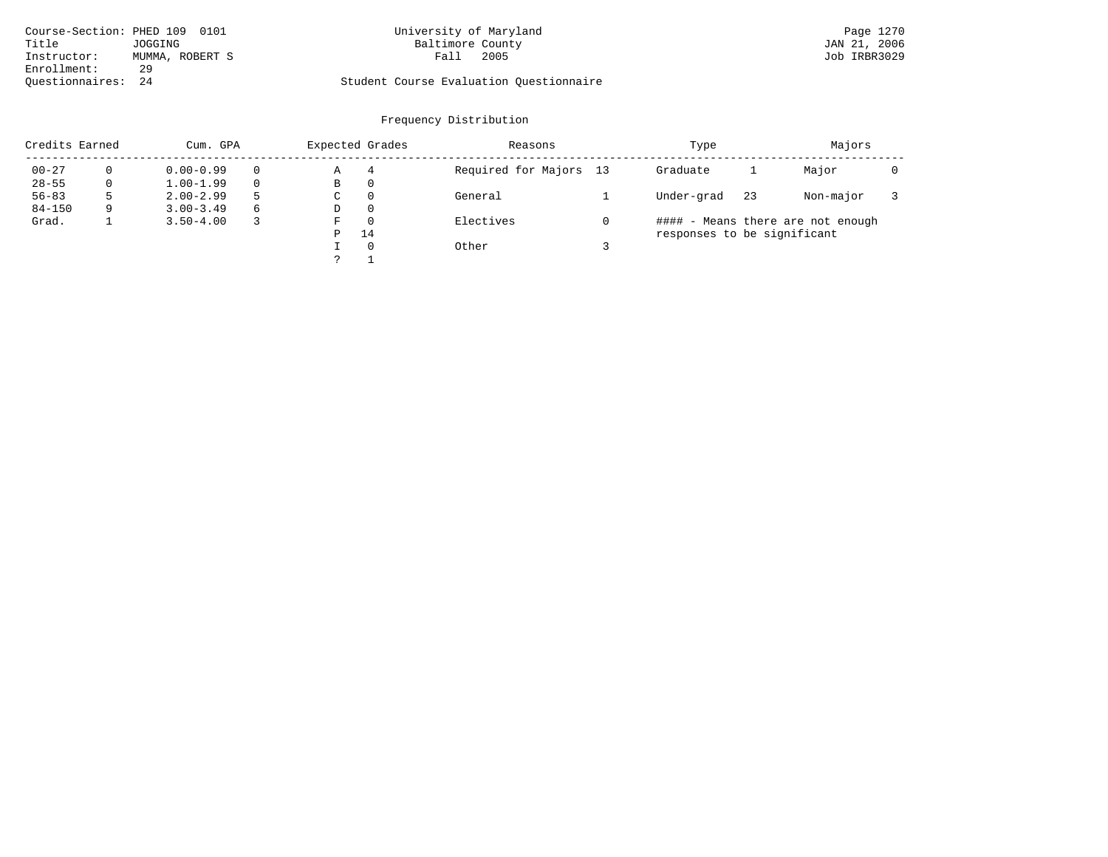| Course-Section: PHED 109 | 0101            | University of Maryland                  | Page 1270    |
|--------------------------|-----------------|-----------------------------------------|--------------|
| Title                    | JOGGING         | Baltimore County                        | JAN 21, 2006 |
| Instructor:              | MUMMA, ROBERT S | 2005<br>Fall                            | Job IRBR3029 |
| Enrollment:              | 29              |                                         |              |
| Ouestionnaires: 24       |                 | Student Course Evaluation Questionnaire |              |

# University of Maryland Page 1270 Page 1270 Page 1270 Page 1270 Page 1270 Page 1270 Page 1270 Page 1270 Page 1270

| Credits Earned |   | Cum. GPA      |          | Expected Grades |          | Reasons                | Type                        |    | Majors                            |  |
|----------------|---|---------------|----------|-----------------|----------|------------------------|-----------------------------|----|-----------------------------------|--|
| $00 - 27$      |   | $0.00 - 0.99$ | $\Omega$ | Α               | 4        | Required for Majors 13 | Graduate                    |    | Major                             |  |
| $28 - 55$      |   | $1.00 - 1.99$ |          | B               | 0        |                        |                             |    |                                   |  |
| $56 - 83$      |   | $2.00 - 2.99$ | 5        | C               | $\Omega$ | General                | Under-grad                  | 23 | Non-major                         |  |
| $84 - 150$     | q | $3.00 - 3.49$ | 6        | D               | 0        |                        |                             |    |                                   |  |
| Grad.          |   | $3.50 - 4.00$ |          | F               | $\Omega$ | Electives              |                             |    | #### - Means there are not enough |  |
|                |   |               |          | P               | 14       |                        | responses to be significant |    |                                   |  |
|                |   |               |          |                 | $\Omega$ | Other                  |                             |    |                                   |  |
|                |   |               |          |                 |          |                        |                             |    |                                   |  |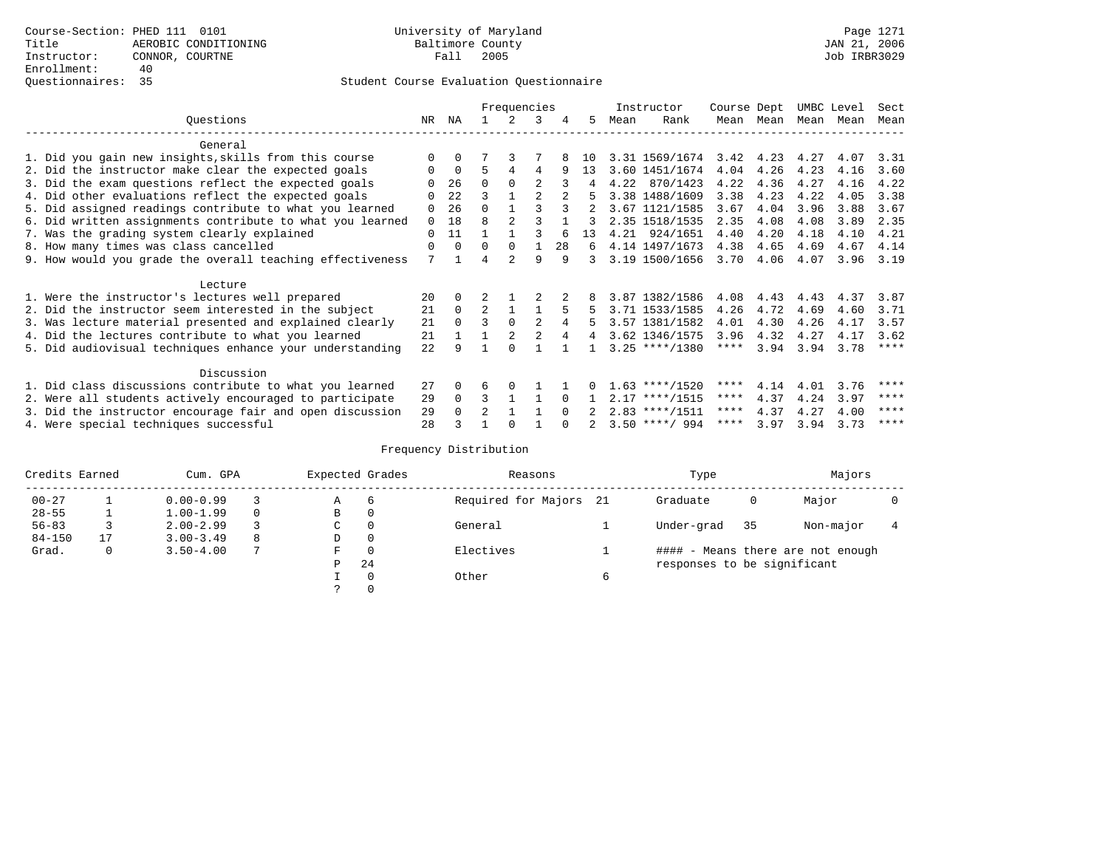|                                                           |          |          |                | Frequencies    |                |          |    |      | Instructor       | Course Dept |           | UMBC Level |           | Sect        |
|-----------------------------------------------------------|----------|----------|----------------|----------------|----------------|----------|----|------|------------------|-------------|-----------|------------|-----------|-------------|
| Ouestions                                                 | NR       | ΝA       |                | 2.             | 3              | 4        | 5. | Mean | Rank             |             | Mean Mean |            | Mean Mean | Mean        |
| General                                                   |          |          |                |                |                |          |    |      |                  |             |           |            |           |             |
| 1. Did you gain new insights, skills from this course     |          | $\Omega$ |                |                |                |          | 10 |      | 3.31 1569/1674   | 3.42        | 4.23      | 4.27       | 4.07      | 3.31        |
| 2. Did the instructor make clear the expected goals       | O        | $\Omega$ | 5              | 4              | 4              | 9        | 13 |      | 3.60 1451/1674   | 4.04        | 4.26      | 4.23       | 4.16      | 3.60        |
| 3. Did the exam questions reflect the expected goals      |          | 26       | $\Omega$       | $\Omega$       | $\mathfrak{D}$ |          | 4  |      | 4.22 870/1423    | 4.22        | 4.36      | 4.27       | 4.16      | 4.22        |
| 4. Did other evaluations reflect the expected goals       |          | 22       | ς              |                |                |          |    |      | 3.38 1488/1609   | 3.38        | 4.23      | 4.22       | 4.05      | 3.38        |
| 5. Did assigned readings contribute to what you learned   | O        | 26       | 0              |                |                |          |    |      | 3.67 1121/1585   | 3.67        | 4.04      | 3.96       | 3.88      | 3.67        |
| 6. Did written assignments contribute to what you learned | $\Omega$ | 18       | 8              | $\mathfrak{D}$ |                |          |    |      | 2.35 1518/1535   | 2.35        | 4.08      | 4.08       | 3.89      | 2.35        |
| 7. Was the grading system clearly explained               | $\Omega$ | 11       |                |                |                |          | 13 |      | 4.21 924/1651    | 4.40        | 4.20      | 4.18       | 4.10      | 4.21        |
| 8. How many times was class cancelled                     | $\Omega$ | $\Omega$ | $\Omega$       | $\Omega$       |                | 28       | 6  |      | 4.14 1497/1673   | 4.38        | 4.65      | 4.69       | 4.67      | 4.14        |
| 9. How would you grade the overall teaching effectiveness | 7        |          |                |                | 9              | 9        | 3  |      | 3.19 1500/1656   | 3.70        | 4.06      | 4.07       | 3.96      | 3.19        |
| Lecture                                                   |          |          |                |                |                |          |    |      |                  |             |           |            |           |             |
| 1. Were the instructor's lectures well prepared           | 20       | $\Omega$ |                |                |                |          |    |      | 3.87 1382/1586   | 4.08        | 4.43      | 4.43       | 4.37      | 3.87        |
| 2. Did the instructor seem interested in the subject      | 21       | $\Omega$ | $\overline{2}$ |                |                |          |    |      | 3.71 1533/1585   | 4.26        | 4.72      | 4.69       | 4.60      | 3.71        |
| 3. Was lecture material presented and explained clearly   | 21       | $\Omega$ | 3              | $\Omega$       | 2              |          | 5. |      | 3.57 1381/1582   | 4.01        | 4.30      | 4.26       | 4.17      | 3.57        |
| 4. Did the lectures contribute to what you learned        | 21       |          |                |                |                |          | 4  |      | 3.62 1346/1575   | 3.96        | 4.32      | 4.27       | 4.17      | 3.62        |
| 5. Did audiovisual techniques enhance your understanding  | 2.2.     | a        |                |                |                |          |    |      | $3.25$ ****/1380 | ****        | 3.94      | 3.94       | 3.78      | $***$ * * * |
| Discussion                                                |          |          |                |                |                |          |    |      |                  |             |           |            |           |             |
| 1. Did class discussions contribute to what you learned   | 27       | $\Omega$ | 6              | $\Omega$       |                |          |    |      | $1.63$ ****/1520 | ****        | 4.14      | 4.01       | 3.76      | ****        |
| 2. Were all students actively encouraged to participate   | 29       | $\Omega$ | 3              |                |                | $\Omega$ |    |      | $2.17$ ****/1515 | ****        | 4.37      | 4.24       | 3.97      | ****        |
| 3. Did the instructor encourage fair and open discussion  | 29       |          | 2              |                |                |          |    |      | $2.83$ ****/1511 | ****        | 4.37      | 4.27       | 4.00      | ****        |
| 4. Were special techniques successful                     | 28       |          |                |                |                |          |    |      | $3.50$ ****/ 994 | ****        | 3.97      | 3.94       | 3.73      | ****        |

| Credits Earned |    | Cum. GPA      |   |   | Expected Grades | Reasons                | Type                        |    | Majors                            |  |
|----------------|----|---------------|---|---|-----------------|------------------------|-----------------------------|----|-----------------------------------|--|
| $00 - 27$      |    | $0.00 - 0.99$ |   | Α | 6               | Required for Majors 21 | Graduate                    | 0  | Major                             |  |
| $28 - 55$      |    | $1.00 - 1.99$ |   | B | 0               |                        |                             |    |                                   |  |
| $56 - 83$      |    | $2.00 - 2.99$ |   | C | 0               | General                | Under-grad                  | 35 | Non-major                         |  |
| $84 - 150$     | 17 | $3.00 - 3.49$ | 8 | D | 0               |                        |                             |    |                                   |  |
| Grad.          | 0  | $3.50 - 4.00$ |   | F | $\Omega$        | Electives              |                             |    | #### - Means there are not enough |  |
|                |    |               |   | Ρ | 24              |                        | responses to be significant |    |                                   |  |
|                |    |               |   |   | $\Omega$        | Other                  |                             |    |                                   |  |
|                |    |               |   |   |                 |                        |                             |    |                                   |  |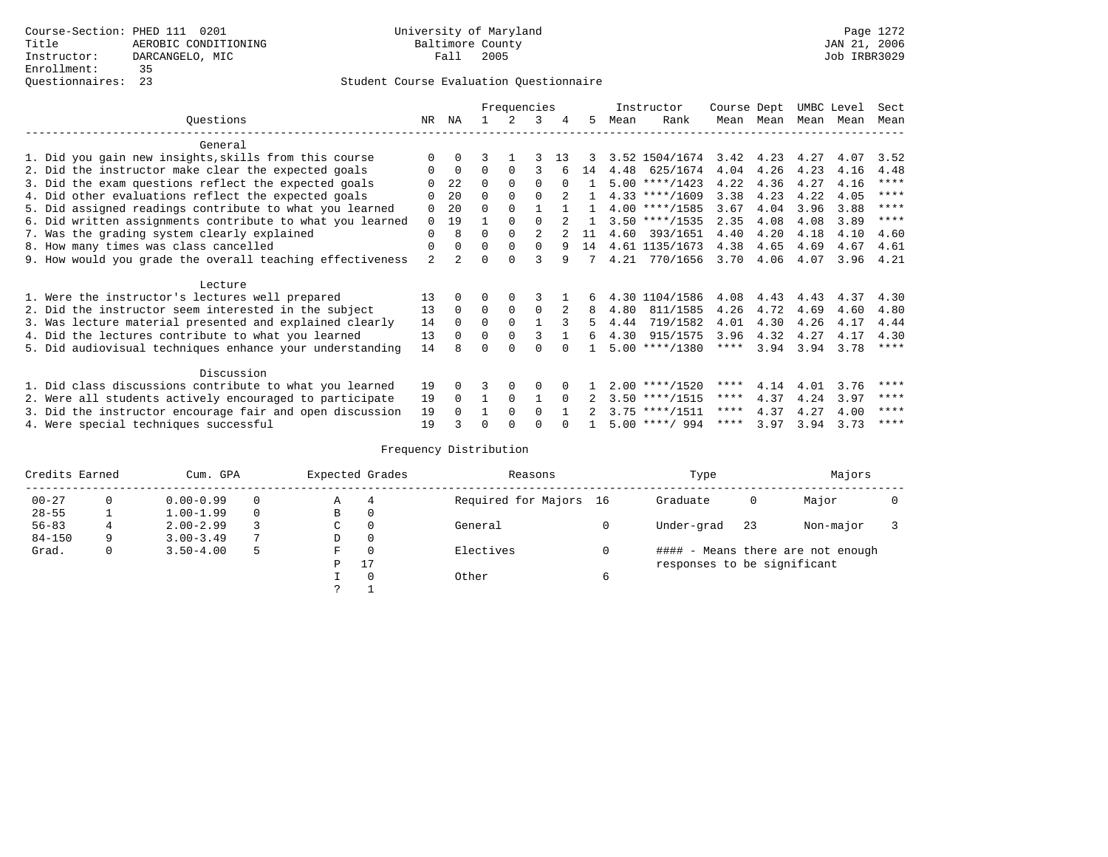|                                                           |                     |                |          | Frequencies |          |          |    |      | Instructor       | Course Dept |      | UMBC Level |      | Sect        |
|-----------------------------------------------------------|---------------------|----------------|----------|-------------|----------|----------|----|------|------------------|-------------|------|------------|------|-------------|
| Questions                                                 | NR                  | ΝA             |          |             | 3        | 4        | 5  | Mean | Rank             | Mean        | Mean | Mean       | Mean | Mean        |
| General                                                   |                     |                |          |             |          |          |    |      |                  |             |      |            |      |             |
| 1. Did you gain new insights, skills from this course     |                     | $\Omega$       |          |             |          | 13       |    |      | 3.52 1504/1674   | 3.42        | 4.23 | 4.27       | 4.07 | 3.52        |
| 2. Did the instructor make clear the expected goals       |                     | $\mathbf 0$    | $\Omega$ | $\Omega$    | ς        |          | 14 |      | 4.48 625/1674    | 4.04        | 4.26 | 4.23       | 4.16 | 4.48        |
| 3. Did the exam questions reflect the expected goals      |                     | 22             | $\Omega$ | $\Omega$    | $\Omega$ | $\Omega$ |    |      | $5.00$ ****/1423 | 4.22        | 4.36 | 4.27       | 4.16 | $* * * * *$ |
| 4. Did other evaluations reflect the expected goals       |                     | 20             | $\Omega$ | $\Omega$    |          |          |    |      | $4.33$ ****/1609 | 3.38        | 4.23 | 4.22       | 4.05 | ****        |
| 5. Did assigned readings contribute to what you learned   | 0                   | 20             | $\Omega$ | $\Omega$    |          |          |    |      | $4.00$ ****/1585 | 3.67        | 4.04 | 3.96       | 3.88 | $* * * * *$ |
| 6. Did written assignments contribute to what you learned | $\Omega$            | 19             |          | $\Omega$    |          |          |    |      | $3.50$ ****/1535 | 2.35        | 4.08 | 4.08       | 3.89 | $* * * *$   |
|                                                           | 0                   | 8              | U        | $\Omega$    | 2        |          | 11 | 4.60 | 393/1651         | 4.40        | 4.20 | 4.18       | 4.10 | 4.60        |
| 7. Was the grading system clearly explained               |                     |                |          | $\Omega$    | $\Omega$ | 9        |    |      |                  |             |      |            |      |             |
| 8. How many times was class cancelled                     | 0<br>$\overline{a}$ | $\Omega$       | 0        | $\cap$      |          |          | 14 |      | 4.61 1135/1673   | 4.38        | 4.65 | 4.69       | 4.67 | 4.61        |
| 9. How would you grade the overall teaching effectiveness |                     | $\overline{2}$ |          |             |          | 9        |    |      | 4.21 770/1656    | 3.70        | 4.06 | 4.07       | 3.96 | 4.21        |
| Lecture                                                   |                     |                |          |             |          |          |    |      |                  |             |      |            |      |             |
| 1. Were the instructor's lectures well prepared           | 13                  |                |          | 0           |          |          | 6  |      | 4.30 1104/1586   | 4.08        | 4.43 | 4.43       | 4.37 | 4.30        |
| 2. Did the instructor seem interested in the subject      | 13                  | $\Omega$       | 0        | 0           | 0        |          | 8  | 4.80 | 811/1585         | 4.26        | 4.72 | 4.69       | 4.60 | 4.80        |
| 3. Was lecture material presented and explained clearly   | 14                  | $\Omega$       | $\Omega$ | $\Omega$    |          |          | 5  | 4.44 | 719/1582         | 4.01        | 4.30 | 4.26       | 4.17 | 4.44        |
| 4. Did the lectures contribute to what you learned        | 13                  | $\Omega$       | 0        | 0           | 3        |          | б. | 4.30 | 915/1575         | 3.96        | 4.32 | 4.27       | 4.17 | 4.30        |
| 5. Did audiovisual techniques enhance your understanding  | 14                  |                |          |             |          |          |    |      | $5.00$ ****/1380 | ****        | 3.94 | 3.94       | 3.78 | $***$ * *   |
|                                                           |                     |                |          |             |          |          |    |      |                  |             |      |            |      |             |
| Discussion                                                |                     |                |          |             |          |          |    |      |                  |             |      |            |      |             |
| 1. Did class discussions contribute to what you learned   | 19                  | 0              | ζ        | $\Omega$    | 0        |          |    |      | $2.00$ ****/1520 | ****        | 4.14 | 4.01       | 3.76 | ****        |
| 2. Were all students actively encouraged to participate   | 19                  | $\Omega$       |          | 0           |          |          |    |      | $3.50$ ****/1515 | $***$ * *   | 4.37 | 4.24       | 3.97 | $* * * * *$ |
| 3. Did the instructor encourage fair and open discussion  | 19                  |                |          | $\Omega$    | 0        |          |    |      | $3.75$ ****/1511 | ****        | 4.37 | 4.27       | 4.00 | ****        |
| 4. Were special techniques successful                     | 19                  |                |          |             |          |          |    |      | $5.00$ ****/ 994 | **** 3.97   |      | 3.94       | 3.73 | ****        |

| Credits Earned |   | Cum. GPA      |   |   | Expected Grades | Reasons                | Type                        |    | Majors                            |  |
|----------------|---|---------------|---|---|-----------------|------------------------|-----------------------------|----|-----------------------------------|--|
| $00 - 27$      | 0 | $0.00 - 0.99$ |   | Α | 4               | Required for Majors 16 | Graduate                    | 0  | Major                             |  |
| $28 - 55$      |   | $1.00 - 1.99$ |   | B | 0               |                        |                             |    |                                   |  |
| $56 - 83$      |   | $2.00 - 2.99$ |   | C | 0               | General                | Under-grad                  | 23 | Non-major                         |  |
| $84 - 150$     | 9 | $3.00 - 3.49$ |   | D | 0               |                        |                             |    |                                   |  |
| Grad.          | 0 | $3.50 - 4.00$ | 5 | F | $\Omega$        | Electives              |                             |    | #### - Means there are not enough |  |
|                |   |               |   | Ρ | 17              |                        | responses to be significant |    |                                   |  |
|                |   |               |   |   | $\Omega$        | Other                  |                             |    |                                   |  |
|                |   |               |   | っ |                 |                        |                             |    |                                   |  |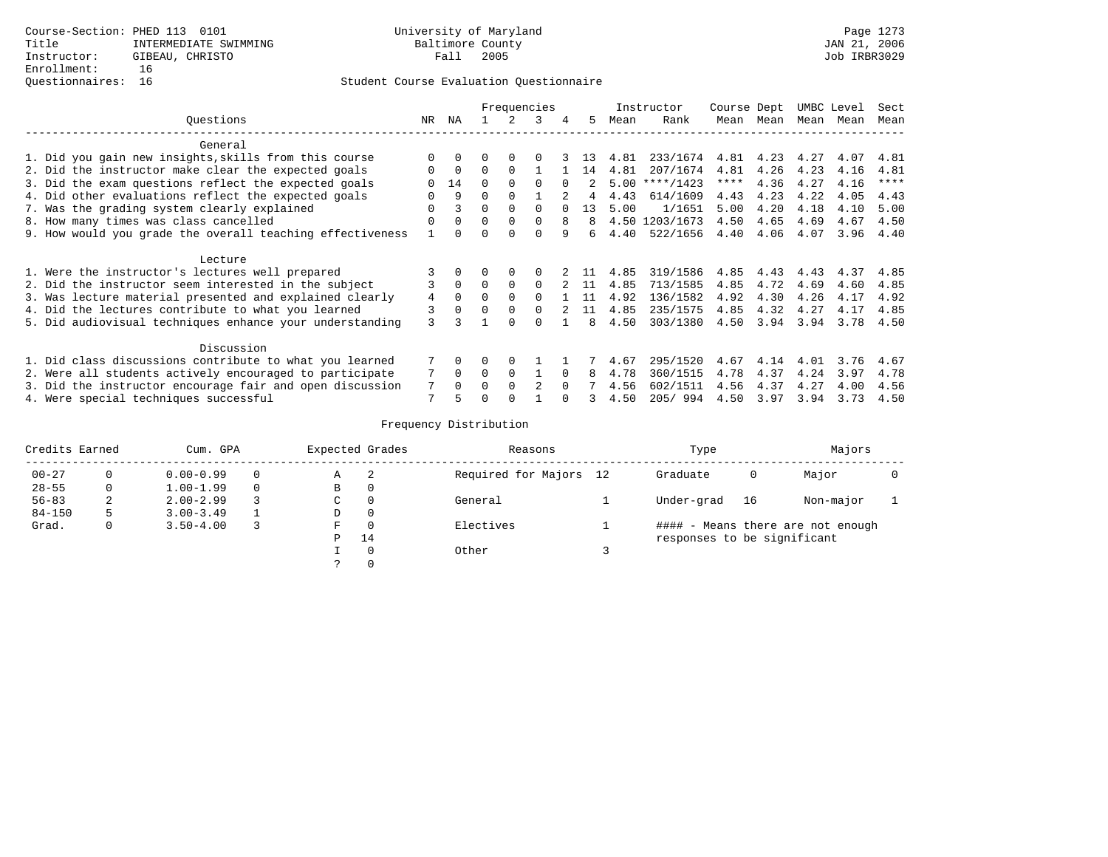|                                                           |          |              | Frequencies |             |          |          |                |      | Instructor     | Course Dept |      | UMBC Level |      | Sect |
|-----------------------------------------------------------|----------|--------------|-------------|-------------|----------|----------|----------------|------|----------------|-------------|------|------------|------|------|
| Ouestions                                                 | NR       | ΝA           |             | 2           | 3        |          | 5.             | Mean | Rank           | Mean        | Mean | Mean       | Mean | Mean |
| General                                                   |          |              |             |             |          |          |                |      |                |             |      |            |      |      |
| 1. Did you gain new insights, skills from this course     | $\Omega$ |              |             |             |          |          | 13             | 4.81 | 233/1674       | 4.81        | 4.23 | 4.27       | 4.07 | 4.81 |
| 2. Did the instructor make clear the expected goals       | $\Omega$ | $\Omega$     | $\Omega$    | $\Omega$    |          |          | 14             | 4.81 | 207/1674       | 4.81        | 4.26 | 4.23       | 4.16 | 4.81 |
| 3. Did the exam questions reflect the expected goals      | $\Omega$ | 14           | $\Omega$    | $\Omega$    | $\Omega$ |          | $\overline{2}$ | 5.00 | $***/1423$     | $***$ * *   | 4.36 | 4.27       | 4.16 | **** |
| 4. Did other evaluations reflect the expected goals       | O        | 9            | $\Omega$    | $\Omega$    |          |          | 4              | 4.43 | 614/1609       | 4.43        | 4.23 | 4.22       | 4.05 | 4.43 |
| 7. Was the grading system clearly explained               | U        | 3            | 0           | $\Omega$    | $\Omega$ |          | 13             | 5.00 | 1/1651         | 5.00        | 4.20 | 4.18       | 4.10 | 5.00 |
| 8. How many times was class cancelled                     | $\Omega$ | $\Omega$     | $\Omega$    | $\Omega$    | $\Omega$ | 8        | 8              |      | 4.50 1203/1673 | 4.50        | 4.65 | 4.69       | 4.67 | 4.50 |
| 9. How would you grade the overall teaching effectiveness |          | $\Omega$     |             |             | $\cap$   | 9        |                | 4.40 | 522/1656       | 4.40        | 4.06 | 4.07       | 3.96 | 4.40 |
| Lecture                                                   |          |              |             |             |          |          |                |      |                |             |      |            |      |      |
| 1. Were the instructor's lectures well prepared           |          |              |             |             |          |          | -11            | 4.85 | 319/1586       | 4.85        | 4.43 | 4.43       | 4.37 | 4.85 |
| 2. Did the instructor seem interested in the subject      |          | $\Omega$     | $\Omega$    | $\Omega$    | $\Omega$ |          | 11             | 4.85 | 713/1585       | 4.85        | 4.72 | 4.69       | 4.60 | 4.85 |
| 3. Was lecture material presented and explained clearly   | 4        | $\mathbf{0}$ | $\Omega$    | $\Omega$    | $\Omega$ |          | 11             | 4.92 | 136/1582       | 4.92        | 4.30 | 4.26       | 4.17 | 4.92 |
| 4. Did the lectures contribute to what you learned        | 3        | $\mathbf 0$  | $\Omega$    | $\mathbf 0$ | $\Omega$ |          |                | 4.85 | 235/1575       | 4.85        | 4.32 | 4.27       | 4.17 | 4.85 |
| 5. Did audiovisual techniques enhance your understanding  | 3        | 3            |             | $\Omega$    |          |          |                | 4.50 | 303/1380       | 4.50        | 3.94 | 3.94       | 3.78 | 4.50 |
| Discussion                                                |          |              |             |             |          |          |                |      |                |             |      |            |      |      |
| 1. Did class discussions contribute to what you learned   |          | $\Omega$     | $\Omega$    | $\Omega$    |          |          |                | 4.67 | 295/1520       | 4.67        | 4.14 | 4.01       | 3.76 | 4.67 |
| 2. Were all students actively encouraged to participate   |          | $\Omega$     | $\Omega$    | $\Omega$    |          | $\Omega$ | 8              | 4.78 | 360/1515       | 4.78        | 4.37 | 4.24       | 3.97 | 4.78 |
| 3. Did the instructor encourage fair and open discussion  | 7        | $\Omega$     | $\Omega$    | $\Omega$    | 2        | $\Omega$ | 7              | 4.56 | 602/1511       | 4.56        | 4.37 | 4.27       | 4.00 | 4.56 |
| 4. Were special techniques successful                     | 7        |              |             |             |          |          |                | 4.50 | 205/994        | 4.50        | 3.97 | 3.94       | 3.73 | 4.50 |

| Credits Earned |   | Cum. GPA      |   | Expected Grades | Reasons                | Type                        |    | Majors                            |  |
|----------------|---|---------------|---|-----------------|------------------------|-----------------------------|----|-----------------------------------|--|
| $00 - 27$      | 0 | $0.00 - 0.99$ | Α | 2               | Required for Majors 12 | Graduate                    | 0  | Major                             |  |
| $28 - 55$      | 0 | $1.00 - 1.99$ | В | 0               |                        |                             |    |                                   |  |
| $56 - 83$      | 2 | $2.00 - 2.99$ | C | 0               | General                | Under-grad                  | 16 | Non-major                         |  |
| $84 - 150$     | 5 | $3.00 - 3.49$ | D | 0               |                        |                             |    |                                   |  |
| Grad.          | 0 | $3.50 - 4.00$ | F | $\Omega$        | Electives              |                             |    | #### - Means there are not enough |  |
|                |   |               | Ρ | 14              |                        | responses to be significant |    |                                   |  |
|                |   |               |   | 0               | Other                  |                             |    |                                   |  |
|                |   |               | C |                 |                        |                             |    |                                   |  |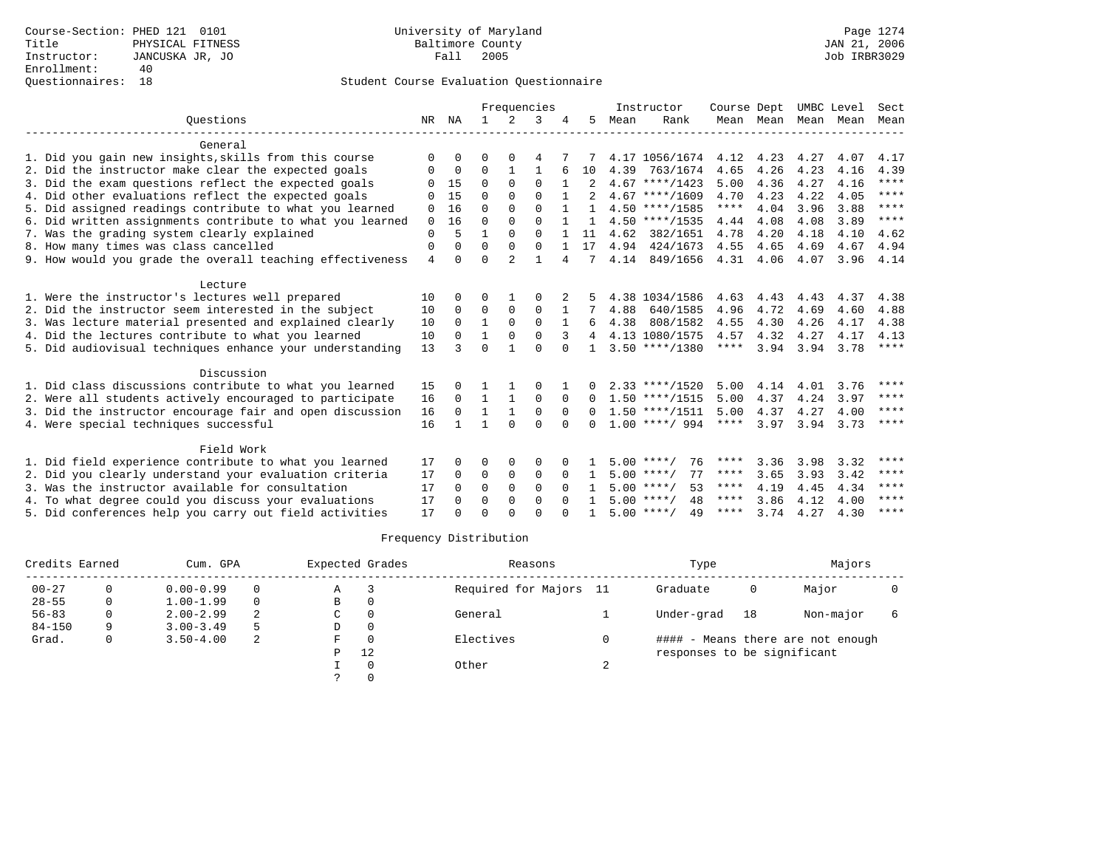|                |              |              |                |              |              |              |      |          |                                                                                                                                                                                                                                                                                                                                          |                                    |                     |                           | Sect               |
|----------------|--------------|--------------|----------------|--------------|--------------|--------------|------|----------|------------------------------------------------------------------------------------------------------------------------------------------------------------------------------------------------------------------------------------------------------------------------------------------------------------------------------------------|------------------------------------|---------------------|---------------------------|--------------------|
| NR             | ΝA           | $\mathbf{1}$ | 2              | 3            |              | 5.           | Mean | Rank     |                                                                                                                                                                                                                                                                                                                                          |                                    | Mean                | Mean                      | Mean               |
|                |              |              |                |              |              |              |      |          |                                                                                                                                                                                                                                                                                                                                          |                                    |                     |                           |                    |
| $\Omega$       | 0            | 0            | $\Omega$       | 4            |              |              |      |          | 4.12                                                                                                                                                                                                                                                                                                                                     | 4.23                               | 4.27                | 4.07                      | 4.17               |
| 0              | 0            | 0            | 1              | 1            |              | 10           | 4.39 | 763/1674 | 4.65                                                                                                                                                                                                                                                                                                                                     | 4.26                               | 4.23                | 4.16                      | 4.39               |
| ∩              | 15           | $\Omega$     | $\Omega$       | $\Omega$     |              |              |      |          | 5.00                                                                                                                                                                                                                                                                                                                                     | 4.36                               | 4.27                | 4.16                      | $***$              |
|                | 15           | U            | 0              | $\Omega$     |              |              |      |          | 4.70                                                                                                                                                                                                                                                                                                                                     | 4.23                               | 4.22                | 4.05                      | ****               |
| 0              | 16           | $\Omega$     | 0              | $\Omega$     |              |              |      |          | $***$ * * *                                                                                                                                                                                                                                                                                                                              | 4.04                               | 3.96                | 3.88                      | $* * * * *$        |
| $\Omega$       | 16           | $\Omega$     | $\Omega$       | $\Omega$     |              | 1            |      |          | 4.44                                                                                                                                                                                                                                                                                                                                     | 4.08                               | 4.08                | 3.89                      | $* * * * *$        |
| $\Omega$       | 5            | 1            | $\Omega$       | $\Omega$     |              | 11           | 4.62 | 382/1651 | 4.78                                                                                                                                                                                                                                                                                                                                     | 4.20                               | 4.18                | 4.10                      | 4.62               |
| $\mathbf 0$    | $\Omega$     | $\Omega$     | $\Omega$       | $\Omega$     |              | 17           |      | 424/1673 | 4.55                                                                                                                                                                                                                                                                                                                                     | 4.65                               | 4.69                | 4.67                      | 4.94               |
| $\overline{4}$ | $\Omega$     | $\Omega$     | $\overline{2}$ | $\mathbf{1}$ | 4            |              |      |          |                                                                                                                                                                                                                                                                                                                                          |                                    |                     | 3.96                      | 4.14               |
|                |              |              |                |              |              |              |      |          |                                                                                                                                                                                                                                                                                                                                          |                                    |                     |                           |                    |
| 10             | <sup>0</sup> | <sup>0</sup> |                | $\Omega$     |              |              |      |          | 4.63                                                                                                                                                                                                                                                                                                                                     | 4.43                               | 4.43                | 4.37                      | 4.38               |
| 10             | $\Omega$     | 0            | $\mathbf 0$    | $\mathbf 0$  |              |              | 4.88 | 640/1585 | 4.96                                                                                                                                                                                                                                                                                                                                     | 4.72                               | 4.69                | 4.60                      | 4.88               |
| 10             | $\Omega$     | $\mathbf{1}$ | $\Omega$       | $\Omega$     |              |              | 4.38 | 808/1582 | 4.55                                                                                                                                                                                                                                                                                                                                     | 4.30                               | 4.26                | 4.17                      | 4.38               |
| 10             | $\Omega$     | 1            | $\Omega$       | $\Omega$     | 3            |              |      |          | 4.57                                                                                                                                                                                                                                                                                                                                     | 4.32                               | 4.27                | 4.17                      | 4.13               |
| 13             |              | $\cap$       |                | $\Omega$     | $\Omega$     | $\mathbf{1}$ |      |          | ****                                                                                                                                                                                                                                                                                                                                     | 3.94                               | 3.94                | 3.78                      | $***$ * * *        |
|                |              |              |                |              |              |              |      |          |                                                                                                                                                                                                                                                                                                                                          |                                    |                     |                           |                    |
| 15             | <sup>0</sup> |              |                | $\Omega$     |              | 0            |      |          | 5.00                                                                                                                                                                                                                                                                                                                                     | 4.14                               | 4.01                | 3.76                      | ****               |
| 16             | $\Omega$     | 1            |                | $\Omega$     | $\Omega$     | 0            |      |          | 5.00                                                                                                                                                                                                                                                                                                                                     | 4.37                               | 4.24                | 3.97                      | ****               |
| 16             | $\Omega$     | $\mathbf{1}$ | $\mathbf{1}$   | $\Omega$     | $\Omega$     | 0            |      |          | 5.00                                                                                                                                                                                                                                                                                                                                     | 4.37                               | 4.27                | 4.00                      | ****               |
| 16             |              | 1            | $\Omega$       | $\Omega$     | <sup>0</sup> | 0            |      |          | ****                                                                                                                                                                                                                                                                                                                                     | 3.97                               | 3.94                | 3.73                      | ****               |
|                |              |              |                |              |              |              |      |          |                                                                                                                                                                                                                                                                                                                                          |                                    |                     |                           |                    |
|                | <sup>0</sup> | O            | $\Omega$       | $\Omega$     |              |              |      |          | ****                                                                                                                                                                                                                                                                                                                                     | 3.36                               |                     |                           | ****               |
| 17             | 0            | 0            | $\mathbf 0$    | $\mathbf 0$  | $\Omega$     |              |      | 77       | ****                                                                                                                                                                                                                                                                                                                                     | 3.65                               | 3.93                | 3.42                      | ****               |
| 17             | $\Omega$     | $\Omega$     | $\Omega$       | $\Omega$     | $\Omega$     |              |      | 53       | ****                                                                                                                                                                                                                                                                                                                                     | 4.19                               | 4.45                | 4.34                      | ****               |
| 17             | <sup>0</sup> | $\Omega$     | $\Omega$       | $\Omega$     | $\Omega$     |              |      | 48       | ****                                                                                                                                                                                                                                                                                                                                     | 3.86                               | 4.12                | 4.00                      | ****               |
| 17             |              | $\Omega$     | $\cap$         | $\cap$       |              |              |      | 49       | ****                                                                                                                                                                                                                                                                                                                                     | 3.74                               | 4.27                | 4.30                      | ****               |
|                | 17           |              |                |              |              | Frequencies  |      |          | Instructor<br>$4.67$ ****/1423<br>$4.67$ ****/1609<br>$4.50$ ****/1585<br>$4.50$ ****/1535<br>4.94<br>4.14<br>4.38 1034/1586<br>4.13 1080/1575<br>$3.50$ ****/1380<br>$2.33$ ****/1520<br>$1.50$ ****/1515<br>$1.50$ ****/1511<br>$1.00$ ****/ 994<br>76<br>$5.00$ ****/<br>$5.00$ ****/<br>$5.00$ ****/<br>$5.00$ ****/<br>$5.00$ ****/ | 4.17 1056/1674<br>4.31<br>849/1656 | Course Dept<br>4.06 | Mean Mean<br>4.07<br>3.98 | UMBC Level<br>3.32 |

| Credits Earned |   | Cum. GPA      |   |    | Expected Grades | Reasons                |   | Type                        |    | Majors                            |  |
|----------------|---|---------------|---|----|-----------------|------------------------|---|-----------------------------|----|-----------------------------------|--|
| $00 - 27$      |   | $0.00 - 0.99$ |   | Α  |                 | Required for Majors 11 |   | Graduate                    | 0  | Major                             |  |
| $28 - 55$      | 0 | $1.00 - 1.99$ |   | B  | $\Omega$        |                        |   |                             |    |                                   |  |
| $56 - 83$      |   | $2.00 - 2.99$ | 2 | C  | $\Omega$        | General                |   | Under-grad                  | 18 | Non-major                         |  |
| $84 - 150$     | a | $3.00 - 3.49$ | 5 | D  | $\Omega$        |                        |   |                             |    |                                   |  |
| Grad.          | 0 | $3.50 - 4.00$ | 2 | F. | $\Omega$        | Electives              |   |                             |    | #### - Means there are not enough |  |
|                |   |               |   | P  | 12              |                        |   | responses to be significant |    |                                   |  |
|                |   |               |   |    | $\Omega$        | Other                  | ▵ |                             |    |                                   |  |
|                |   |               |   |    |                 |                        |   |                             |    |                                   |  |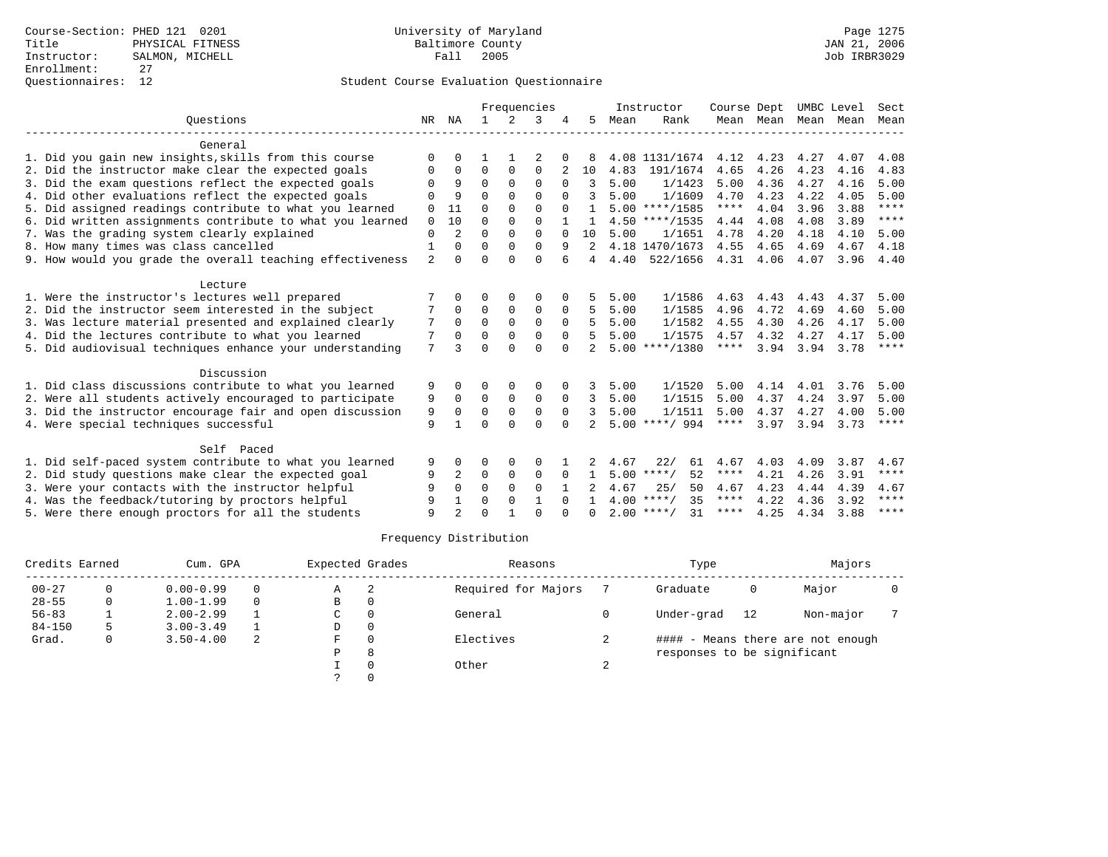|                                                           |                |                |              |             | Frequencies |          |               |      | Instructor         | Course Dept |           | UMBC Level |      | Sect        |
|-----------------------------------------------------------|----------------|----------------|--------------|-------------|-------------|----------|---------------|------|--------------------|-------------|-----------|------------|------|-------------|
| Ouestions                                                 | NR             | NA             | $\mathbf{1}$ | $2^{1}$     | 3           |          | 5.            | Mean | Rank               |             | Mean Mean | Mean       | Mean | Mean        |
| General                                                   |                |                |              |             |             |          |               |      |                    |             |           |            |      |             |
| 1. Did you gain new insights, skills from this course     | $\Omega$       |                |              |             |             |          |               |      | 4.08 1131/1674     | 4.12        | 4.23      | 4.27       | 4.07 | 4.08        |
| 2. Did the instructor make clear the expected goals       | 0              | $\Omega$       | $\Omega$     | $\Omega$    | $\Omega$    |          | 10            | 4.83 | 191/1674           | 4.65        | 4.26      | 4.23       | 4.16 | 4.83        |
| 3. Did the exam questions reflect the expected goals      |                | 9              | $\Omega$     | $\Omega$    | $\Omega$    |          |               | 5.00 | 1/1423             | 5.00        | 4.36      | 4.27       | 4.16 | 5.00        |
| 4. Did other evaluations reflect the expected goals       |                | 9              | $\Omega$     | $\Omega$    | $\cap$      |          | 3             | 5.00 | 1/1609             | 4.70        | 4.23      | 4.22       | 4.05 | 5.00        |
| 5. Did assigned readings contribute to what you learned   | $\mathbf 0$    | 11             | $\Omega$     | $\Omega$    | $\Omega$    |          |               |      | $5.00$ ****/1585   | ****        | 4.04      | 3.96       | 3.88 | $* * * * *$ |
| 6. Did written assignments contribute to what you learned | $\Omega$       | 10             | $\Omega$     | $\Omega$    | $\Omega$    |          |               |      | $4.50$ ****/1535   | 4.44        | 4.08      | 4.08       | 3.89 | $* * * * *$ |
| 7. Was the grading system clearly explained               | $\Omega$       |                | $\Omega$     | $\Omega$    | $\Omega$    |          | 1 O           | 5.00 | 1/1651             | 4.78        | 4.20      | 4.18       | 4.10 | 5.00        |
| 8. How many times was class cancelled                     |                | $\Omega$       | $\Omega$     | $\Omega$    | $\Omega$    | 9        | 2             |      | 4.18 1470/1673     | 4.55        | 4.65      | 4.69       | 4.67 | 4.18        |
| 9. How would you grade the overall teaching effectiveness | $\overline{2}$ | $\Omega$       | $\Omega$     | $\cap$      | $\Omega$    | 6        | 4             | 4.40 | 522/1656           | 4.31        | 4.06      | 4.07       | 3.96 | 4.40        |
| Lecture                                                   |                |                |              |             |             |          |               |      |                    |             |           |            |      |             |
| 1. Were the instructor's lectures well prepared           |                |                | ∩            | $\Omega$    | $\Omega$    |          |               | 5.00 | 1/1586             | 4.63        | 4.43      | 4.43       | 4.37 | 5.00        |
| 2. Did the instructor seem interested in the subject      |                | $\Omega$       | $\Omega$     | 0           | 0           | $\Omega$ | 5             | 5.00 | 1/1585             | 4.96        | 4.72      | 4.69       | 4.60 | 5.00        |
| 3. Was lecture material presented and explained clearly   | 7              | $\Omega$       | $\Omega$     | $\Omega$    | $\Omega$    | $\Omega$ | 5             | 5.00 | 1/1582             | 4.55        | 4.30      | 4.26       | 4.17 | 5.00        |
| 4. Did the lectures contribute to what you learned        | 7              | $\Omega$       | $\Omega$     | $\Omega$    | $\Omega$    | $\Omega$ | 5             | 5.00 | 1/1575             | 4.57        | 4.32      | 4.27       | 4.17 | 5.00        |
| 5. Did audiovisual techniques enhance your understanding  | 7              | २              | $\Omega$     | $\cap$      | $\Omega$    | $\cap$   |               |      | $5.00$ ****/1380   | $***$ * * * | 3.94      | 3.94       | 3.78 | $***$ * * * |
| Discussion                                                |                |                |              |             |             |          |               |      |                    |             |           |            |      |             |
| 1. Did class discussions contribute to what you learned   | 9              |                | $\Omega$     | $\Omega$    | $\Omega$    |          | 3             | 5.00 | 1/1520             | 5.00        | 4.14      | 4.01       | 3.76 | 5.00        |
| 2. Were all students actively encouraged to participate   | 9              | $\Omega$       | $\Omega$     | $\Omega$    | $\Omega$    | $\Omega$ | 3             | 5.00 | 1/1515             | 5.00        | 4.37      | 4.24       | 3.97 | 5.00        |
| 3. Did the instructor encourage fair and open discussion  | 9              | $\Omega$       | $\Omega$     | $\Omega$    | $\Omega$    | $\Omega$ | $\mathcal{L}$ | 5.00 | 1/1511             | 5.00        | 4.37      | 4.27       | 4.00 | 5.00        |
| 4. Were special techniques successful                     | 9              |                | $\Omega$     | $\Omega$    | $\Omega$    | $\Omega$ |               |      | $5.00$ ****/ 994   | $***$ * * * | 3.97      | 3.94       | 3.73 | $***$ * * * |
| Self Paced                                                |                |                |              |             |             |          |               |      |                    |             |           |            |      |             |
| 1. Did self-paced system contribute to what you learned   | 9              | $\Omega$       | $\Omega$     | $\Omega$    | $\Omega$    |          |               | 4.67 | 22/<br>61          | 4.67        | 4.03      | 4.09       | 3.87 | 4.67        |
| 2. Did study questions make clear the expected goal       | 9              | 2              | $\mathbf 0$  | $\mathbf 0$ | 0           | $\Omega$ |               |      | $5.00$ ****/<br>52 | $***$ * * * | 4.21      | 4.26       | 3.91 | $***$ * * * |
| 3. Were your contacts with the instructor helpful         | 9              | $\Omega$       | $\Omega$     | $\Omega$    | $\Omega$    |          |               | 4.67 | 25/<br>50          | 4.67        | 4.23      | 4.44       | 4.39 | 4.67        |
| 4. Was the feedback/tutoring by proctors helpful          | 9              |                | $\Omega$     | $\Omega$    |             |          |               |      | $4.00$ ****/<br>35 | $***$ * *   | 4.22      | 4.36       | 3.92 | ****        |
| 5. Were there enough proctors for all the students        | q              | $\mathfrak{D}$ | $\Omega$     |             | $\cap$      |          | <sup>n</sup>  |      | $2.00$ ****/<br>31 | ****        | 4.25      | 4.34       | 3.88 | $***$ * * * |

|            | Credits Earned<br>Cum. GPA |               |          | Expected Grades |                          | Reasons   |   | Type                        | Majors |                                   |  |
|------------|----------------------------|---------------|----------|-----------------|--------------------------|-----------|---|-----------------------------|--------|-----------------------------------|--|
| $00 - 27$  |                            | $0.00 - 0.99$ | $\Omega$ | Α               | Required for Majors<br>2 |           |   | Graduate                    | 0      | Major                             |  |
| $28 - 55$  | 0                          | $1.00 - 1.99$ | $\Omega$ | В               |                          |           |   |                             |        |                                   |  |
| $56 - 83$  |                            | $2.00 - 2.99$ |          | C               |                          | General   |   | Under-grad                  | 12     | Non-major                         |  |
| $84 - 150$ |                            | $3.00 - 3.49$ |          | D               |                          |           |   |                             |        |                                   |  |
| Grad.      | 0                          | $3.50 - 4.00$ | 2        | F               |                          | Electives |   |                             |        | #### - Means there are not enough |  |
|            |                            |               |          | P               | 8                        |           |   | responses to be significant |        |                                   |  |
|            |                            |               |          |                 |                          | Other     | ▵ |                             |        |                                   |  |
|            |                            |               |          |                 |                          |           |   |                             |        |                                   |  |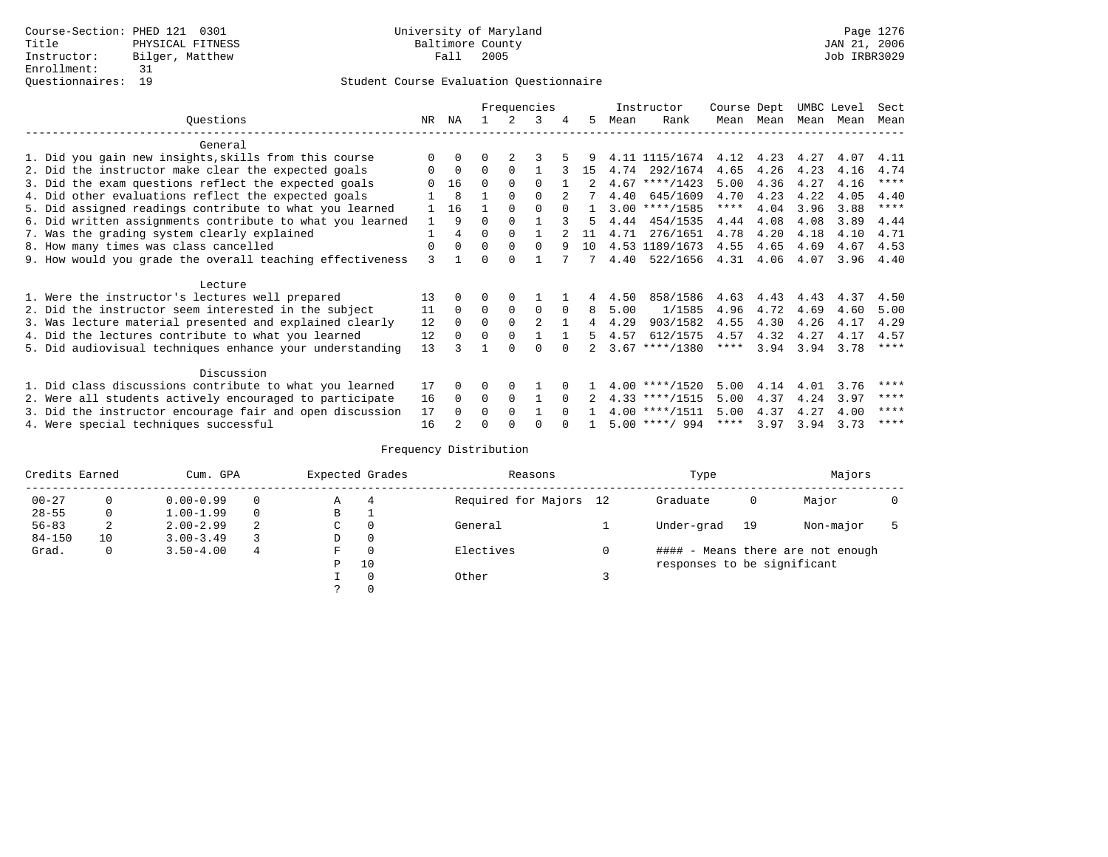|                                                           | Frequencies  |                |          |             | Instructor | Course Dept |    | UMBC Level |                  | Sect |           |           |      |             |
|-----------------------------------------------------------|--------------|----------------|----------|-------------|------------|-------------|----|------------|------------------|------|-----------|-----------|------|-------------|
| Ouestions                                                 | NR.          | ΝA             |          | 2           | 3          | 4           | 5. | Mean       | Rank             |      | Mean Mean | Mean Mean |      | Mean        |
| General                                                   |              |                |          |             |            |             |    |            |                  |      |           |           |      |             |
| 1. Did you gain new insights, skills from this course     |              | $\Omega$       | 0        |             |            |             |    |            | 4.11 1115/1674   | 4.12 | 4.23      | 4.27      | 4.07 | 4.11        |
| 2. Did the instructor make clear the expected goals       | O            | $\Omega$       | $\Omega$ | $\Omega$    |            |             | 15 | 4.74       | 292/1674         | 4.65 | 4.26      | 4.23      | 4.16 | 4.74        |
| 3. Did the exam questions reflect the expected goals      |              | 16             | $\Omega$ | $\Omega$    | $\Omega$   |             |    |            | $4.67$ ****/1423 | 5.00 | 4.36      | 4.27      | 4.16 | $***$ * * * |
| 4. Did other evaluations reflect the expected goals       |              | 8              |          | $\Omega$    | $\Omega$   |             |    | 4.40       | 645/1609         | 4.70 | 4.23      | 4.22      | 4.05 | 4.40        |
| 5. Did assigned readings contribute to what you learned   |              | 16             |          | $\Omega$    | $\Omega$   | $\Omega$    |    |            | $3.00$ ****/1585 | **** | 4.04      | 3.96      | 3.88 | ****        |
| 6. Did written assignments contribute to what you learned | $\mathbf{1}$ | 9              | $\Omega$ | $\Omega$    |            |             | 5  | 4.44       | 454/1535         | 4.44 | 4.08      | 4.08      | 3.89 | 4.44        |
| 7. Was the grading system clearly explained               |              | 4              | $\Omega$ | $\Omega$    |            |             | 11 | 4.71       | 276/1651         | 4.78 | 4.20      | 4.18      | 4.10 | 4.71        |
| 8. How many times was class cancelled                     | 0            | $\Omega$       | $\Omega$ | $\Omega$    | $\Omega$   | 9           | 10 |            | 4.53 1189/1673   | 4.55 | 4.65      | 4.69      | 4.67 | 4.53        |
| 9. How would you grade the overall teaching effectiveness | 3            |                | U        | $\cap$      |            |             |    | 4.40       | 522/1656         | 4.31 | 4.06      | 4.07      | 3.96 | 4.40        |
| Lecture                                                   |              |                |          |             |            |             |    |            |                  |      |           |           |      |             |
| 1. Were the instructor's lectures well prepared           | 13           |                |          | $\Omega$    |            |             |    | 4.50       | 858/1586         | 4.63 | 4.43      | 4.43      | 4.37 | 4.50        |
| 2. Did the instructor seem interested in the subject      | 11           | $\Omega$       | $\Omega$ | $\mathbf 0$ | $\Omega$   | $\Omega$    | 8  | 5.00       | 1/1585           | 4.96 | 4.72      | 4.69      | 4.60 | 5.00        |
| 3. Was lecture material presented and explained clearly   | 12           | $\overline{0}$ | $\Omega$ | $\Omega$    | 2          |             | 4  | 4.29       | 903/1582         | 4.55 | 4.30      | 4.26      | 4.17 | 4.29        |
| 4. Did the lectures contribute to what you learned        | 12           | $\Omega$       | $\Omega$ | $\Omega$    |            |             | 5. | 4.57       | 612/1575         | 4.57 | 4.32      | 4.27      | 4.17 | 4.57        |
| 5. Did audiovisual techniques enhance your understanding  | 13           |                |          |             | $\cap$     |             |    |            | $3.67$ ****/1380 | **** | 3.94      | 3.94      | 3.78 | $***$ * * * |
| Discussion                                                |              |                |          |             |            |             |    |            |                  |      |           |           |      |             |
| 1. Did class discussions contribute to what you learned   | 17           | $\Omega$       | 0        | $\Omega$    |            |             |    |            | $4.00$ ****/1520 | 5.00 | 4.14      | 4.01      | 3.76 | ****        |
| 2. Were all students actively encouraged to participate   | 16           | $\Omega$       | $\Omega$ | $\Omega$    |            | $\Omega$    |    |            | $4.33$ ****/1515 | 5.00 | 4.37      | 4.24      | 3.97 | $* * * * *$ |
| 3. Did the instructor encourage fair and open discussion  | 17           | $\Omega$       | $\Omega$ | $\Omega$    |            | $\cap$      |    |            | $4.00$ ****/1511 | 5.00 | 4.37      | 4.27      | 4.00 | ****        |
| 4. Were special techniques successful                     | 16           |                | U        |             |            |             |    |            | $5.00$ ****/ 994 | **** | 3.97      | 3.94      | 3.73 | ****        |

| Credits Earned<br>Cum. GPA |              |               |          | Expected Grades | Reasons        | Type                   | Majors                      |    |                                   |  |
|----------------------------|--------------|---------------|----------|-----------------|----------------|------------------------|-----------------------------|----|-----------------------------------|--|
| $00 - 27$                  |              | $0.00 - 0.99$ |          | Α               | $\overline{4}$ | Required for Majors 12 | Graduate                    | 0  | Major                             |  |
| $28 - 55$                  | 0            | $1.00 - 1.99$ | $\Omega$ | В               |                |                        |                             |    |                                   |  |
| $56 - 83$                  | 2            | $2.00 - 2.99$ | 2        | C               | $\Omega$       | General                | Under-grad                  | 19 | Non-major                         |  |
| $84 - 150$                 | 10           | $3.00 - 3.49$ |          | D               | $\Omega$       |                        |                             |    |                                   |  |
| Grad.                      | $\mathbf{0}$ | $3.50 - 4.00$ | 4        | F               | $\Omega$       | Electives              |                             |    | #### - Means there are not enough |  |
|                            |              |               |          | P               | 10             |                        | responses to be significant |    |                                   |  |
|                            |              |               |          |                 | $\Omega$       | Other                  |                             |    |                                   |  |
|                            |              |               |          | $\mathcal{L}$   | $\Omega$       |                        |                             |    |                                   |  |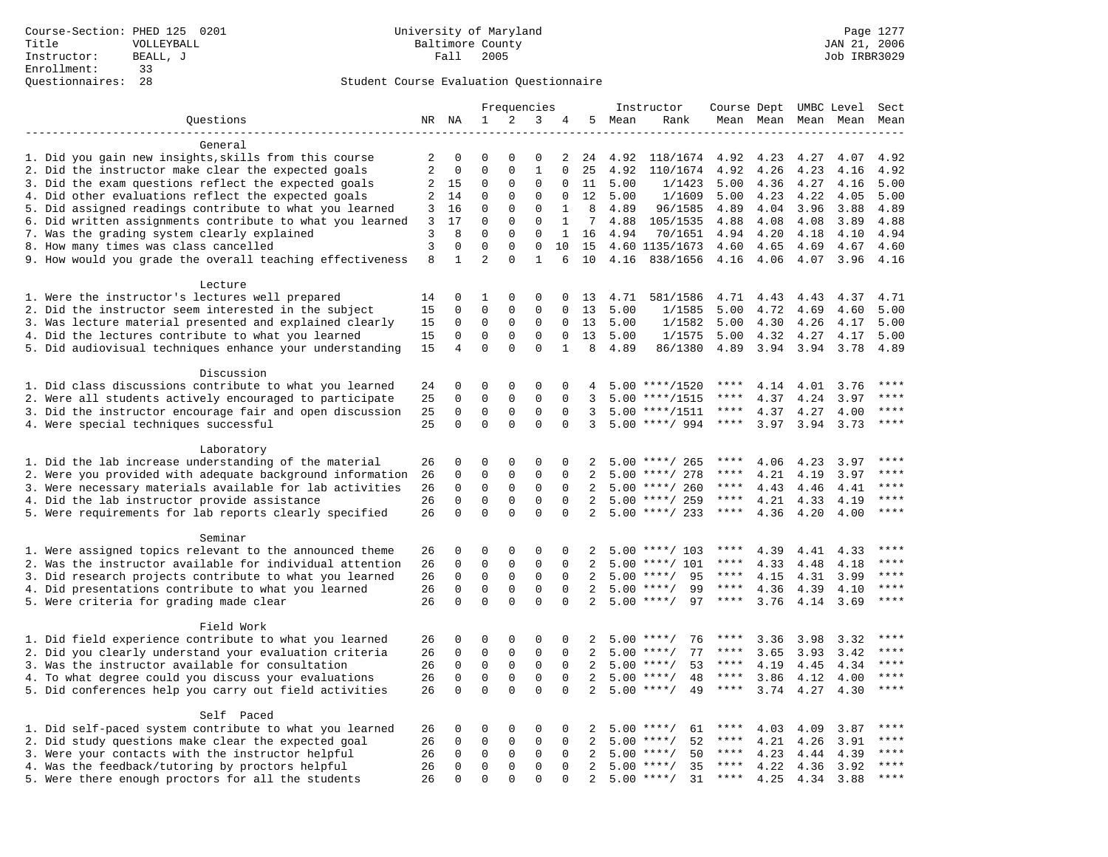|                                                                                                    |                |               |                              |                         | Frequencies              |                    |                |      | Instructor                      | Course Dept  |              |              | UMBC Level   | Sect         |
|----------------------------------------------------------------------------------------------------|----------------|---------------|------------------------------|-------------------------|--------------------------|--------------------|----------------|------|---------------------------------|--------------|--------------|--------------|--------------|--------------|
| Questions                                                                                          |                | NR NA         | 1                            | 2                       | 3                        | 4                  | 5              | Mean | Rank                            |              | Mean Mean    |              | Mean Mean    | Mean         |
|                                                                                                    |                |               |                              |                         |                          |                    |                |      |                                 |              |              |              |              |              |
| General                                                                                            |                |               |                              |                         |                          |                    |                |      |                                 |              |              |              |              |              |
| 1. Did you gain new insights, skills from this course                                              | 2              | 0             | $\Omega$                     | $\Omega$                | $\Omega$                 | 2                  | 24             | 4.92 | 118/1674                        | 4.92         | 4.23         | 4.27         | 4.07         | 4.92         |
| 2. Did the instructor make clear the expected goals                                                | $\overline{2}$ | $\mathbf 0$   | $\mathbf 0$                  | $\mathbf 0$             | $\mathbf{1}$             | $\Omega$           | 25             | 4.92 | 110/1674                        | 4.92         | 4.26         | 4.23         | 4.16         | 4.92         |
| 3. Did the exam questions reflect the expected goals                                               | 2              | 15            | 0                            | 0                       | $\mathbf 0$              | 0                  | 11             | 5.00 | 1/1423                          | 5.00         | 4.36         | 4.27         | 4.16         | 5.00         |
| 4. Did other evaluations reflect the expected goals                                                | 2              | 14            | $\mathbf 0$                  | $\Omega$                | $\mathbf 0$              | $\Omega$           | 12             | 5.00 | 1/1609                          | 5.00         | 4.23         | 4.22         | 4.05         | 5.00         |
| 5. Did assigned readings contribute to what you learned                                            | 3              | 16            | $\mathbf 0$                  | $\mathbf 0$             | $\mathbf{0}$             | 1                  | 8              | 4.89 | 96/1585                         | 4.89         | 4.04         | 3.96         | 3.88         | 4.89         |
| 6. Did written assignments contribute to what you learned                                          | 3              | 17            | $\mathbf 0$                  | $\mathbf 0$             | $\mathbf{0}$             | $\mathbf{1}$       | 7              | 4.88 | 105/1535                        | 4.88         | 4.08         | 4.08         | 3.89         | 4.88         |
| 7. Was the grading system clearly explained                                                        | 3              | 8<br>$\Omega$ | $\mathbf{0}$<br>$\mathbf{0}$ | $\mathbf 0$<br>$\Omega$ | $\mathbf{0}$<br>$\Omega$ | $\mathbf{1}$<br>10 | 16             | 4.94 | 70/1651                         | 4.94         | 4.20         | 4.18         | 4.10         | 4.94         |
| 8. How many times was class cancelled<br>9. How would you grade the overall teaching effectiveness | 3<br>8         | 1             | $\overline{a}$               | $\Omega$                | $\mathbf{1}$             | 6                  | 15<br>10       |      | 4.60 1135/1673<br>4.16 838/1656 | 4.60<br>4.16 | 4.65<br>4.06 | 4.69<br>4.07 | 4.67<br>3.96 | 4.60<br>4.16 |
|                                                                                                    |                |               |                              |                         |                          |                    |                |      |                                 |              |              |              |              |              |
| Lecture                                                                                            |                |               |                              |                         |                          |                    |                |      |                                 |              |              |              |              |              |
| 1. Were the instructor's lectures well prepared                                                    | 14             | 0             | 1                            | $\mathbf 0$             | 0                        | $\Omega$           | 13             | 4.71 | 581/1586                        | 4.71         | 4.43         | 4.43         | 4.37         | 4.71         |
| 2. Did the instructor seem interested in the subject                                               | 15             | $\mathbf 0$   | $\mathbf{0}$                 | $\mathbf 0$             | $\mathbf{0}$             | $\mathbf 0$        | 13             | 5.00 | 1/1585                          | 5.00         | 4.72         | 4.69         | 4.60         | 5.00         |
| 3. Was lecture material presented and explained clearly                                            | 15             | 0             | $\mathbf 0$                  | $\mathbf 0$             | $\mathbf 0$              | $\mathbf 0$        | 13             | 5.00 | 1/1582                          | 5.00         | 4.30         | 4.26         | 4.17         | 5.00         |
| 4. Did the lectures contribute to what you learned                                                 | 15             | $\Omega$      | $\mathbf 0$                  | $\Omega$                | $\Omega$                 | $\Omega$           | 13             | 5.00 | 1/1575                          | 5.00         | 4.32         | 4.27         | 4.17         | 5.00         |
| 5. Did audiovisual techniques enhance your understanding                                           | 15             | 4             | $\mathbf 0$                  | $\Omega$                | $\Omega$                 | $\mathbf{1}$       | 8              | 4.89 | 86/1380                         | 4.89         | 3.94         | 3.94         | 3.78         | 4.89         |
|                                                                                                    |                |               |                              |                         |                          |                    |                |      |                                 |              |              |              |              |              |
| Discussion                                                                                         |                |               |                              |                         |                          |                    |                |      |                                 |              |              |              |              |              |
| 1. Did class discussions contribute to what you learned                                            | 24             | 0             | $\mathbf 0$                  | $\Omega$                | $\Omega$                 | $\Omega$           | 4              |      | $5.00$ ****/1520                | ****         | 4.14         | 4.01         | 3.76         | $* * * *$    |
| 2. Were all students actively encouraged to participate                                            | 25             | $\mathbf 0$   | $\mathsf 0$                  | $\mathbf 0$             | $\mathbf 0$              | $\mathbf 0$        | 3              |      | $5.00$ ****/1515                | ****         | 4.37         | 4.24         | 3.97         | $***$ * * *  |
| 3. Did the instructor encourage fair and open discussion                                           | 25             | $\mathbf 0$   | $\mathbf 0$                  | $\mathsf 0$             | $\mathsf 0$              | $\mathbf 0$        | 3              | 5.00 | ****/1511                       | $***$ * * *  | 4.37         | 4.27         | 4.00         | $***$        |
| 4. Were special techniques successful                                                              | 25             | $\Omega$      | $\mathbf 0$                  | $\Omega$                | $\Omega$                 | $\Omega$           | 3              |      | $5.00$ ****/ 994                | $***$ * * *  | 3.97         | 3.94         | 3.73         | $***$        |
|                                                                                                    |                |               |                              |                         |                          |                    |                |      |                                 |              |              |              |              |              |
| Laboratory                                                                                         |                |               |                              |                         |                          |                    |                |      |                                 |              |              |              |              |              |
| 1. Did the lab increase understanding of the material                                              | 26             | $\mathbf 0$   | $\mathbf 0$                  | $\mathbf 0$             | $\mathbf{0}$             | $\mathbf 0$        | 2              |      | $5.00$ ****/ 265                | ****         | 4.06         | 4.23         | 3.97         |              |
| 2. Were you provided with adequate background information                                          | 26             | 0             | $\mathbf 0$                  | $\mathbf 0$             | $\mathbf 0$              | 0                  | 2              | 5.00 | ****/ 278                       | ****         | 4.21         | 4.19         | 3.97         | ****         |
| 3. Were necessary materials available for lab activities                                           | 26             | 0             | $\mathbf{0}$                 | $\mathbf 0$             | 0                        | $\Omega$           | 2              |      | $5.00$ ****/ 260                | ****         | 4.43         | 4.46         | 4.41         | $***$ * * *  |
| 4. Did the lab instructor provide assistance                                                       | 26             | $\Omega$      | $\mathbf{0}$                 | $\mathbf 0$             | $\Omega$                 | $\Omega$           | 2              |      | $5.00$ ****/ 259                | ****         | 4.21         | 4.33         | 4.19         | $***$        |
| 5. Were requirements for lab reports clearly specified                                             | 26             | $\mathbf 0$   | $\mathbf{0}$                 | $\mathbf 0$             | $\mathbf 0$              | $\mathbf 0$        | 2 <sup>0</sup> |      | $5.00$ ****/ 233                | ****         | 4.36         | 4.20         | 4.00         | $* * * *$    |
|                                                                                                    |                |               |                              |                         |                          |                    |                |      |                                 |              |              |              |              |              |
| Seminar<br>1. Were assigned topics relevant to the announced theme                                 | 26             | 0             | $\mathbf{0}$                 | $\mathbf 0$             | 0                        | $\mathbf 0$        | 2              |      | $5.00$ ****/ 103                | ****         | 4.39         | 4.41         | 4.33         | ****         |
| 2. Was the instructor available for individual attention                                           | 26             | $\mathbf 0$   | $\mathbf 0$                  | $\mathbf 0$             | $\mathbf{0}$             | $\Omega$           | 2              | 5.00 | $***/101$                       | ****         | 4.33         | 4.48         | 4.18         | ****         |
| 3. Did research projects contribute to what you learned                                            | 26             | $\mathbf 0$   | $\mathbf 0$                  | $\mathsf 0$             | $\mathsf 0$              | $\mathbf 0$        | 2              | 5.00 | $***$ /<br>95                   | $***$ * *    | 4.15         | 4.31         | 3.99         | ****         |
| 4. Did presentations contribute to what you learned                                                | 26             | $\mathbf 0$   | $\mathbf{0}$                 | $\mathbf 0$             | 0                        | $\Omega$           | 2              | 5.00 | 99<br>$***/$                    | $***$ * * *  | 4.36         | 4.39         | 4.10         | ****         |
| 5. Were criteria for grading made clear                                                            | 26             | $\mathbf 0$   | $\Omega$                     | $\Omega$                | $\Omega$                 | $\Omega$           | 2              |      | 97<br>$5.00$ ****/              | ****         | 3.76         | 4.14         | 3.69         | ****         |
|                                                                                                    |                |               |                              |                         |                          |                    |                |      |                                 |              |              |              |              |              |
| Field Work                                                                                         |                |               |                              |                         |                          |                    |                |      |                                 |              |              |              |              |              |
| 1. Did field experience contribute to what you learned                                             | 26             | $\mathbf 0$   | $\mathbf 0$                  | $\mathbf 0$             | $\mathbf{0}$             | $\mathbf 0$        | 2              |      | $5.00$ ****/<br>76              | ****         | 3.36         | 3.98         | 3.32         | ****         |
| 2. Did you clearly understand your evaluation criteria                                             | 26             | $\mathbf 0$   | $\mathbf 0$                  | $\mathbf 0$             | $\mathbf 0$              | $\mathbf 0$        | 2              | 5.00 | 77<br>$***$ /                   | ****         | 3.65         | 3.93         | 3.42         | $***$        |
| 3. Was the instructor available for consultation                                                   | 26             | $\mathbf 0$   | $\mathbf{0}$                 | $\mathbf 0$             | $\mathbf{0}$             | $\mathbf 0$        | 2              | 5.00 | $***$ /<br>53                   | ****         | 4.19         | 4.45         | 4.34         | ****         |
| 4. To what degree could you discuss your evaluations                                               | 26             | $\mathbf 0$   | $\mathbf{0}$                 | $\mathbf 0$             | $\mathbf 0$              | $\Omega$           | 2              | 5.00 | $***$ /<br>48                   | $***$ * *    | 3.86         | 4.12         | 4.00         | $***$        |
| 5. Did conferences help you carry out field activities                                             | 26             | $\Omega$      | $\Omega$                     | $\Omega$                | $\Omega$                 | $\Omega$           | 2              | 5.00 | $***$ /<br>49                   | $***$ * * *  | 3.74         | 4.27         | 4.30         | $***$        |
|                                                                                                    |                |               |                              |                         |                          |                    |                |      |                                 |              |              |              |              |              |
| Self Paced                                                                                         |                |               |                              |                         |                          |                    |                |      |                                 |              |              |              |              |              |
| 1. Did self-paced system contribute to what you learned                                            | 26             | 0             | $\mathbf 0$                  | $\mathbf 0$             | $\mathbf 0$              | $\mathbf 0$        | 2              | 5.00 | $***$ /<br>61                   | ****         | 4.03         | 4.09         | 3.87         | ****         |
| 2. Did study questions make clear the expected goal                                                | 26             | $\Omega$      | $\mathbf 0$                  | $\mathbf 0$             | $\mathbf{0}$             | $\Omega$           | 2              | 5.00 | $***/$<br>52                    | $***$ * *    | 4.21         | 4.26         | 3.91         | ****         |
| 3. Were your contacts with the instructor helpful                                                  | 26             | $\mathbf 0$   | $\mathsf 0$                  | $\mathbf 0$             | $\mathsf 0$              | $\mathbf 0$        | 2              | 5.00 | 50<br>$***$ /                   | $***$ * *    | 4.23         | 4.44         | 4.39         | ****         |
| 4. Was the feedback/tutoring by proctors helpful                                                   | 26             | $\mathbf 0$   | $\mathbf 0$                  | $\mathsf 0$             | $\mathbf 0$              | $\mathbf 0$        | 2              | 5.00 | $***$ /<br>35                   | $***$ * * *  | 4.22         | 4.36         | 3.92         | ****         |
| 5. Were there enough proctors for all the students                                                 | 26             | $\Omega$      | $\mathbf{0}$                 | $\Omega$                | $\Omega$                 | $\Omega$           | 2              |      | $5.00$ ****/<br>31              | $***$ * * *  | 4.25         | 4.34         | 3.88         | $***$ * * *  |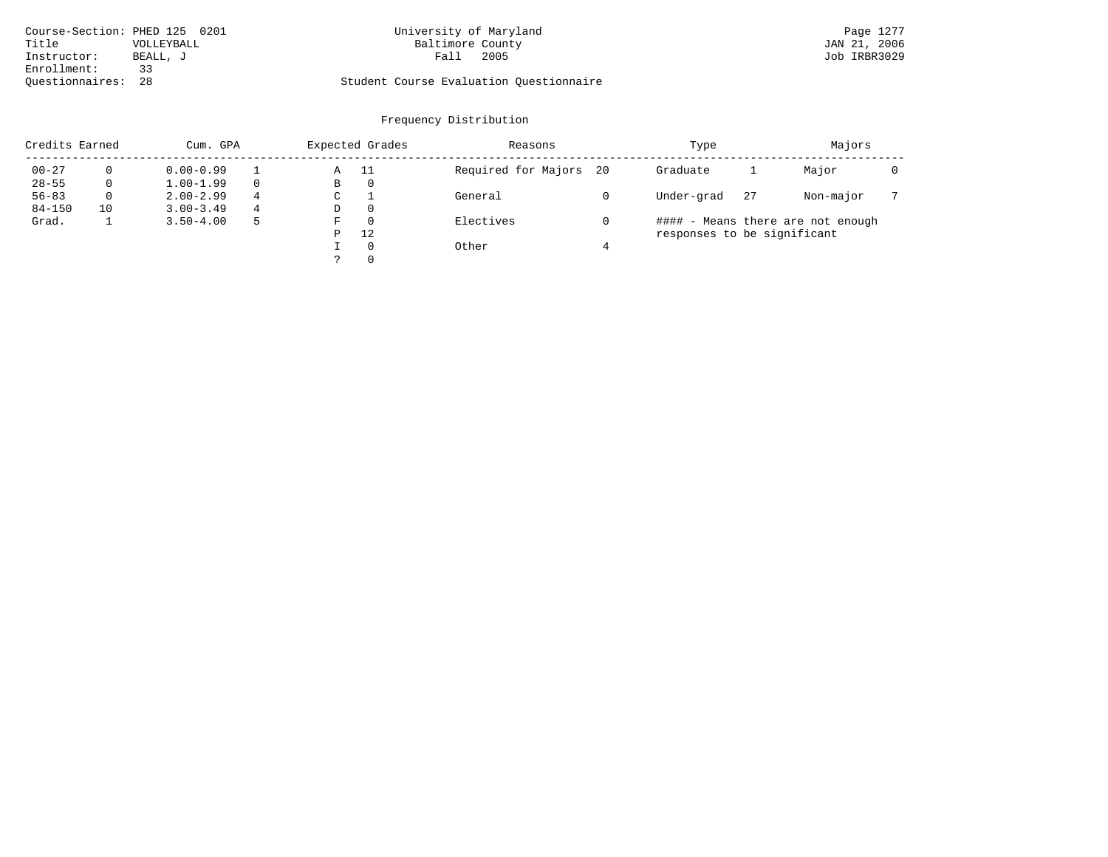| Course-Section: PHED 125 0201 |            | University of Maryland                  | Page 1277    |
|-------------------------------|------------|-----------------------------------------|--------------|
| Title                         | VOLLEYBALL | Baltimore County                        | JAN 21, 2006 |
| Instructor:                   | BEALL, J   | 2005<br>Fall                            | Job IRBR3029 |
| Enrollment:                   |            |                                         |              |
| Ouestionnaires: 28            |            | Student Course Evaluation Questionnaire |              |

# University of Maryland Page 1277<br>Baltimore County Band 121, 2006

# Questionnaires: 28 Student Course Evaluation Questionnaire

|            | Credits Earned<br>Cum. GPA |               |          |   | Expected Grades | Reasons             |      | Type                        | Majors |                                   |  |
|------------|----------------------------|---------------|----------|---|-----------------|---------------------|------|-----------------------------|--------|-----------------------------------|--|
| $00 - 27$  |                            | $0.00 - 0.99$ |          | Α | -11             | Required for Majors | - 20 | Graduate                    |        | Major                             |  |
| $28 - 55$  |                            | $1.00 - 1.99$ | $\Omega$ | B | 0               |                     |      |                             |        |                                   |  |
| $56 - 83$  |                            | $2.00 - 2.99$ | 4        | C |                 | General             |      | Under-grad                  | 27     | Non-major                         |  |
| $84 - 150$ | 10                         | $3.00 - 3.49$ | 4        | D | $\Omega$        |                     |      |                             |        |                                   |  |
| Grad.      |                            | $3.50 - 4.00$ | 5        | F | $\Omega$        | Electives           |      |                             |        | #### - Means there are not enough |  |
|            |                            |               |          | P | 12              |                     |      | responses to be significant |        |                                   |  |
|            |                            |               |          |   | $\Omega$        | Other               |      |                             |        |                                   |  |
|            |                            |               |          |   | $\Omega$        |                     |      |                             |        |                                   |  |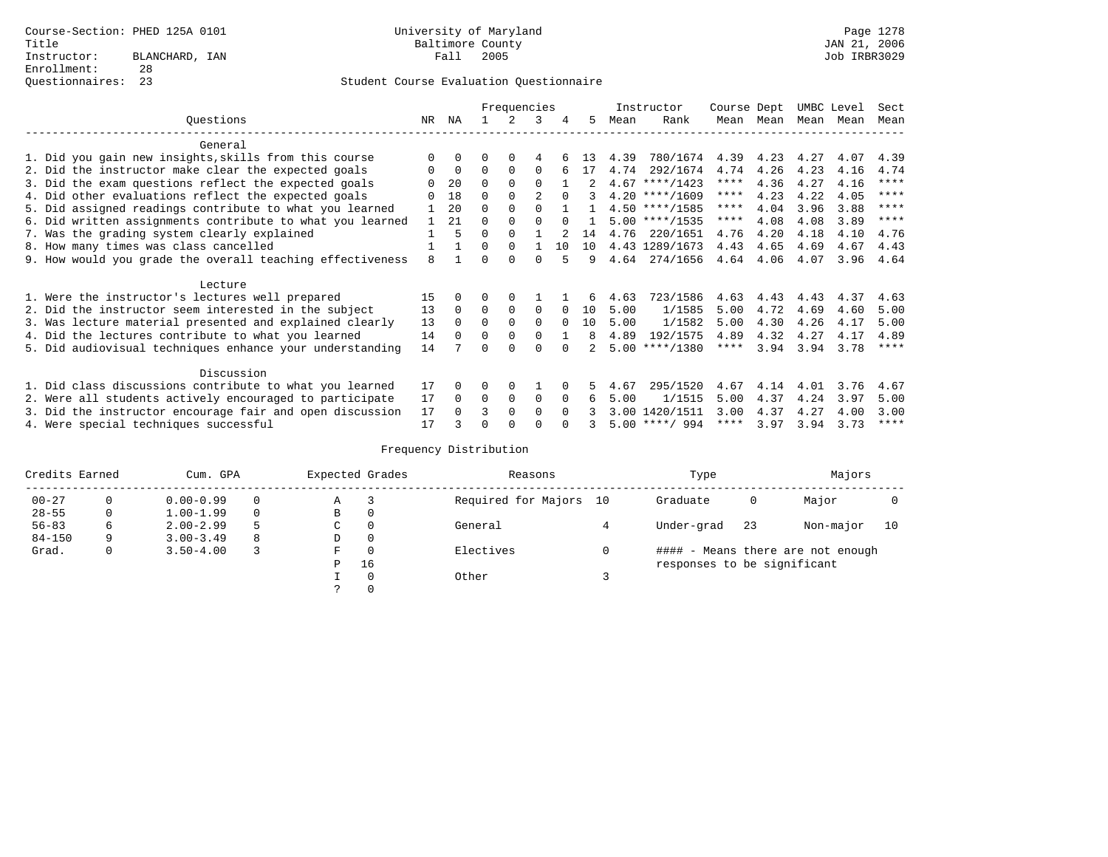|                                                           |              | Frequencies |                      |             |              | Instructor | Course Dept |      | UMBC Level       |           | Sect |      |      |             |
|-----------------------------------------------------------|--------------|-------------|----------------------|-------------|--------------|------------|-------------|------|------------------|-----------|------|------|------|-------------|
| Ouestions                                                 | NR           | ΝA          |                      |             | 3            | 4          | 5.          | Mean | Rank             | Mean      | Mean | Mean | Mean | Mean        |
| General                                                   |              |             |                      |             |              |            |             |      |                  |           |      |      |      |             |
| 1. Did you gain new insights, skills from this course     |              | $\Omega$    | O                    | $\Omega$    | 4            |            | 13          | 4.39 | 780/1674         | 4.39      | 4.23 | 4.27 | 4.07 | 4.39        |
| 2. Did the instructor make clear the expected goals       | O            | $\mathbf 0$ | $\Omega$             | $\Omega$    | $\Omega$     |            | 17          | 4.74 | 292/1674         | 4.74      | 4.26 | 4.23 | 4.16 | 4.74        |
| 3. Did the exam questions reflect the expected goals      |              | 20          | $\Omega$             | $\Omega$    | $\Omega$     |            |             |      | $4.67$ ****/1423 | ****      | 4.36 | 4.27 | 4.16 | $***$ * * * |
| 4. Did other evaluations reflect the expected goals       |              | 18          | $\Omega$             | $\Omega$    |              | $\Omega$   |             |      | $4.20$ ****/1609 | $***$ * * | 4.23 | 4.22 | 4.05 | ****        |
|                                                           |              | 20          |                      |             | $\Omega$     |            |             |      | $4.50$ ****/1585 | ****      | 4.04 | 3.96 | 3.88 | $* * * * *$ |
| 5. Did assigned readings contribute to what you learned   |              |             | $\Omega$<br>$\Omega$ | $\Omega$    |              | $\cap$     |             |      |                  | $***$ * * |      |      |      | $* * * *$   |
| 6. Did written assignments contribute to what you learned | $\mathbf{1}$ | 21          |                      |             |              |            |             |      | $5.00$ ****/1535 |           | 4.08 | 4.08 | 3.89 |             |
| 7. Was the grading system clearly explained               |              | 5           | $\Omega$             | $\Omega$    |              |            | 14          | 4.76 | 220/1651         | 4.76      | 4.20 | 4.18 | 4.10 | 4.76        |
| 8. How many times was class cancelled                     |              |             | $\Omega$             | $\Omega$    |              | 1 O        | 10          |      | 4.43 1289/1673   | 4.43      | 4.65 | 4.69 | 4.67 | 4.43        |
| 9. How would you grade the overall teaching effectiveness | 8            |             | U                    | $\cap$      | <sup>n</sup> |            | 9           | 4.64 | 274/1656         | 4.64      | 4.06 | 4.07 | 3.96 | 4.64        |
| Lecture                                                   |              |             |                      |             |              |            |             |      |                  |           |      |      |      |             |
| 1. Were the instructor's lectures well prepared           | 15           |             |                      | $\Omega$    |              |            | 6           | 4.63 | 723/1586         | 4.63      | 4.43 | 4.43 | 4.37 | 4.63        |
| 2. Did the instructor seem interested in the subject      | 13           | $\Omega$    | $\Omega$             | $\mathbf 0$ | 0            | $\Omega$   | 10          | 5.00 | 1/1585           | 5.00      | 4.72 | 4.69 | 4.60 | 5.00        |
| 3. Was lecture material presented and explained clearly   | 13           | $\Omega$    | $\Omega$             | $\Omega$    | $\Omega$     | $\Omega$   | 10          | 5.00 | 1/1582           | 5.00      | 4.30 | 4.26 | 4.17 | 5.00        |
| 4. Did the lectures contribute to what you learned        | 14           | $\Omega$    | $\Omega$             | $\Omega$    | $\Omega$     |            | 8           | 4.89 | 192/1575         | 4.89      | 4.32 | 4.27 | 4.17 | 4.89        |
| 5. Did audiovisual techniques enhance your understanding  | 14           |             |                      |             |              |            |             |      | $5.00$ ****/1380 | ****      | 3.94 | 3.94 | 3.78 | $* * * * *$ |
|                                                           |              |             |                      |             |              |            |             |      |                  |           |      |      |      |             |
| Discussion                                                |              |             |                      |             |              |            |             |      |                  |           |      |      |      |             |
| 1. Did class discussions contribute to what you learned   | 17           | $\Omega$    | O                    | $\Omega$    |              |            | 5.          | 4.67 | 295/1520         | 4.67      | 4.14 | 4.01 | 3.76 | 4.67        |
| 2. Were all students actively encouraged to participate   | 17           | $\Omega$    | $\Omega$             | $\mathbf 0$ | 0            | $\Omega$   | 6           | 5.00 | 1/1515           | 5.00      | 4.37 | 4.24 | 3.97 | 5.00        |
| 3. Did the instructor encourage fair and open discussion  | 17           | $\Omega$    | ς                    | $\Omega$    | $\Omega$     | $\Omega$   |             | 3.00 | 1420/1511        | 3.00      | 4.37 | 4.27 | 4.00 | 3.00        |
| 4. Were special techniques successful                     | 17           |             | U                    |             |              |            |             |      | $5.00$ ****/ 994 | ****      | 3.97 | 3.94 | 3.73 | $***$ * * * |

| Credits Earned<br>Cum. GPA |          |               |   | Expected Grades | Reasons  | Type                   | Majors                      |    |                                   |    |
|----------------------------|----------|---------------|---|-----------------|----------|------------------------|-----------------------------|----|-----------------------------------|----|
| $00 - 27$                  | $\Omega$ | $0.00 - 0.99$ |   | Α               |          | Required for Majors 10 | Graduate                    | 0  | Major                             |    |
| $28 - 55$                  | 0        | $1.00 - 1.99$ |   | B               | 0        |                        |                             |    |                                   |    |
| $56 - 83$                  | 6        | $2.00 - 2.99$ | 5 | C               | 0        | General                | Under-grad                  | 23 | Non-major                         | 10 |
| $84 - 150$                 | 9        | $3.00 - 3.49$ | 8 | D               | 0        |                        |                             |    |                                   |    |
| Grad.                      | 0        | $3.50 - 4.00$ |   | F               | $\Omega$ | Electives              |                             |    | #### - Means there are not enough |    |
|                            |          |               |   | Ρ               | 16       |                        | responses to be significant |    |                                   |    |
|                            |          |               |   |                 | $\Omega$ | Other                  |                             |    |                                   |    |
|                            |          |               |   |                 |          |                        |                             |    |                                   |    |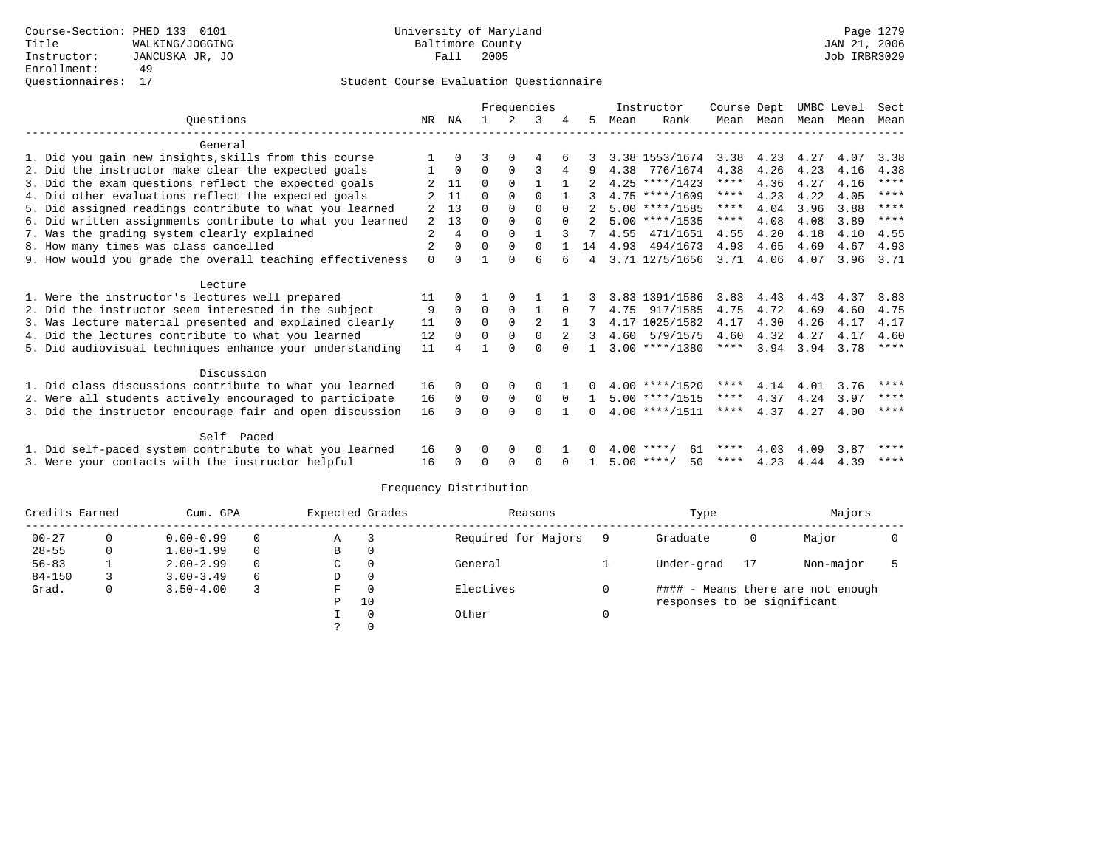|                                                           |                |              | Frequencies |             |             |              |                | Instructor | Course Dept        |             |      | UMBC Level | Sect |             |
|-----------------------------------------------------------|----------------|--------------|-------------|-------------|-------------|--------------|----------------|------------|--------------------|-------------|------|------------|------|-------------|
| Ouestions                                                 | NR             | ΝA           |             | 2           | 3           |              | 5.             | Mean       | Rank               | Mean        | Mean | Mean       | Mean | Mean        |
| General                                                   |                |              |             |             |             |              |                |            |                    |             |      |            |      |             |
| 1. Did you gain new insights, skills from this course     |                | 0            | 3           |             | 4           |              |                |            | 3.38 1553/1674     | 3.38        | 4.23 | 4.27       | 4.07 | 3.38        |
|                                                           |                | $\Omega$     | $\Omega$    | $\Omega$    | 3           |              |                | 4.38       | 776/1674           | 4.38        | 4.26 | 4.23       | 4.16 | 4.38        |
| 2. Did the instructor make clear the expected goals       |                | 11           | $\Omega$    | $\Omega$    | 1           | $\mathbf{1}$ |                |            |                    | ****        | 4.36 | 4.27       |      | $***$ * * * |
| 3. Did the exam questions reflect the expected goals      |                |              |             |             |             |              |                |            | $4.25$ ****/1423   | $***$ * * * |      |            | 4.16 | $***$ *     |
| 4. Did other evaluations reflect the expected goals       |                | 11           | $\Omega$    | $\Omega$    | $\Omega$    |              |                |            | $4.75$ ****/1609   | $***$ * * * | 4.23 | 4.22       | 4.05 | $***$ *     |
| 5. Did assigned readings contribute to what you learned   |                | 13           | $\Omega$    | $\Omega$    | $\Omega$    |              |                |            | $5.00$ ****/1585   |             | 4.04 | 3.96       | 3.88 | $***$ *     |
| 6. Did written assignments contribute to what you learned | 2              | 13           | $\Omega$    | $\Omega$    | $\Omega$    | $\Omega$     |                |            | $5.00$ ****/1535   | $***$ * * * | 4.08 | 4.08       | 3.89 |             |
| 7. Was the grading system clearly explained               | 2              | 4            | $\Omega$    | $\Omega$    |             |              |                | 4.55       | 471/1651           | 4.55        | 4.20 | 4.18       | 4.10 | 4.55        |
| 8. How many times was class cancelled                     | $\overline{2}$ | 0            | $\Omega$    | $\Omega$    | $\Omega$    |              | 14             |            | 4.93 494/1673      | 4.93        | 4.65 | 4.69       | 4.67 | 4.93        |
| 9. How would you grade the overall teaching effectiveness | $\Omega$       | <sup>0</sup> |             | $\cap$      | 6           | 6            | $\overline{4}$ |            | 3.71 1275/1656     | 3.71        | 4.06 | 4.07       | 3.96 | 3.71        |
| Lecture                                                   |                |              |             |             |             |              |                |            |                    |             |      |            |      |             |
| 1. Were the instructor's lectures well prepared           | 11             |              |             |             |             |              |                |            | 3.83 1391/1586     | 3.83        | 4.43 | 4.43       | 4.37 | 3.83        |
| 2. Did the instructor seem interested in the subject      | 9              | $\Omega$     | $\Omega$    | $\mathbf 0$ |             | $\Omega$     |                | 4.75       | 917/1585           | 4.75        | 4.72 | 4.69       | 4.60 | 4.75        |
| 3. Was lecture material presented and explained clearly   | 11             | $\Omega$     | $\Omega$    | $\mathbf 0$ | 2           |              |                |            | 4.17 1025/1582     | 4.17        | 4.30 | 4.26       | 4.17 | 4.17        |
| 4. Did the lectures contribute to what you learned        | 12             | $\Omega$     | $\Omega$    | $\Omega$    | $\Omega$    |              | 3              |            | 4.60 579/1575      | 4.60        | 4.32 | 4.27       | 4.17 | 4.60        |
|                                                           |                |              |             | ∩           |             |              |                |            |                    | $***$ * * * |      |            |      | ****        |
| 5. Did audiovisual techniques enhance your understanding  | 11             |              |             |             | ∩           |              |                |            | $3.00$ ****/1380   |             | 3.94 | 3.94       | 3.78 |             |
| Discussion                                                |                |              |             |             |             |              |                |            |                    |             |      |            |      |             |
| 1. Did class discussions contribute to what you learned   | 16             | 0            | 0           | 0           | 0           |              |                |            | $4.00$ ****/1520   | $***$ * * * | 4.14 | 4.01       | 3.76 | ****        |
| 2. Were all students actively encouraged to participate   | 16             | $\Omega$     | 0           | $\mathbf 0$ | $\mathbf 0$ | $\Omega$     |                |            | $5.00$ ****/1515   | $***$ * * * | 4.37 | 4.24       | 3.97 | ****        |
| 3. Did the instructor encourage fair and open discussion  | 16             | <sup>0</sup> | $\Omega$    | $\Omega$    | $\Omega$    |              | 0              |            | $4.00$ ****/1511   | ****        | 4.37 | 4.27       | 4.00 | ****        |
|                                                           |                |              |             |             |             |              |                |            |                    |             |      |            |      |             |
| Self Paced                                                |                |              |             |             |             |              |                |            |                    |             |      |            |      |             |
| 1. Did self-paced system contribute to what you learned   | 16             | 0            | 0           | $\Omega$    | 0           |              |                |            | $4.00$ ****/<br>61 | ****        | 4.03 | 4.09       | 3.87 | ****        |
| 3. Were your contacts with the instructor helpful         | 16             | 0            | U           | $\Omega$    | $\Omega$    | <sup>n</sup> |                |            | $5.00$ ****/<br>50 | $***$ * * * | 4.23 | 4.44       | 4.39 | ****        |

| Credits Earned<br>Cum. GPA |   |               |          | Expected Grades | Reasons      | Type                |                             | Majors |                                   |  |
|----------------------------|---|---------------|----------|-----------------|--------------|---------------------|-----------------------------|--------|-----------------------------------|--|
| $00 - 27$                  |   | $0.00 - 0.99$ | $\Omega$ | Α               |              | Required for Majors | Graduate                    | 0      | Major                             |  |
| $28 - 55$                  |   | $1.00 - 1.99$ | $\Omega$ | B               | 0            |                     |                             |        |                                   |  |
| $56 - 83$                  |   | $2.00 - 2.99$ | $\Omega$ | C               | $\Omega$     | General             | Under-grad                  | 17     | Non-major                         |  |
| $84 - 150$                 |   | $3.00 - 3.49$ | 6        | D               | $\mathbf{0}$ |                     |                             |        |                                   |  |
| Grad.                      | 0 | $3.50 - 4.00$ |          | F               | 0            | Electives           |                             |        | #### - Means there are not enough |  |
|                            |   |               |          | Ρ               | 10           |                     | responses to be significant |        |                                   |  |
|                            |   |               |          |                 | $\Omega$     | Other               |                             |        |                                   |  |
|                            |   |               |          |                 |              |                     |                             |        |                                   |  |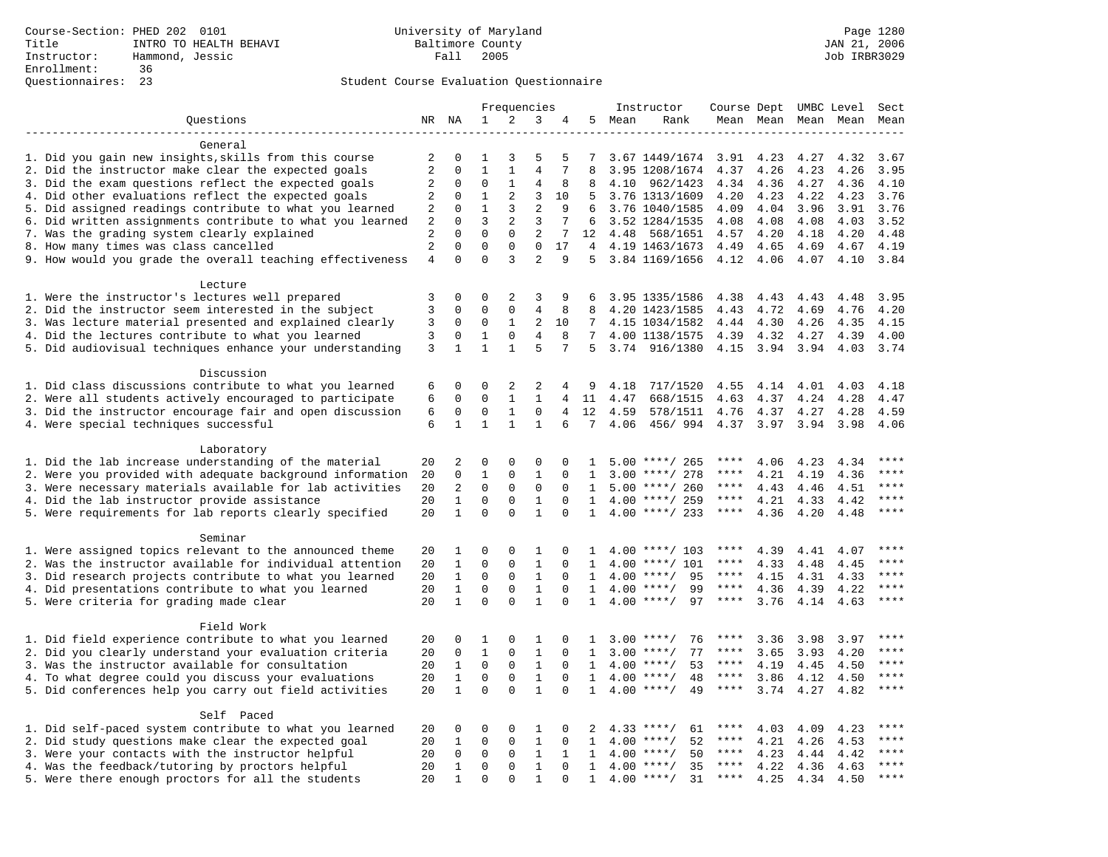|                                                           |                |              |                |              | Frequencies    |                |              |        | Instructor         | Course Dept UMBC Level |      |                     |      | Sect        |
|-----------------------------------------------------------|----------------|--------------|----------------|--------------|----------------|----------------|--------------|--------|--------------------|------------------------|------|---------------------|------|-------------|
| Questions                                                 |                | NR NA        | 1              | 2            | 3              | 4              |              | 5 Mean | Rank               |                        |      | Mean Mean Mean Mean |      | Mean        |
|                                                           |                |              |                |              |                |                |              |        |                    |                        |      |                     |      |             |
| General                                                   |                |              |                |              |                |                |              |        |                    |                        |      |                     |      |             |
| 1. Did you gain new insights, skills from this course     | 2              | $\mathbf 0$  | 1              | 3            | 5              | 5              | 7            |        | 3.67 1449/1674     | 3.91                   | 4.23 | 4.27                | 4.32 | 3.67        |
| 2. Did the instructor make clear the expected goals       | $\overline{2}$ | $\Omega$     | $\mathbf{1}$   | $\mathbf{1}$ | $\overline{4}$ | 7              | 8            |        | 3.95 1208/1674     | 4.37                   | 4.26 | 4.23                | 4.26 | 3.95        |
| 3. Did the exam questions reflect the expected goals      | 2              | $\Omega$     | $\Omega$       | $\mathbf{1}$ | 4              | 8              | 8            | 4.10   | 962/1423           | 4.34                   | 4.36 | 4.27                | 4.36 | 4.10        |
| 4. Did other evaluations reflect the expected goals       | 2              | $\mathbf 0$  | $\mathbf{1}$   | 2            | 3              | 10             | 5            |        | 3.76 1313/1609     | 4.20                   | 4.23 | 4.22                | 4.23 | 3.76        |
| 5. Did assigned readings contribute to what you learned   | $\overline{2}$ | $\mathbf 0$  | $\mathbf{1}$   | 3            | $\overline{2}$ | 9              | 6            |        | 3.76 1040/1585     | 4.09                   | 4.04 | 3.96                | 3.91 | 3.76        |
| 6. Did written assignments contribute to what you learned | 2              | $\mathbf{0}$ | $\overline{3}$ | 2            | 3              | 7              | 6            |        | 3.52 1284/1535     | 4.08                   | 4.08 | 4.08                | 4.03 | 3.52        |
| 7. Was the grading system clearly explained               | 2              | $\Omega$     | $\Omega$       | $\Omega$     | 2              | 7              | 12           | 4.48   | 568/1651           | 4.57                   | 4.20 | 4.18                | 4.20 | 4.48        |
| 8. How many times was class cancelled                     | $\overline{2}$ | $\Omega$     | $\Omega$       | $\mathbf 0$  | $\Omega$       | 17             | 4            |        | 4.19 1463/1673     | 4.49                   | 4.65 | 4.69                | 4.67 | 4.19        |
| 9. How would you grade the overall teaching effectiveness | $\overline{4}$ | $\Omega$     | $\Omega$       | 3            | $\overline{a}$ | 9              |              |        | 5 3.84 1169/1656   | 4.12                   | 4.06 | 4.07                | 4.10 | 3.84        |
| Lecture                                                   |                |              |                |              |                |                |              |        |                    |                        |      |                     |      |             |
| 1. Were the instructor's lectures well prepared           | 3              | $\mathbf 0$  | 0              | 2            | 3              | 9              | 6            |        | 3.95 1335/1586     | 4.38                   | 4.43 | 4.43                | 4.48 | 3.95        |
| 2. Did the instructor seem interested in the subject      | 3              | $\mathbf 0$  | 0              | $\mathbf 0$  | 4              | 8              | 8            |        | 4.20 1423/1585     | 4.43                   | 4.72 | 4.69                | 4.76 | 4.20        |
| 3. Was lecture material presented and explained clearly   | 3              | 0            | $\mathbf 0$    | 1            | 2              | 10             | 7            |        | 4.15 1034/1582     | 4.44                   | 4.30 | 4.26                | 4.35 | 4.15        |
| 4. Did the lectures contribute to what you learned        | 3              | $\mathbf 0$  | $\mathbf{1}$   | $\Omega$     | $\overline{4}$ | 8              | 7            |        | 4.00 1138/1575     | 4.39                   | 4.32 | 4.27                | 4.39 | 4.00        |
| 5. Did audiovisual techniques enhance your understanding  | 3              | $\mathbf{1}$ | $\mathbf{1}$   | $\mathbf{1}$ | 5              | 7              | 5            | 3.74   | 916/1380           | 4.15                   | 3.94 | 3.94                | 4.03 | 3.74        |
|                                                           |                |              |                |              |                |                |              |        |                    |                        |      |                     |      |             |
| Discussion                                                |                |              |                |              |                |                |              |        |                    |                        |      |                     |      |             |
| 1. Did class discussions contribute to what you learned   | 6              | $\mathbf 0$  | 0              | 2            | 2              | 4              | 9            | 4.18   | 717/1520           | 4.55                   | 4.14 | 4.01                | 4.03 | 4.18        |
| 2. Were all students actively encouraged to participate   | 6              | $\mathbf 0$  | $\mathbf 0$    | $\mathbf{1}$ | $\mathbf{1}$   | $\overline{4}$ | 11           | 4.47   | 668/1515           | 4.63                   | 4.37 | 4.24                | 4.28 | 4.47        |
| 3. Did the instructor encourage fair and open discussion  | 6              | $\mathbf 0$  | $\mathbf 0$    | $\mathbf{1}$ | $\mathbf{0}$   | 4              | 12           | 4.59   | 578/1511           | 4.76                   | 4.37 | 4.27                | 4.28 | 4.59        |
| 4. Were special techniques successful                     | 6              | $\mathbf{1}$ | $\mathbf{1}$   | $\mathbf{1}$ | $\mathbf{1}$   | 6              | 7            | 4.06   | 456/994            | 4.37                   | 3.97 | 3.94                | 3.98 | 4.06        |
|                                                           |                |              |                |              |                |                |              |        |                    |                        |      |                     |      |             |
| Laboratory                                                |                |              |                |              |                |                |              |        |                    |                        |      |                     |      |             |
| 1. Did the lab increase understanding of the material     | 20             | 2            | 0              | 0            | 0              | $\Omega$       | 1            |        | $5.00$ ****/ 265   | ****                   | 4.06 | 4.23                | 4.34 |             |
| 2. Were you provided with adequate background information | 20             | $\mathbf 0$  | $\mathbf{1}$   | $\mathbf{0}$ | $\mathbf{1}$   | $\Omega$       | 1            |        | $3.00$ ****/ 278   | ****                   | 4.21 | 4.19                | 4.36 | ****        |
| 3. Were necessary materials available for lab activities  | 20             | 2            | $\Omega$       | $\Omega$     | $\Omega$       | $\Omega$       | $\mathbf{1}$ |        | $5.00$ ****/ 260   | $***$ * *              | 4.43 | 4.46                | 4.51 | ****        |
| 4. Did the lab instructor provide assistance              | 20             | $\mathbf{1}$ | $\mathbf 0$    | $\mathbf{0}$ | $\mathbf{1}$   | $\mathbf 0$    | $\mathbf{1}$ |        | $4.00$ ****/ 259   | $***$ * *              | 4.21 | 4.33                | 4.42 | $***$       |
| 5. Were requirements for lab reports clearly specified    | 20             | $\mathbf{1}$ | $\mathbf 0$    | $\Omega$     | $\mathbf{1}$   | $\Omega$       | $\mathbf{1}$ |        | $4.00$ ****/ 233   | $***$ * *              | 4.36 | 4.20                | 4.48 | ****        |
|                                                           |                |              |                |              |                |                |              |        |                    |                        |      |                     |      |             |
| Seminar                                                   |                |              |                |              |                |                |              |        |                    |                        |      |                     |      |             |
| 1. Were assigned topics relevant to the announced theme   | 20             | 1            | 0              | 0            | 1              | 0              | 1            |        | $4.00$ ****/ 103   | ****                   | 4.39 | 4.41                | 4.07 | ****        |
| 2. Was the instructor available for individual attention  | 20             | $\mathbf{1}$ | $\mathbf 0$    | 0            | $\mathbf{1}$   | $\Omega$       | 1            | 4.00   | $***/101$          | ****                   | 4.33 | 4.48                | 4.45 | ****        |
| 3. Did research projects contribute to what you learned   | 20             | $\mathbf{1}$ | $\mathbf 0$    | $\mathsf 0$  | $\mathbf{1}$   | $\mathbf 0$    | 1            |        | $4.00$ ****/<br>95 | $***$ * *              | 4.15 | 4.31                | 4.33 | ****        |
| 4. Did presentations contribute to what you learned       | 20             | $\mathbf{1}$ | $\mathbf 0$    | $\mathbf 0$  | $\mathbf{1}$   | $\mathbf 0$    | $\mathbf{1}$ | 4.00   | 99<br>$***/$       | $***$ * * *            | 4.36 | 4.39                | 4.22 | $***$       |
| 5. Were criteria for grading made clear                   | 20             | $\mathbf{1}$ | $\Omega$       | $\Omega$     | $\mathbf{1}$   | $\Omega$       | $\mathbf{1}$ |        | $4.00$ ****/<br>97 | $***$ * * *            | 3.76 | 4.14                | 4.63 | ****        |
|                                                           |                |              |                |              |                |                |              |        |                    |                        |      |                     |      |             |
| Field Work                                                |                |              |                |              |                |                |              |        |                    |                        |      |                     |      |             |
| 1. Did field experience contribute to what you learned    | 20             | $\Omega$     | 1              | $\Omega$     | 1              | $\Omega$       | 1            |        | $3.00$ ****/<br>76 | ****                   | 3.36 | 3.98                | 3.97 | * * * *     |
| 2. Did you clearly understand your evaluation criteria    | 20             | $\Omega$     | $\mathbf{1}$   | $\Omega$     | $\mathbf{1}$   | $\Omega$       | $\mathbf{1}$ | 3.00   | 77<br>$***/$       | ****                   | 3.65 | 3.93                | 4.20 | ****        |
| 3. Was the instructor available for consultation          | 20             | $\mathbf{1}$ | $\mathbf 0$    | $\mathbf 0$  | $\mathbf{1}$   | $\mathbf 0$    | $\mathbf{1}$ |        | $4.00$ ****/<br>53 | $***$ * *              | 4.19 | 4.45                | 4.50 | $***$       |
| 4. To what degree could you discuss your evaluations      | 20             | $\mathbf{1}$ | $\mathbf 0$    | $\mathbf 0$  | $1\,$          | 0              | 1            |        | $4.00$ ****/<br>48 | $***$ * * *            | 3.86 | 4.12                | 4.50 | $***$       |
| 5. Did conferences help you carry out field activities    | 20             | $\mathbf{1}$ | $\Omega$       | $\Omega$     | $\mathbf{1}$   | $\Omega$       | $\mathbf{1}$ | 4.00   | $***/$<br>49       | $***$ * * *            | 3.74 | 4.27                | 4.82 | $***$       |
|                                                           |                |              |                |              |                |                |              |        |                    |                        |      |                     |      |             |
| Self Paced                                                |                |              |                |              |                |                |              |        |                    |                        |      |                     |      | $***$       |
| 1. Did self-paced system contribute to what you learned   | 20             | $\mathbf 0$  | $\mathbf 0$    | $\Omega$     | 1              | $\Omega$       | 2            |        | 61<br>$4.33$ ****/ | ****                   | 4.03 | 4.09                | 4.23 |             |
| 2. Did study questions make clear the expected goal       | 20             | $\mathbf{1}$ | $\mathbf 0$    | $\mathbf 0$  | $\mathbf{1}$   | $\mathbf{0}$   | 1            |        | $4.00$ ****/<br>52 | $***$ * *              | 4.21 | 4.26                | 4.53 | $***$ * * * |
| 3. Were your contacts with the instructor helpful         | 20             | $\mathbf 0$  | $\mathbf 0$    | 0            | 1              | 1              | 1            | 4.00   | 50<br>$***/$       | ****                   | 4.23 | 4.44                | 4.42 | ****        |
| 4. Was the feedback/tutoring by proctors helpful          | 20             | 1            | $\mathbf 0$    | $\mathbf{0}$ | $\mathbf{1}$   | $\Omega$       | $\mathbf{1}$ | 4.00   | $***/$<br>35       | ****                   | 4.22 | 4.36                | 4.63 | ****        |
| 5. Were there enough proctors for all the students        | 20             | $\mathbf{1}$ | $\Omega$       | $\Omega$     | $\mathbf{1}$   | $\Omega$       | $\mathbf{1}$ |        | $4.00$ ****/<br>31 | $***$ * * *            | 4.25 | 4.34                | 4.50 | ****        |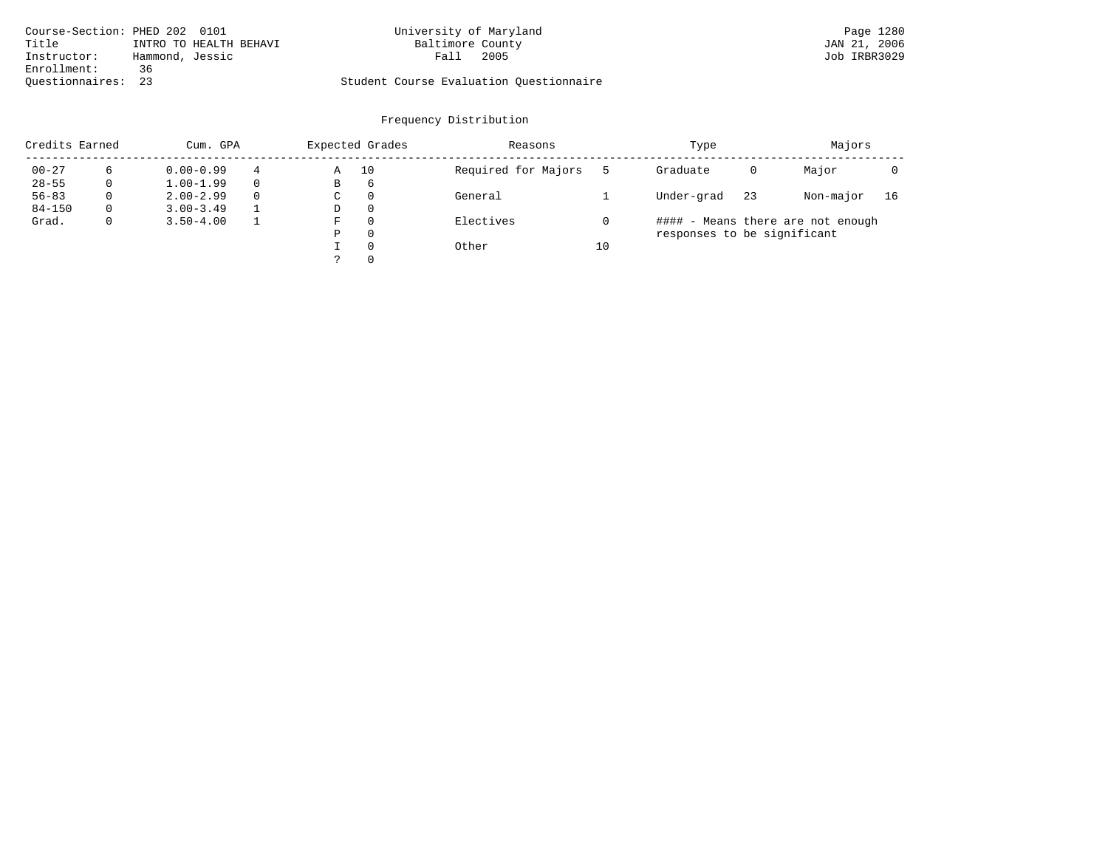|                    | Course-Section: PHED 202 0101 | University of Maryland                  | Page 1280    |
|--------------------|-------------------------------|-----------------------------------------|--------------|
| Title              | INTRO TO HEALTH BEHAVI        | Baltimore County                        | JAN 21, 2006 |
| Instructor:        | Hammond, Jessic               | 2005<br>Fall                            | Job IRBR3029 |
| Enrollment:        | 36                            |                                         |              |
| Ouestionnaires: 23 |                               | Student Course Evaluation Questionnaire |              |

| Credits Earned |   | Cum. GPA      |          |             | Expected Grades | Reasons             |    | Type                        | Majors                            |           |    |
|----------------|---|---------------|----------|-------------|-----------------|---------------------|----|-----------------------------|-----------------------------------|-----------|----|
| $00 - 27$      | 6 | $0.00 - 0.99$ | 4        | Α           | 10              | Required for Majors |    | Graduate                    | 0                                 | Major     |    |
| $28 - 55$      | 0 | $1.00 - 1.99$ |          | В           | 6               |                     |    |                             |                                   |           |    |
| $56 - 83$      | 0 | $2.00 - 2.99$ | $\Omega$ | $\sim$<br>◡ | 0               | General             |    | Under-grad                  | 23                                | Non-major | 16 |
| $84 - 150$     | 0 | $3.00 - 3.49$ |          | D           | 0               |                     |    |                             |                                   |           |    |
| Grad.          | 0 | $3.50 - 4.00$ |          | F           | 0               | Electives           |    |                             | #### - Means there are not enough |           |    |
|                |   |               |          | Ρ           | 0               |                     |    | responses to be significant |                                   |           |    |
|                |   |               |          |             | $\Omega$        | Other               | 10 |                             |                                   |           |    |
|                |   |               |          | っ           | 0               |                     |    |                             |                                   |           |    |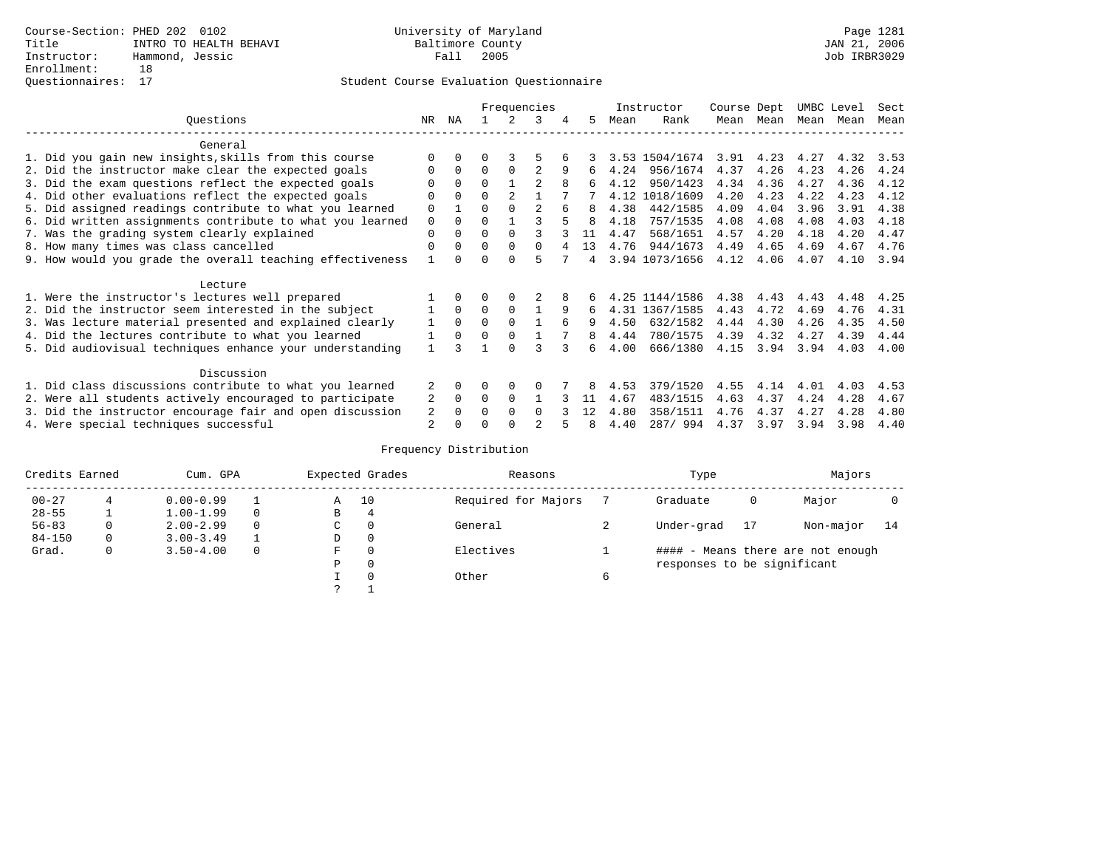|                 |                                                           |             |          | Frequencies |                |                |   |    |      | Instructor     | Course Dept |           | UMBC Level |      | Sect |  |
|-----------------|-----------------------------------------------------------|-------------|----------|-------------|----------------|----------------|---|----|------|----------------|-------------|-----------|------------|------|------|--|
| Ouestions<br>NR |                                                           |             | ΝA       |             |                | 3              | 4 | 5. | Mean | Rank           |             | Mean Mean | Mean       | Mean | Mean |  |
|                 | General                                                   |             |          |             |                |                |   |    |      |                |             |           |            |      |      |  |
|                 | 1. Did you gain new insights, skills from this course     |             | $\Omega$ | 0           |                |                |   |    |      | 3.53 1504/1674 | 3.91        | 4.23      | 4.27       | 4.32 | 3.53 |  |
|                 | 2. Did the instructor make clear the expected goals       | O           | $\Omega$ | $\Omega$    | $\Omega$       |                | 9 | 6  | 4.24 | 956/1674       | 4.37        | 4.26      | 4.23       | 4.26 | 4.24 |  |
|                 | 3. Did the exam questions reflect the expected goals      |             | $\Omega$ | $\Omega$    |                | $\mathfrak{D}$ | 8 | 6  | 4.12 | 950/1423       | 4.34        | 4.36      | 4.27       | 4.36 | 4.12 |  |
|                 | 4. Did other evaluations reflect the expected goals       | O           | $\Omega$ | $\Omega$    | $\mathfrak{D}$ |                |   |    |      | 4.12 1018/1609 | 4.20        | 4.23      | 4.22       | 4.23 | 4.12 |  |
|                 | 5. Did assigned readings contribute to what you learned   | 0           |          | 0           | $\Omega$       | $\mathfrak{D}$ |   | 8  | 4.38 | 442/1585       | 4.09        | 4.04      | 3.96       | 3.91 | 4.38 |  |
|                 | 6. Did written assignments contribute to what you learned | $\mathbf 0$ | $\Omega$ | O           |                |                |   | 8  | 4.18 | 757/1535       | 4.08        | 4.08      | 4.08       | 4.03 | 4.18 |  |
|                 | 7. Was the grading system clearly explained               | 0           | $\Omega$ | U           | $\Omega$       |                |   | 11 | 4.47 | 568/1651       | 4.57        | 4.20      | 4.18       | 4.20 | 4.47 |  |
|                 | 8. How many times was class cancelled                     | $\Omega$    | $\Omega$ | 0           | $\Omega$       | 0              |   | 13 | 4.76 | 944/1673       | 4.49        | 4.65      | 4.69       | 4.67 | 4.76 |  |
|                 | 9. How would you grade the overall teaching effectiveness |             | $\cap$   |             | $\cap$         |                |   | 4  |      | 3.94 1073/1656 | 4.12        | 4.06      | 4.07       | 4.10 | 3.94 |  |
|                 | Lecture                                                   |             |          |             |                |                |   |    |      |                |             |           |            |      |      |  |
|                 | 1. Were the instructor's lectures well prepared           |             |          |             | $\Omega$       |                |   |    |      | 4.25 1144/1586 | 4.38        | 4.43      | 4.43       | 4.48 | 4.25 |  |
|                 | 2. Did the instructor seem interested in the subject      |             | $\Omega$ | $\Omega$    | $\Omega$       |                | 9 | 6  |      | 4.31 1367/1585 | 4.43        | 4.72      | 4.69       | 4.76 | 4.31 |  |
|                 | 3. Was lecture material presented and explained clearly   |             | $\Omega$ | $\Omega$    | $\Omega$       |                | 6 | 9  | 4.50 | 632/1582       | 4.44        | 4.30      | 4.26       | 4.35 | 4.50 |  |
|                 | 4. Did the lectures contribute to what you learned        |             | $\Omega$ | $\Omega$    | $\Omega$       |                |   | 8  | 4.44 | 780/1575       | 4.39        | 4.32      | 4.27       | 4.39 | 4.44 |  |
|                 | 5. Did audiovisual techniques enhance your understanding  |             |          |             | U              |                |   | Б. | 4.00 | 666/1380       | 4.15        | 3.94      | 3.94       | 4.03 | 4.00 |  |
|                 | Discussion                                                |             |          |             |                |                |   |    |      |                |             |           |            |      |      |  |
|                 | 1. Did class discussions contribute to what you learned   |             | $\Omega$ | U           | $\Omega$       | O              |   |    | 4.53 | 379/1520       | 4.55        | 4.14      | 4.01       | 4.03 | 4.53 |  |
|                 | 2. Were all students actively encouraged to participate   | 2           | $\Omega$ | $\Omega$    | $\Omega$       |                |   | 11 | 4.67 | 483/1515       | 4.63        | 4.37      | 4.24       | 4.28 | 4.67 |  |
|                 | 3. Did the instructor encourage fair and open discussion  | 2           |          |             | $\Omega$       | <sup>0</sup>   |   | 12 | 4.80 | 358/1511       | 4.76        | 4.37      | 4.27       | 4.28 | 4.80 |  |
|                 | 4. Were special techniques successful                     | 2           |          |             |                |                |   | 8  | 4.40 | 287/ 994       | 4.37        | 3.97      | 3.94       | 3.98 | 4.40 |  |

| Credits Earned |          | Cum. GPA      |  |   | Expected Grades | Reasons             | Type                        | Majors |                                   |    |  |
|----------------|----------|---------------|--|---|-----------------|---------------------|-----------------------------|--------|-----------------------------------|----|--|
| $00 - 27$      |          | $0.00 - 0.99$ |  | Α | 10              | Required for Majors | Graduate                    | 0      | Major                             |    |  |
| $28 - 55$      |          | $1.00 - 1.99$ |  | B | 4               |                     |                             |        |                                   |    |  |
| $56 - 83$      | $\Omega$ | $2.00 - 2.99$ |  | C | 0               | General             | Under-grad                  | 17     | Non-major                         | 14 |  |
| $84 - 150$     | 0        | $3.00 - 3.49$ |  | D | 0               |                     |                             |        |                                   |    |  |
| Grad.          | 0        | $3.50 - 4.00$ |  | F | 0               | Electives           |                             |        | #### - Means there are not enough |    |  |
|                |          |               |  | Ρ | 0               |                     | responses to be significant |        |                                   |    |  |
|                |          |               |  |   | $\Omega$        | Other               |                             |        |                                   |    |  |
|                |          |               |  | っ |                 |                     |                             |        |                                   |    |  |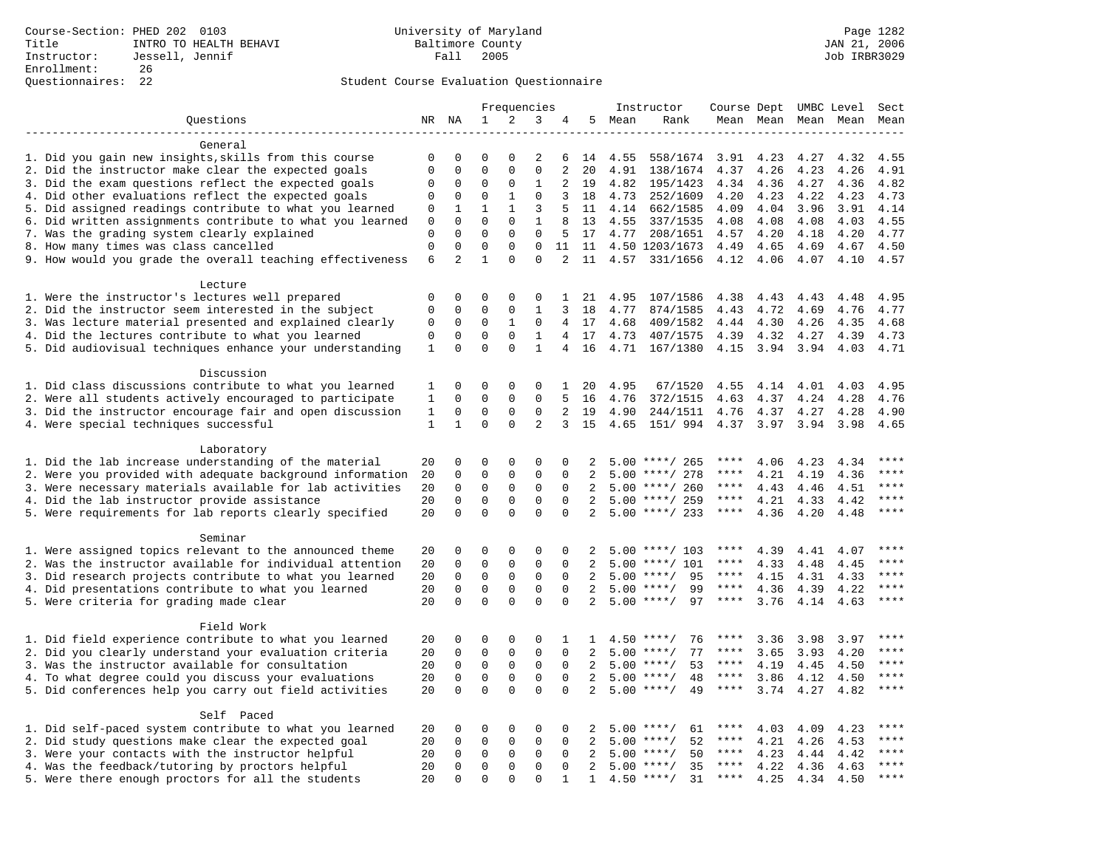|                                                                    |                             |                         |                         | Frequencies              |                         |                      |                |        | Instructor                 | Course Dept UMBC Level |      |                     |              | Sect         |
|--------------------------------------------------------------------|-----------------------------|-------------------------|-------------------------|--------------------------|-------------------------|----------------------|----------------|--------|----------------------------|------------------------|------|---------------------|--------------|--------------|
| Questions                                                          |                             | NR NA                   | 1                       | 2                        | 3                       | 4                    |                | 5 Mean | Rank                       |                        |      | Mean Mean Mean Mean |              | Mean         |
|                                                                    |                             |                         |                         |                          |                         |                      |                |        |                            |                        |      |                     |              |              |
| General                                                            |                             |                         |                         |                          |                         |                      |                |        |                            |                        |      |                     |              |              |
| 1. Did you gain new insights, skills from this course              | 0                           | $\mathbf 0$             | 0                       | $\Omega$                 | 2                       | 6                    | 14             | 4.55   | 558/1674                   | 3.91                   | 4.23 | 4.27                | 4.32         | 4.55         |
| 2. Did the instructor make clear the expected goals                | $\mathbf{0}$                | $\mathbf 0$             | $\mathbf 0$             | $\mathbf{0}$             | $\mathbf 0$             | 2                    | 20             | 4.91   | 138/1674                   | 4.37                   | 4.26 | 4.23                | 4.26         | 4.91         |
| 3. Did the exam questions reflect the expected goals               | $\mathbf 0$                 | $\Omega$                | $\Omega$                | $\Omega$                 | $\mathbf{1}$            | 2                    | 19             | 4.82   | 195/1423                   | 4.34                   | 4.36 | 4.27                | 4.36         | 4.82         |
| 4. Did other evaluations reflect the expected goals                | $\mathbf 0$                 | $\mathbf 0$             | $\mathbf 0$             | $\mathbf{1}$             | $\mathbf 0$             | 3                    | 18             | 4.73   | 252/1609                   | 4.20                   | 4.23 | 4.22                | 4.23         | 4.73         |
| 5. Did assigned readings contribute to what you learned            | $\mathbf 0$                 | $\mathbf{1}$            | $\mathbf{1}$            | $\mathbf{1}$             | 3                       | 5                    | 11             | 4.14   | 662/1585                   | 4.09                   | 4.04 | 3.96                | 3.91         | 4.14         |
| 6. Did written assignments contribute to what you learned          | 0                           | $\mathbf 0$             | $\mathbf 0$             | $\mathbf 0$              | 1                       | 8                    | 13             | 4.55   | 337/1535                   | 4.08                   | 4.08 | 4.08                | 4.03         | 4.55         |
| 7. Was the grading system clearly explained                        | $\mathbf 0$<br>$\mathbf{0}$ | $\Omega$<br>$\mathbf 0$ | $\Omega$<br>$\mathbf 0$ | $\Omega$<br>$\mathbf{0}$ | $\mathbf 0$<br>$\Omega$ | 5                    | 17             | 4.77   | 208/1651<br>4.50 1203/1673 | 4.57                   | 4.20 | 4.18                | 4.20         | 4.77<br>4.50 |
| 8. How many times was class cancelled                              |                             | $\overline{a}$          | $\mathbf{1}$            | $\Omega$                 | $\Omega$                | 11<br>$\overline{2}$ | 11<br>11       |        |                            | 4.49                   | 4.65 | 4.69                | 4.67<br>4.10 | 4.57         |
| 9. How would you grade the overall teaching effectiveness          | 6                           |                         |                         |                          |                         |                      |                |        | 4.57 331/1656              | 4.12                   | 4.06 | 4.07                |              |              |
| Lecture                                                            |                             |                         |                         |                          |                         |                      |                |        |                            |                        |      |                     |              |              |
| 1. Were the instructor's lectures well prepared                    | $\mathbf 0$                 | $\mathbf 0$             | 0                       | 0                        | 0                       | $\mathbf{1}$         | 21             | 4.95   | 107/1586                   | 4.38                   | 4.43 | 4.43                | 4.48         | 4.95         |
| 2. Did the instructor seem interested in the subject               | $\mathbf 0$                 | $\mathbf 0$             | 0                       | 0                        | 1                       | 3                    | 18             | 4.77   | 874/1585                   | 4.43                   | 4.72 | 4.69                | 4.76         | 4.77         |
| 3. Was lecture material presented and explained clearly            | 0                           | $\mathbf 0$             | 0                       | 1                        | 0                       | $\overline{4}$       | 17             | 4.68   | 409/1582                   | 4.44                   | 4.30 | 4.26                | 4.35         | 4.68         |
| 4. Did the lectures contribute to what you learned                 | $\mathbf{0}$                | $\Omega$                | $\Omega$                | $\Omega$                 | $\mathbf{1}$            |                      | 4 17           | 4.73   | 407/1575                   | 4.39                   | 4.32 | 4.27                | 4.39         | 4.73         |
| 5. Did audiovisual techniques enhance your understanding           | $\mathbf{1}$                | $\mathbf 0$             | $\mathbf 0$             | $\mathbf 0$              | $\mathbf{1}$            | 4                    | 16             | 4.71   | 167/1380                   | 4.15                   | 3.94 | 3.94                | 4.03         | 4.71         |
|                                                                    |                             |                         |                         |                          |                         |                      |                |        |                            |                        |      |                     |              |              |
| Discussion                                                         |                             |                         |                         |                          |                         |                      |                |        |                            |                        |      |                     |              |              |
| 1. Did class discussions contribute to what you learned            | 1                           | $\mathbf 0$             | 0                       | 0                        | 0                       | $\mathbf{1}$         | 20             | 4.95   | 67/1520                    | 4.55                   | 4.14 | 4.01                | 4.03         | 4.95         |
| 2. Were all students actively encouraged to participate            | $\mathbf{1}$                | $\mathbf 0$             | $\mathbf 0$             | $\mathbf 0$              | $\Omega$                | $5^{\circ}$          | 16             | 4.76   | 372/1515                   | 4.63                   | 4.37 | 4.24                | 4.28         | 4.76         |
| 3. Did the instructor encourage fair and open discussion           | $\mathbf{1}$                | $\mathbf{0}$            | $\mathbf 0$             | $\mathbf{0}$             | $\mathbf 0$             | 2                    | 19             | 4.90   | 244/1511                   | 4.76                   | 4.37 | 4.27                | 4.28         | 4.90         |
| 4. Were special techniques successful                              | $\mathbf{1}$                | $\mathbf{1}$            | $\Omega$                | $\Omega$                 | $\overline{a}$          | 3                    | 15             | 4.65   | 151/ 994                   | 4.37                   | 3.97 | 3.94                | 3.98         | 4.65         |
|                                                                    |                             |                         |                         |                          |                         |                      |                |        |                            |                        |      |                     |              |              |
| Laboratory                                                         |                             |                         |                         |                          |                         |                      |                |        |                            |                        |      |                     |              |              |
| 1. Did the lab increase understanding of the material              | 20                          | $\mathbf 0$             | 0                       | $\mathbf 0$              | $\mathbf 0$             | 0                    | 2              |        | $5.00$ ****/ 265           | ****                   | 4.06 | 4.23                | 4.34         |              |
| 2. Were you provided with adequate background information          | 20                          | $\mathbf 0$             | $\mathbf 0$             | $\mathbf{0}$             | $\mathbf{0}$            | $\Omega$             | 2              | 5.00   | ****/ 278                  | ****                   | 4.21 | 4.19                | 4.36         | ****         |
| 3. Were necessary materials available for lab activities           | 20                          | $\mathbf 0$             | $\mathbf 0$             | $\mathbf 0$              | $\mathbf 0$             | $\Omega$             | 2              |        | $5.00$ ****/ 260           | $***$ * *              | 4.43 | 4.46                | 4.51         | ****         |
| 4. Did the lab instructor provide assistance                       | 20                          | $\mathbf 0$             | $\mathbf 0$             | $\mathbf{0}$             | $\mathbf 0$             | $\mathbf 0$          | $\overline{a}$ |        | $5.00$ ****/ 259           | $***$ * *              | 4.21 | 4.33                | 4.42         | $***$        |
| 5. Were requirements for lab reports clearly specified             | 20                          | $\mathbf 0$             | $\mathbf 0$             | $\Omega$                 | $\Omega$                | $\Omega$             | 2              |        | $5.00$ ****/ 233           | $***$ * *              | 4.36 | 4.20                | 4.48         | ****         |
|                                                                    |                             |                         |                         |                          |                         |                      |                |        |                            |                        |      |                     |              |              |
| Seminar<br>1. Were assigned topics relevant to the announced theme | 20                          | $\mathbf 0$             | $\mathbf 0$             | $\mathbf{0}$             | $\Omega$                | $\Omega$             |                |        | $5.00$ ****/ 103           | ****                   | 4.39 | 4.41                | 4.07         | ****         |
| 2. Was the instructor available for individual attention           | 20                          | $\mathbf 0$             | $\mathbf 0$             | $\mathbf 0$              | $\mathbf{0}$            | $\Omega$             | 2              | 5.00   | $***/101$                  | ****                   | 4.33 | 4.48                | 4.45         | ****         |
| 3. Did research projects contribute to what you learned            | 20                          | $\mathbf 0$             | $\mathbf 0$             | $\mathsf 0$              | $\mathbf 0$             | $\mathbf 0$          | 2              |        | $5.00$ ****/<br>95         | $***$ * *              | 4.15 | 4.31                | 4.33         | $***$        |
| 4. Did presentations contribute to what you learned                | 20                          | $\mathbf 0$             | $\mathbf 0$             | $\mathbf 0$              | $\mathbf 0$             | $\mathbf 0$          | 2              | 5.00   | 99<br>$***/$               | $***$ * * *            | 4.36 | 4.39                | 4.22         | $***$        |
| 5. Were criteria for grading made clear                            | 20                          | $\mathbf 0$             | $\Omega$                | $\Omega$                 | $\Omega$                | $\Omega$             | 2              |        | $5.00$ ****/<br>97         | $***$ * * *            | 3.76 | 4.14                | 4.63         | $***$        |
|                                                                    |                             |                         |                         |                          |                         |                      |                |        |                            |                        |      |                     |              |              |
| Field Work                                                         |                             |                         |                         |                          |                         |                      |                |        |                            |                        |      |                     |              |              |
| 1. Did field experience contribute to what you learned             | 20                          | $\mathbf 0$             | 0                       | $\mathbf 0$              | $\mathbf 0$             | 1                    | $\mathbf{1}$   |        | $4.50$ ****/<br>76         | ****                   | 3.36 | 3.98                | 3.97         | ****         |
| 2. Did you clearly understand your evaluation criteria             | 20                          | $\Omega$                | $\mathbf 0$             | $\Omega$                 | $\Omega$                | $\Omega$             | $\overline{a}$ | 5.00   | 77<br>$***/$               | ****                   | 3.65 | 3.93                | 4.20         | ****         |
| 3. Was the instructor available for consultation                   | 20                          | $\mathbf 0$             | $\mathbf 0$             | $\mathsf 0$              | $\mathbf 0$             | $\mathbf{0}$         | 2              |        | $5.00$ ****/<br>53         | $***$ * *              | 4.19 | 4.45                | 4.50         | $***$        |
| 4. To what degree could you discuss your evaluations               | 20                          | $\mathbf 0$             | $\mathbf 0$             | $\mathbf 0$              | $\mathbf 0$             | 0                    | 2              |        | $5.00$ ****/<br>48         | $***$ * * *            | 3.86 | 4.12                | 4.50         | $***$        |
| 5. Did conferences help you carry out field activities             | 20                          | $\Omega$                | $\Omega$                | $\Omega$                 | $\Omega$                | $\Omega$             | 2              | 5.00   | $***$ /<br>49              | $***$ * * *            | 3.74 | 4.27                | 4.82         | $***$        |
|                                                                    |                             |                         |                         |                          |                         |                      |                |        |                            |                        |      |                     |              |              |
| Self Paced                                                         |                             |                         |                         |                          |                         |                      |                |        |                            |                        |      |                     |              |              |
| 1. Did self-paced system contribute to what you learned            | 20                          | $\mathbf 0$             | $\mathbf 0$             | $\mathbf{0}$             | $\Omega$                | 0                    | 2              |        | 61<br>$5.00$ ****/         | ****                   | 4.03 | 4.09                | 4.23         | $* * * *$    |
| 2. Did study questions make clear the expected goal                | 20                          | $\mathbf 0$             | 0                       | $\mathsf 0$              | $\mathbf 0$             | $\mathbf 0$          | 2              | 5.00   | $***/$<br>52               | $***$ * *              | 4.21 | 4.26                | 4.53         | $***$ * * *  |
| 3. Were your contacts with the instructor helpful                  | 20                          | $\mathbf 0$             | $\mathbf 0$             | $\mathbf 0$              | $\mathbf 0$             | 0                    | 2              | 5.00   | 50<br>$***/$               | ****                   | 4.23 | 4.44                | 4.42         | ****         |
| 4. Was the feedback/tutoring by proctors helpful                   | 20                          | $\mathbf 0$             | $\mathbf 0$             | $\mathbf 0$              | $\mathbf 0$             | 0                    | 2              | 5.00   | $***/$<br>35               | ****                   | 4.22 | 4.36                | 4.63         | $***$ * * *  |
| 5. Were there enough proctors for all the students                 | 20                          | $\mathbf{0}$            | $\Omega$                | $\Omega$                 | $\Omega$                | $\mathbf{1}$         | $\mathbf{1}$   |        | $4.50$ ****/<br>31         | $***$ * * *            | 4.25 | 4.34                | 4.50         | ****         |